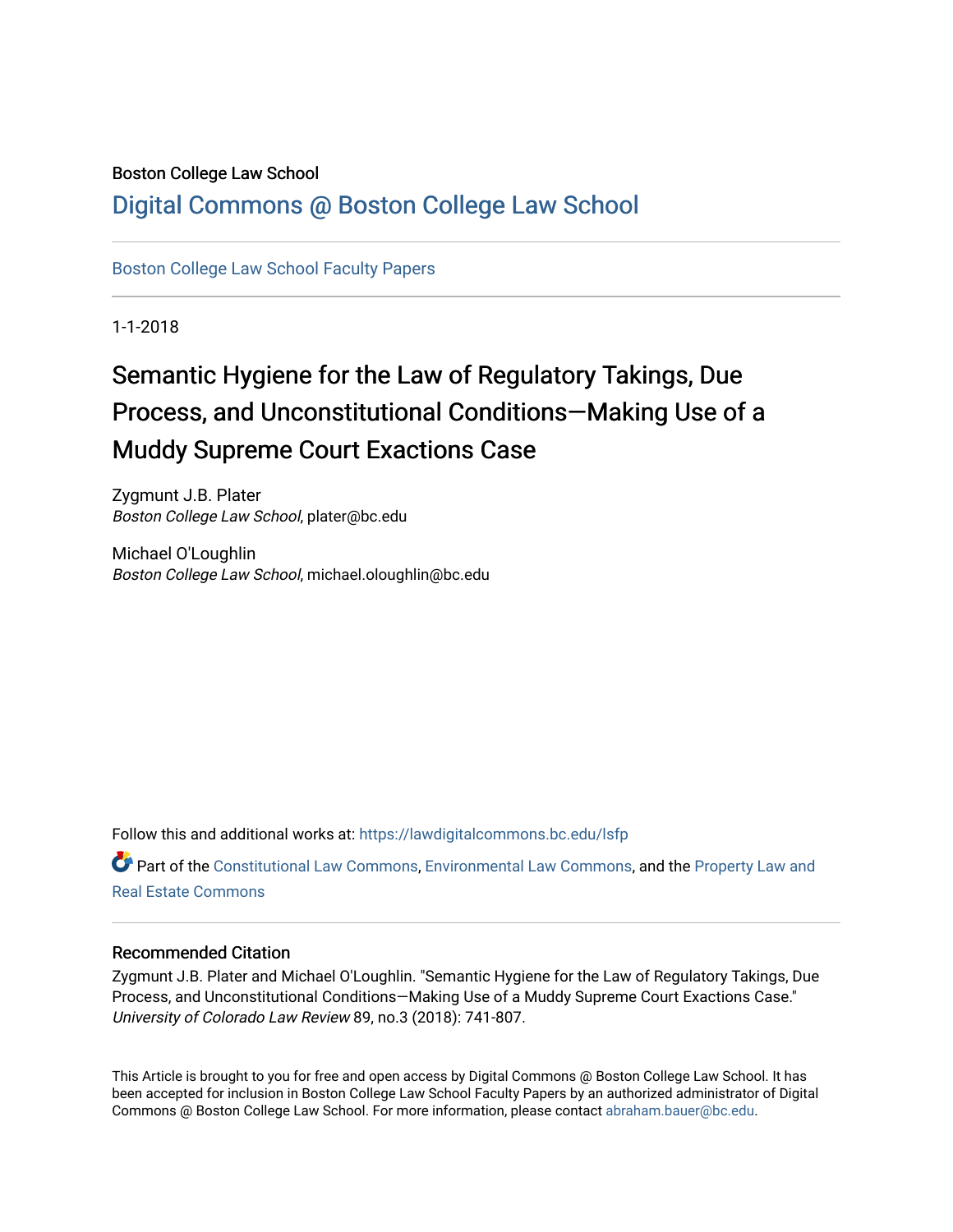# Boston College Law School

# [Digital Commons @ Boston College Law School](https://lawdigitalcommons.bc.edu/)

[Boston College Law School Faculty Papers](https://lawdigitalcommons.bc.edu/lsfp) 

1-1-2018

# Semantic Hygiene for the Law of Regulatory Takings, Due Process, and Unconstitutional Conditions—Making Use of a Muddy Supreme Court Exactions Case

Zygmunt J.B. Plater Boston College Law School, plater@bc.edu

Michael O'Loughlin Boston College Law School, michael.oloughlin@bc.edu

Follow this and additional works at: [https://lawdigitalcommons.bc.edu/lsfp](https://lawdigitalcommons.bc.edu/lsfp?utm_source=lawdigitalcommons.bc.edu%2Flsfp%2F1171&utm_medium=PDF&utm_campaign=PDFCoverPages) 

Part of the [Constitutional Law Commons,](http://network.bepress.com/hgg/discipline/589?utm_source=lawdigitalcommons.bc.edu%2Flsfp%2F1171&utm_medium=PDF&utm_campaign=PDFCoverPages) [Environmental Law Commons](http://network.bepress.com/hgg/discipline/599?utm_source=lawdigitalcommons.bc.edu%2Flsfp%2F1171&utm_medium=PDF&utm_campaign=PDFCoverPages), and the [Property Law and](http://network.bepress.com/hgg/discipline/897?utm_source=lawdigitalcommons.bc.edu%2Flsfp%2F1171&utm_medium=PDF&utm_campaign=PDFCoverPages) [Real Estate Commons](http://network.bepress.com/hgg/discipline/897?utm_source=lawdigitalcommons.bc.edu%2Flsfp%2F1171&utm_medium=PDF&utm_campaign=PDFCoverPages) 

#### Recommended Citation

Zygmunt J.B. Plater and Michael O'Loughlin. "Semantic Hygiene for the Law of Regulatory Takings, Due Process, and Unconstitutional Conditions—Making Use of a Muddy Supreme Court Exactions Case." University of Colorado Law Review 89, no.3 (2018): 741-807.

This Article is brought to you for free and open access by Digital Commons @ Boston College Law School. It has been accepted for inclusion in Boston College Law School Faculty Papers by an authorized administrator of Digital Commons @ Boston College Law School. For more information, please contact [abraham.bauer@bc.edu.](mailto:abraham.bauer@bc.edu)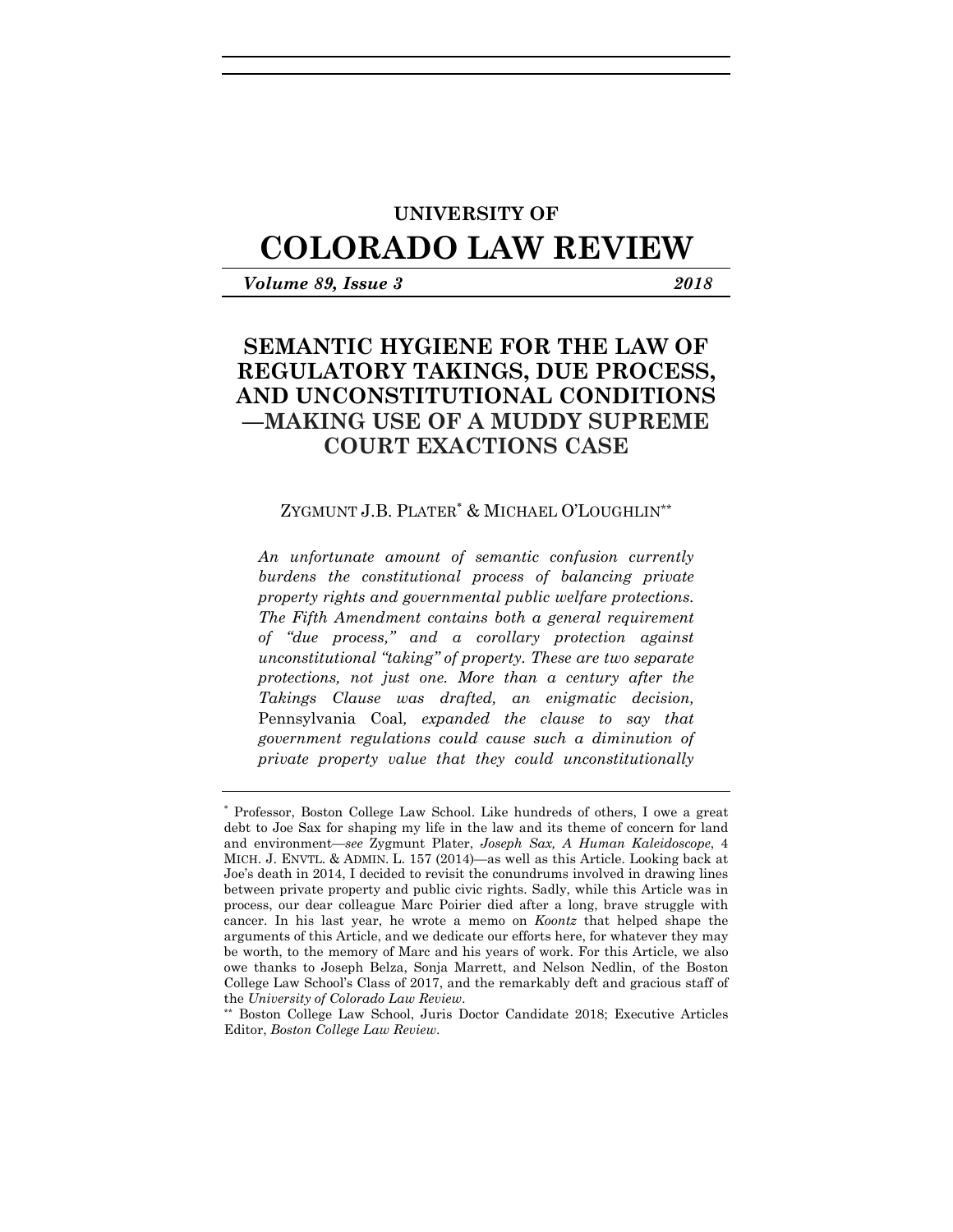# **UNIVERSITY OF**

# **COLORADO LAW REVIEW**

*Volume 89, Issue 3 2018* 

# **SEMANTIC HYGIENE FOR THE LAW OF REGULATORY TAKINGS, DUE PROCESS, AND UNCONSTITUTIONAL CONDITIONS —MAKING USE OF A MUDDY SUPREME COURT EXACTIONS CASE**

#### ZYGMUNT J.B. PLATER & MICHAEL O'LOUGHLIN*\*\**

*An unfortunate amount of semantic confusion currently burdens the constitutional process of balancing private property rights and governmental public welfare protections. The Fifth Amendment contains both a general requirement of "due process," and a corollary protection against unconstitutional "taking" of property. These are two separate protections, not just one. More than a century after the Takings Clause was drafted, an enigmatic decision,*  Pennsylvania Coal*, expanded the clause to say that government regulations could cause such a diminution of private property value that they could unconstitutionally* 

 Professor, Boston College Law School. Like hundreds of others, I owe a great debt to Joe Sax for shaping my life in the law and its theme of concern for land and environment—*see* Zygmunt Plater, *Joseph Sax, A Human Kaleidoscope*, 4 MICH. J. ENVTL. & ADMIN. L. 157 (2014)—as well as this Article. Looking back at Joe's death in 2014, I decided to revisit the conundrums involved in drawing lines between private property and public civic rights. Sadly, while this Article was in process, our dear colleague Marc Poirier died after a long, brave struggle with cancer. In his last year, he wrote a memo on *Koontz* that helped shape the arguments of this Article, and we dedicate our efforts here, for whatever they may be worth, to the memory of Marc and his years of work. For this Article, we also owe thanks to Joseph Belza, Sonja Marrett, and Nelson Nedlin, of the Boston College Law School's Class of 2017, and the remarkably deft and gracious staff of the *University of Colorado Law Review*.<br>\*\* Boston College Law School, Juris Doctor Candidate 2018; Executive Articles

Editor, *Boston College Law Review*.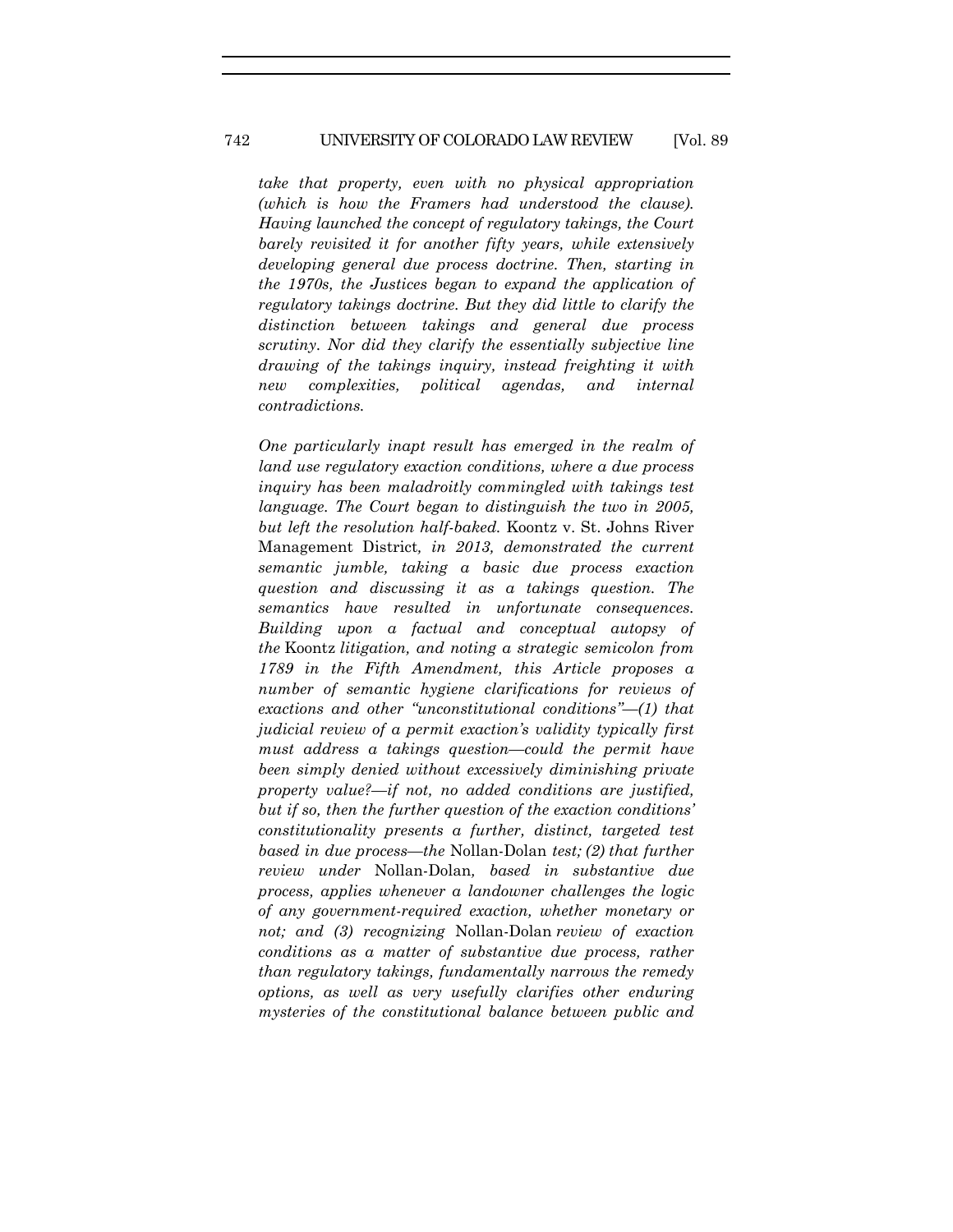#### 742 UNIVERSITY OF COLORADO LAW REVIEW [Vol. 89

*take that property, even with no physical appropriation (which is how the Framers had understood the clause). Having launched the concept of regulatory takings, the Court barely revisited it for another fifty years, while extensively developing general due process doctrine. Then, starting in the 1970s, the Justices began to expand the application of regulatory takings doctrine. But they did little to clarify the distinction between takings and general due process scrutiny. Nor did they clarify the essentially subjective line drawing of the takings inquiry, instead freighting it with new complexities, political agendas, and internal contradictions.* 

*One particularly inapt result has emerged in the realm of land use regulatory exaction conditions, where a due process inquiry has been maladroitly commingled with takings test language. The Court began to distinguish the two in 2005, but left the resolution half-baked.* Koontz v. St. Johns River Management District*, in 2013, demonstrated the current semantic jumble, taking a basic due process exaction question and discussing it as a takings question. The semantics have resulted in unfortunate consequences. Building upon a factual and conceptual autopsy of the* Koontz *litigation, and noting a strategic semicolon from 1789 in the Fifth Amendment, this Article proposes a number of semantic hygiene clarifications for reviews of exactions and other "unconstitutional conditions"—(1) that judicial review of a permit exaction's validity typically first must address a takings question—could the permit have been simply denied without excessively diminishing private property value?—if not, no added conditions are justified, but if so, then the further question of the exaction conditions' constitutionality presents a further, distinct, targeted test based in due process—the* Nollan-Dolan *test; (2) that further review under* Nollan-Dolan*, based in substantive due process, applies whenever a landowner challenges the logic of any government-required exaction, whether monetary or not; and (3) recognizing* Nollan-Dolan *review of exaction conditions as a matter of substantive due process, rather than regulatory takings, fundamentally narrows the remedy options, as well as very usefully clarifies other enduring mysteries of the constitutional balance between public and*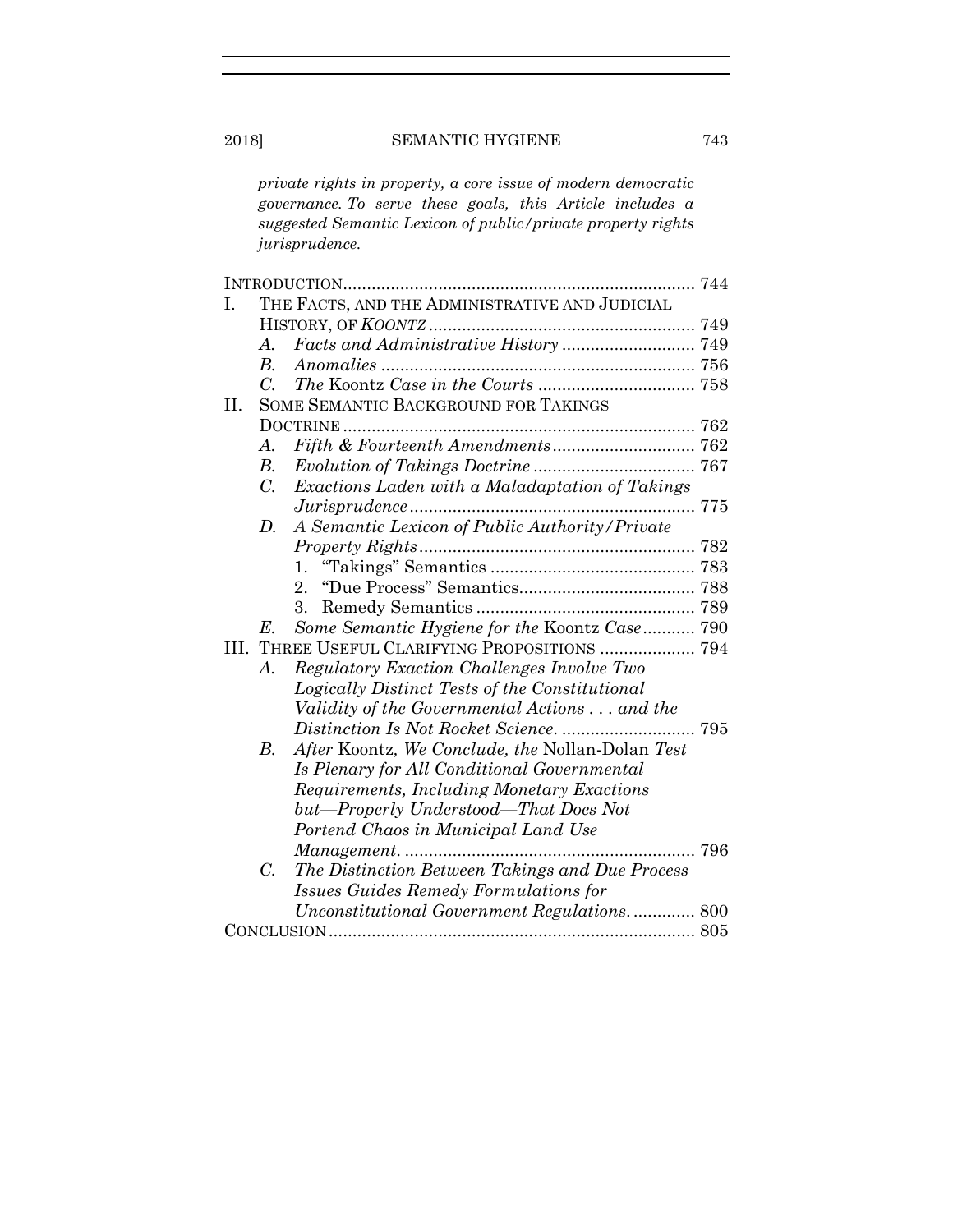*private rights in property, a core issue of modern democratic governance. To serve these goals, this Article includes a suggested Semantic Lexicon of public/private property rights jurisprudence.* 

| I.  | THE FACTS, AND THE ADMINISTRATIVE AND JUDICIAL |                                                  |  |
|-----|------------------------------------------------|--------------------------------------------------|--|
|     |                                                |                                                  |  |
|     | $\mathcal{A}_{\cdot}$                          |                                                  |  |
|     | $B_{\cdot}$                                    |                                                  |  |
|     | $\mathcal{C}$ .                                |                                                  |  |
| II. |                                                | SOME SEMANTIC BACKGROUND FOR TAKINGS             |  |
|     |                                                |                                                  |  |
|     | А.                                             |                                                  |  |
|     | $B_{\cdot}$                                    |                                                  |  |
|     | $C_{\cdot}$                                    | Exactions Laden with a Maladaptation of Takings  |  |
|     |                                                |                                                  |  |
|     | D.                                             | A Semantic Lexicon of Public Authority/Private   |  |
|     |                                                |                                                  |  |
|     |                                                |                                                  |  |
|     |                                                | 2.                                               |  |
|     |                                                | 3.                                               |  |
|     | $E_{\cdot}$                                    | Some Semantic Hygiene for the Koontz Case 790    |  |
| Ш.  | THREE USEFUL CLARIFYING PROPOSITIONS  794      |                                                  |  |
|     | A.                                             | Regulatory Exaction Challenges Involve Two       |  |
|     |                                                | Logically Distinct Tests of the Constitutional   |  |
|     |                                                | Validity of the Governmental Actions  and the    |  |
|     |                                                |                                                  |  |
|     | В.                                             | After Koontz, We Conclude, the Nollan-Dolan Test |  |
|     |                                                | Is Plenary for All Conditional Governmental      |  |
|     |                                                | Requirements, Including Monetary Exactions       |  |
|     |                                                | but—Properly Understood—That Does Not            |  |
|     |                                                | Portend Chaos in Municipal Land Use              |  |
|     |                                                | 796                                              |  |
|     | $\overline{C}$ .                               | The Distinction Between Takings and Due Process  |  |
|     |                                                | <b>Issues Guides Remedy Formulations for</b>     |  |
|     |                                                | Unconstitutional Government Regulations 800      |  |
|     |                                                |                                                  |  |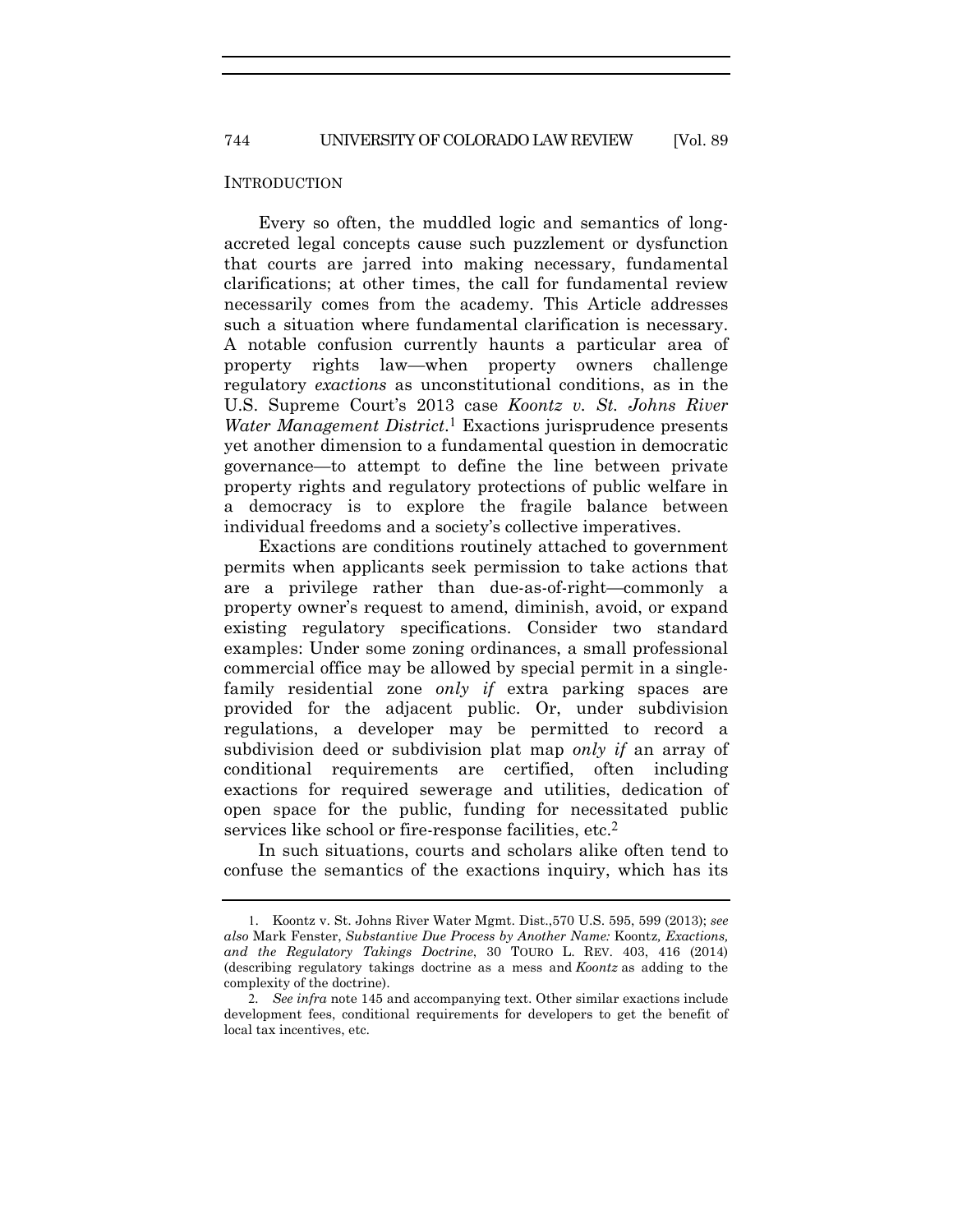744 UNIVERSITY OF COLORADO LAW REVIEW [Vol. 89

#### INTRODUCTION

Every so often, the muddled logic and semantics of longaccreted legal concepts cause such puzzlement or dysfunction that courts are jarred into making necessary, fundamental clarifications; at other times, the call for fundamental review necessarily comes from the academy. This Article addresses such a situation where fundamental clarification is necessary. A notable confusion currently haunts a particular area of property rights law—when property owners challenge regulatory *exactions* as unconstitutional conditions, as in the U.S. Supreme Court's 2013 case *Koontz v. St. Johns River Water Management District*.1 Exactions jurisprudence presents yet another dimension to a fundamental question in democratic governance—to attempt to define the line between private property rights and regulatory protections of public welfare in a democracy is to explore the fragile balance between individual freedoms and a society's collective imperatives.

Exactions are conditions routinely attached to government permits when applicants seek permission to take actions that are a privilege rather than due-as-of-right—commonly a property owner's request to amend, diminish, avoid, or expand existing regulatory specifications. Consider two standard examples: Under some zoning ordinances, a small professional commercial office may be allowed by special permit in a singlefamily residential zone *only if* extra parking spaces are provided for the adjacent public. Or, under subdivision regulations, a developer may be permitted to record a subdivision deed or subdivision plat map *only if* an array of conditional requirements are certified, often including exactions for required sewerage and utilities, dedication of open space for the public, funding for necessitated public services like school or fire-response facilities, etc.<sup>2</sup>

In such situations, courts and scholars alike often tend to confuse the semantics of the exactions inquiry, which has its

<sup>1</sup>. Koontz v. St. Johns River Water Mgmt. Dist.,570 U.S. 595, 599 (2013); *see also* Mark Fenster, *Substantive Due Process by Another Name:* Koontz*, Exactions, and the Regulatory Takings Doctrine*, 30 TOURO L. REV. 403, 416 (2014) (describing regulatory takings doctrine as a mess and *Koontz* as adding to the complexity of the doctrine).

<sup>2</sup>*. See infra* note 145 and accompanying text. Other similar exactions include development fees, conditional requirements for developers to get the benefit of local tax incentives, etc.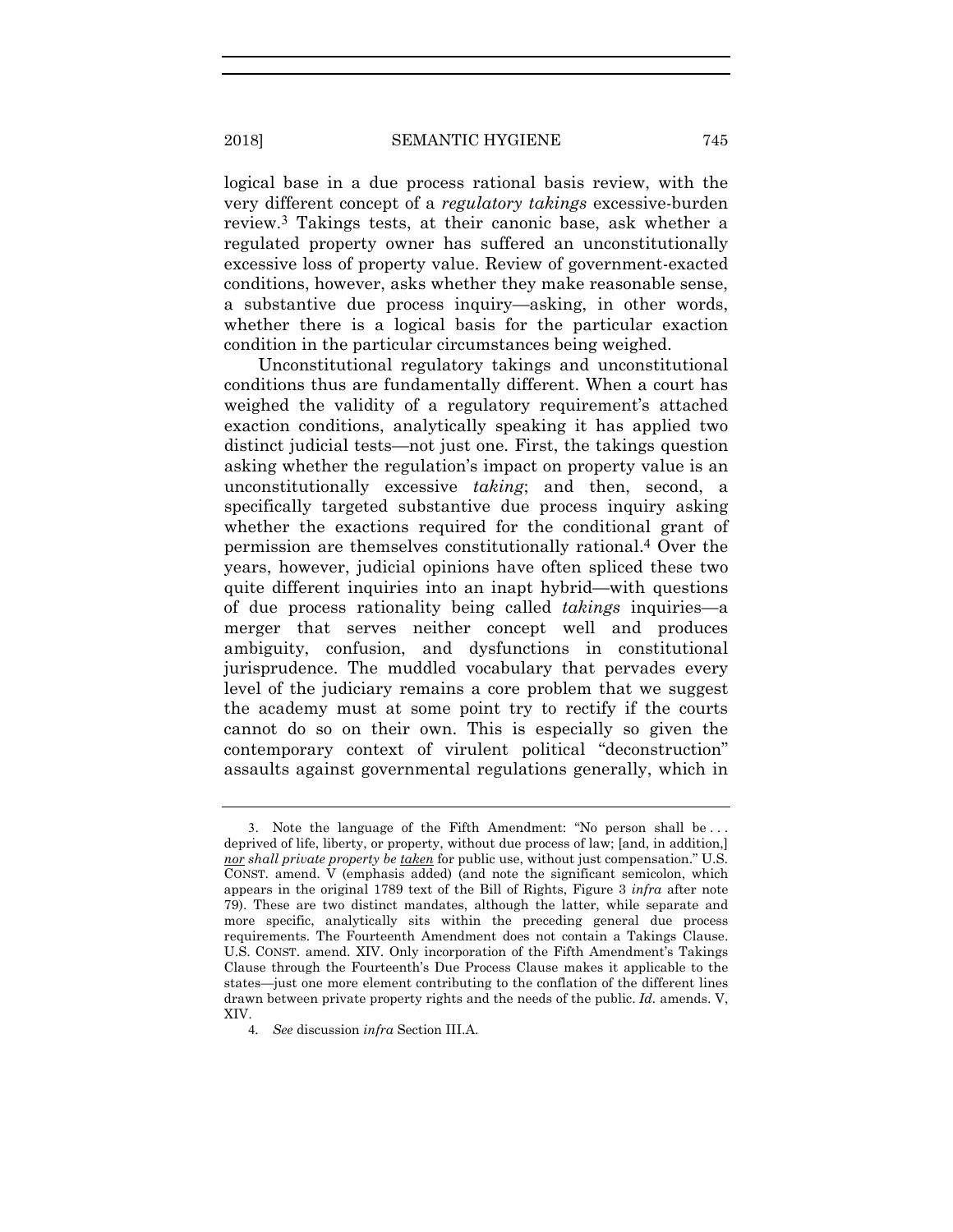logical base in a due process rational basis review, with the very different concept of a *regulatory takings* excessive-burden review.3 Takings tests, at their canonic base, ask whether a regulated property owner has suffered an unconstitutionally excessive loss of property value. Review of government-exacted conditions, however, asks whether they make reasonable sense, a substantive due process inquiry—asking, in other words, whether there is a logical basis for the particular exaction condition in the particular circumstances being weighed.

Unconstitutional regulatory takings and unconstitutional conditions thus are fundamentally different. When a court has weighed the validity of a regulatory requirement's attached exaction conditions, analytically speaking it has applied two distinct judicial tests—not just one. First, the takings question asking whether the regulation's impact on property value is an unconstitutionally excessive *taking*; and then, second, a specifically targeted substantive due process inquiry asking whether the exactions required for the conditional grant of permission are themselves constitutionally rational.4 Over the years, however, judicial opinions have often spliced these two quite different inquiries into an inapt hybrid—with questions of due process rationality being called *takings* inquiries—a merger that serves neither concept well and produces ambiguity, confusion, and dysfunctions in constitutional jurisprudence. The muddled vocabulary that pervades every level of the judiciary remains a core problem that we suggest the academy must at some point try to rectify if the courts cannot do so on their own. This is especially so given the contemporary context of virulent political "deconstruction" assaults against governmental regulations generally, which in

<sup>3</sup>. Note the language of the Fifth Amendment: "No person shall be . . . deprived of life, liberty, or property, without due process of law; [and, in addition,] *nor shall private property be taken* for public use, without just compensation." U.S. CONST. amend. V (emphasis added) (and note the significant semicolon, which appears in the original 1789 text of the Bill of Rights, Figure 3 *infra* after note 79). These are two distinct mandates, although the latter, while separate and more specific, analytically sits within the preceding general due process requirements. The Fourteenth Amendment does not contain a Takings Clause. U.S. CONST. amend. XIV. Only incorporation of the Fifth Amendment's Takings Clause through the Fourteenth's Due Process Clause makes it applicable to the states—just one more element contributing to the conflation of the different lines drawn between private property rights and the needs of the public. *Id.* amends. V, XIV.

<sup>4</sup>*. See* discussion *infra* Section III.A.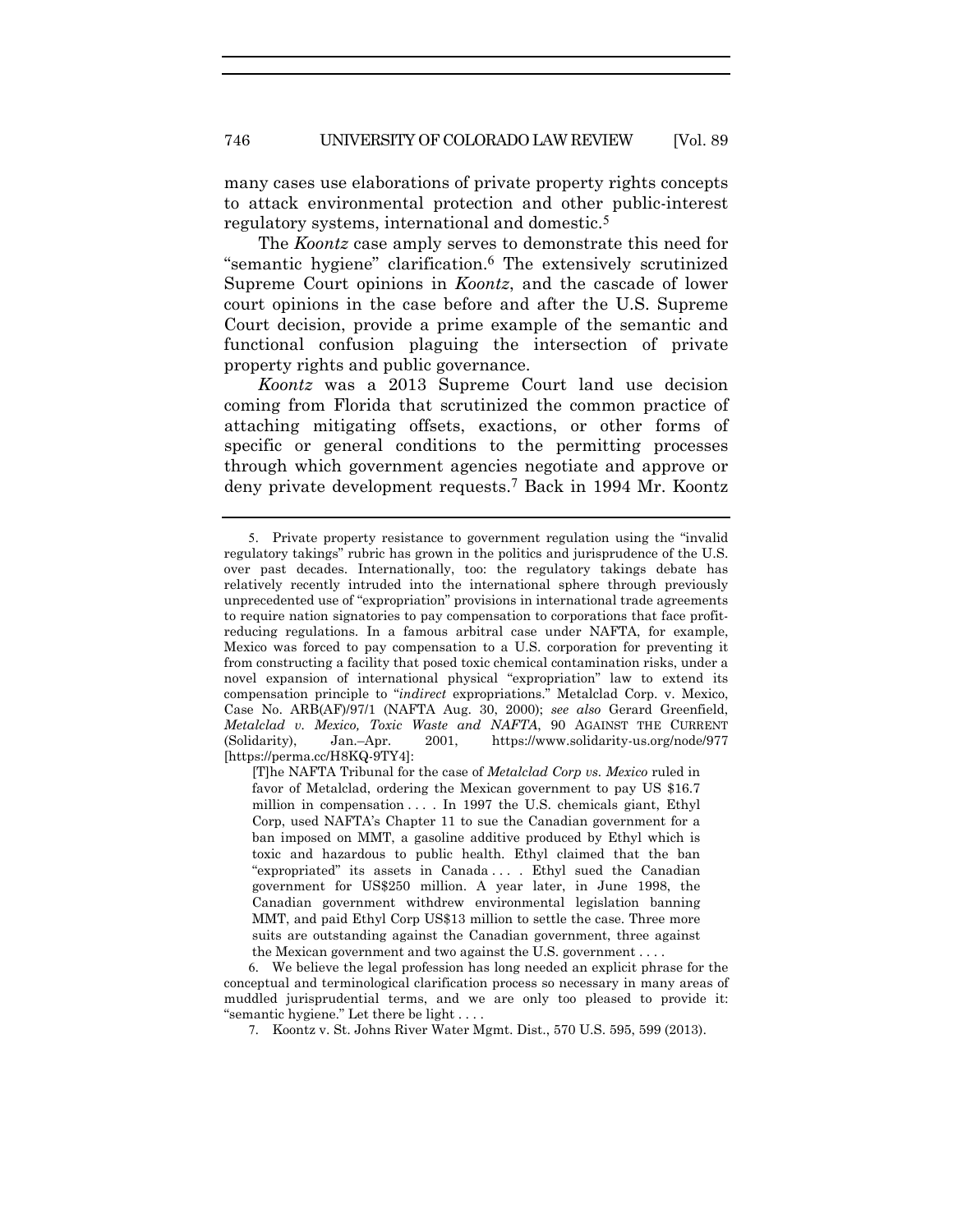many cases use elaborations of private property rights concepts to attack environmental protection and other public-interest regulatory systems, international and domestic.5

The *Koontz* case amply serves to demonstrate this need for "semantic hygiene" clarification.6 The extensively scrutinized Supreme Court opinions in *Koontz*, and the cascade of lower court opinions in the case before and after the U.S. Supreme Court decision, provide a prime example of the semantic and functional confusion plaguing the intersection of private property rights and public governance.

*Koontz* was a 2013 Supreme Court land use decision coming from Florida that scrutinized the common practice of attaching mitigating offsets, exactions, or other forms of specific or general conditions to the permitting processes through which government agencies negotiate and approve or deny private development requests.7 Back in 1994 Mr. Koontz

<sup>5</sup>. Private property resistance to government regulation using the "invalid regulatory takings" rubric has grown in the politics and jurisprudence of the U.S. over past decades. Internationally, too: the regulatory takings debate has relatively recently intruded into the international sphere through previously unprecedented use of "expropriation" provisions in international trade agreements to require nation signatories to pay compensation to corporations that face profitreducing regulations. In a famous arbitral case under NAFTA, for example, Mexico was forced to pay compensation to a U.S. corporation for preventing it from constructing a facility that posed toxic chemical contamination risks, under a novel expansion of international physical "expropriation" law to extend its compensation principle to "*indirect* expropriations." Metalclad Corp. v. Mexico, Case No. ARB(AF)/97/1 (NAFTA Aug. 30, 2000); *see also* Gerard Greenfield, *Metalclad v. Mexico, Toxic Waste and NAFTA*, 90 AGAINST THE CURRENT (Solidarity), Jan.–Apr. 2001, https://www.solidarity-us.org/node/977 [https://perma.cc/H8KQ-9TY4]:

<sup>[</sup>T]he NAFTA Tribunal for the case of *Metalclad Corp vs. Mexico* ruled in favor of Metalclad, ordering the Mexican government to pay US \$16.7 million in compensation . . . . In 1997 the U.S. chemicals giant, Ethyl Corp, used NAFTA's Chapter 11 to sue the Canadian government for a ban imposed on MMT, a gasoline additive produced by Ethyl which is toxic and hazardous to public health. Ethyl claimed that the ban "expropriated" its assets in Canada . . . . Ethyl sued the Canadian government for US\$250 million. A year later, in June 1998, the Canadian government withdrew environmental legislation banning MMT, and paid Ethyl Corp US\$13 million to settle the case. Three more suits are outstanding against the Canadian government, three against the Mexican government and two against the U.S. government . . . .

<sup>6</sup>. We believe the legal profession has long needed an explicit phrase for the conceptual and terminological clarification process so necessary in many areas of muddled jurisprudential terms, and we are only too pleased to provide it: "semantic hygiene." Let there be light . . . .

<sup>7</sup>. Koontz v. St. Johns River Water Mgmt. Dist., 570 U.S. 595, 599 (2013).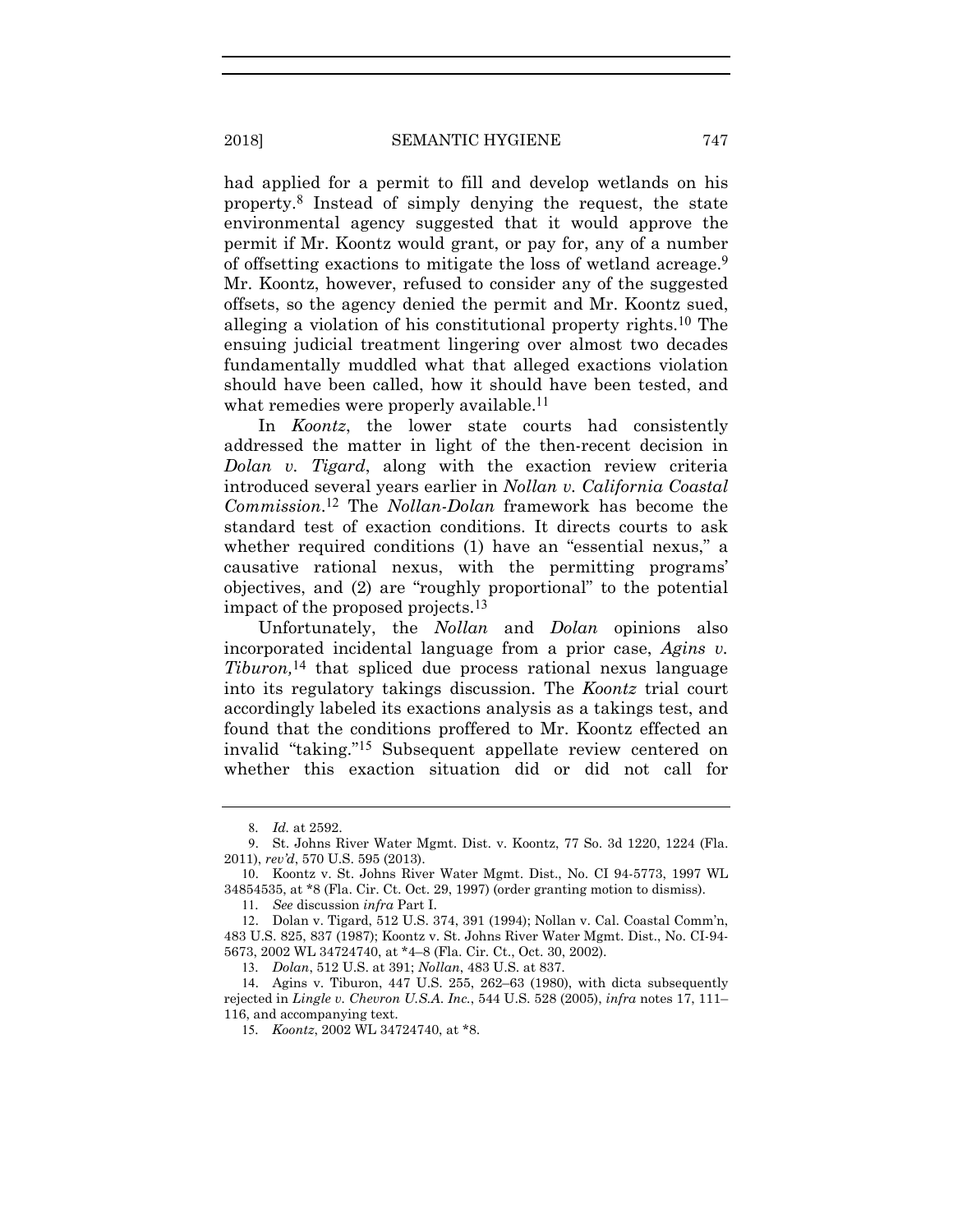had applied for a permit to fill and develop wetlands on his property.8 Instead of simply denying the request, the state environmental agency suggested that it would approve the permit if Mr. Koontz would grant, or pay for, any of a number of offsetting exactions to mitigate the loss of wetland acreage.9 Mr. Koontz, however, refused to consider any of the suggested offsets, so the agency denied the permit and Mr. Koontz sued, alleging a violation of his constitutional property rights.10 The ensuing judicial treatment lingering over almost two decades fundamentally muddled what that alleged exactions violation should have been called, how it should have been tested, and what remedies were properly available.<sup>11</sup>

In *Koontz*, the lower state courts had consistently addressed the matter in light of the then-recent decision in *Dolan v. Tigard*, along with the exaction review criteria introduced several years earlier in *Nollan v. California Coastal Commission*.12 The *Nollan-Dolan* framework has become the standard test of exaction conditions. It directs courts to ask whether required conditions (1) have an "essential nexus," a causative rational nexus, with the permitting programs' objectives, and (2) are "roughly proportional" to the potential impact of the proposed projects.13

Unfortunately, the *Nollan* and *Dolan* opinions also incorporated incidental language from a prior case, *Agins v. Tiburon,*14 that spliced due process rational nexus language into its regulatory takings discussion. The *Koontz* trial court accordingly labeled its exactions analysis as a takings test, and found that the conditions proffered to Mr. Koontz effected an invalid "taking."15 Subsequent appellate review centered on whether this exaction situation did or did not call for

11*. See* discussion *infra* Part I.

<sup>8</sup>*. Id.* at 2592.

<sup>9</sup>. St. Johns River Water Mgmt. Dist. v. Koontz, 77 So. 3d 1220, 1224 (Fla. 2011), *rev'd*, 570 U.S. 595 (2013).

<sup>10</sup>. Koontz v. St. Johns River Water Mgmt. Dist., No. CI 94-5773, 1997 WL 34854535, at \*8 (Fla. Cir. Ct. Oct. 29, 1997) (order granting motion to dismiss).

<sup>12</sup>. Dolan v. Tigard, 512 U.S. 374, 391 (1994); Nollan v. Cal. Coastal Comm'n, 483 U.S. 825, 837 (1987); Koontz v. St. Johns River Water Mgmt. Dist., No. CI-94- 5673, 2002 WL 34724740, at \*4–8 (Fla. Cir. Ct., Oct. 30, 2002).

<sup>13</sup>*. Dolan*, 512 U.S. at 391; *Nollan*, 483 U.S. at 837.

<sup>14</sup>. Agins v. Tiburon, 447 U.S. 255, 262–63 (1980), with dicta subsequently rejected in *Lingle v. Chevron U.S.A*. *Inc.*, 544 U.S. 528 (2005), *infra* notes 17, 111– 116, and accompanying text.

<sup>15</sup>*. Koontz*, 2002 WL 34724740, at \*8.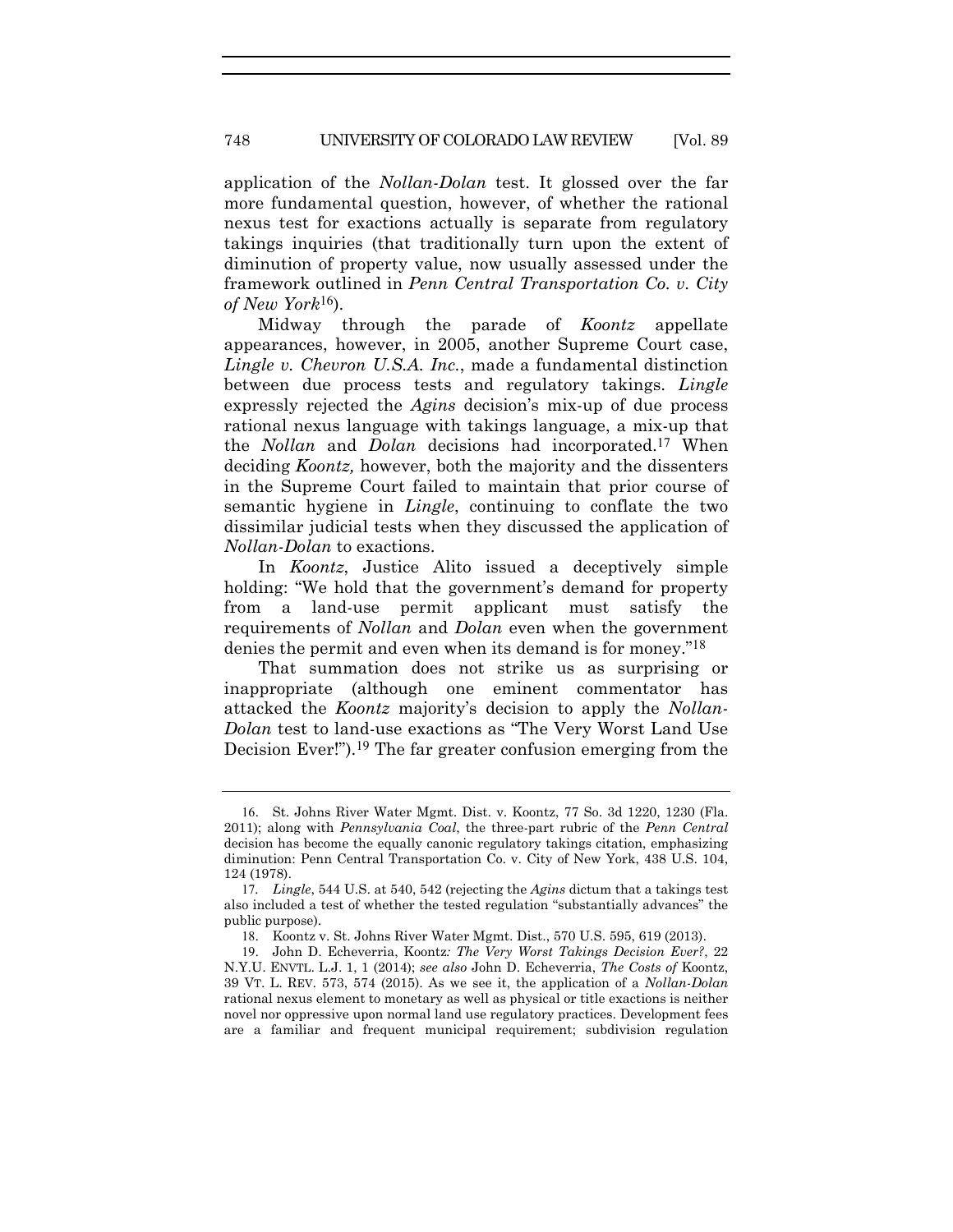application of the *Nollan-Dolan* test. It glossed over the far more fundamental question, however, of whether the rational nexus test for exactions actually is separate from regulatory takings inquiries (that traditionally turn upon the extent of diminution of property value, now usually assessed under the framework outlined in *Penn Central Transportation Co. v. City of New York*16).

Midway through the parade of *Koontz* appellate appearances, however, in 2005, another Supreme Court case, *Lingle v. Chevron U.S.A. Inc.*, made a fundamental distinction between due process tests and regulatory takings. *Lingle* expressly rejected the *Agins* decision's mix-up of due process rational nexus language with takings language, a mix-up that the *Nollan* and *Dolan* decisions had incorporated.17 When deciding *Koontz,* however, both the majority and the dissenters in the Supreme Court failed to maintain that prior course of semantic hygiene in *Lingle*, continuing to conflate the two dissimilar judicial tests when they discussed the application of *Nollan-Dolan* to exactions.

In *Koontz*, Justice Alito issued a deceptively simple holding: "We hold that the government's demand for property from a land-use permit applicant must satisfy the requirements of *Nollan* and *Dolan* even when the government denies the permit and even when its demand is for money."18

That summation does not strike us as surprising or inappropriate (although one eminent commentator has attacked the *Koontz* majority's decision to apply the *Nollan-Dolan* test to land-use exactions as "The Very Worst Land Use Decision Ever!").<sup>19</sup> The far greater confusion emerging from the

<sup>16</sup>. St. Johns River Water Mgmt. Dist. v. Koontz, 77 So. 3d 1220, 1230 (Fla. 2011); along with *Pennsylvania Coal*, the three-part rubric of the *Penn Central* decision has become the equally canonic regulatory takings citation, emphasizing diminution: Penn Central Transportation Co. v. City of New York, 438 U.S. 104, 124 (1978).

<sup>17</sup>*. Lingle*, 544 U.S. at 540, 542 (rejecting the *Agins* dictum that a takings test also included a test of whether the tested regulation "substantially advances" the public purpose).

<sup>18</sup>. Koontz v. St. Johns River Water Mgmt. Dist., 570 U.S. 595, 619 (2013).

<sup>19</sup>. John D. Echeverria, Koontz*: The Very Worst Takings Decision Ever?*, 22 N.Y.U. ENVTL. L.J. 1, 1 (2014); *see also* John D. Echeverria, *The Costs of* Koontz, 39 VT. L. REV. 573, 574 (2015). As we see it, the application of a *Nollan-Dolan* rational nexus element to monetary as well as physical or title exactions is neither novel nor oppressive upon normal land use regulatory practices. Development fees are a familiar and frequent municipal requirement; subdivision regulation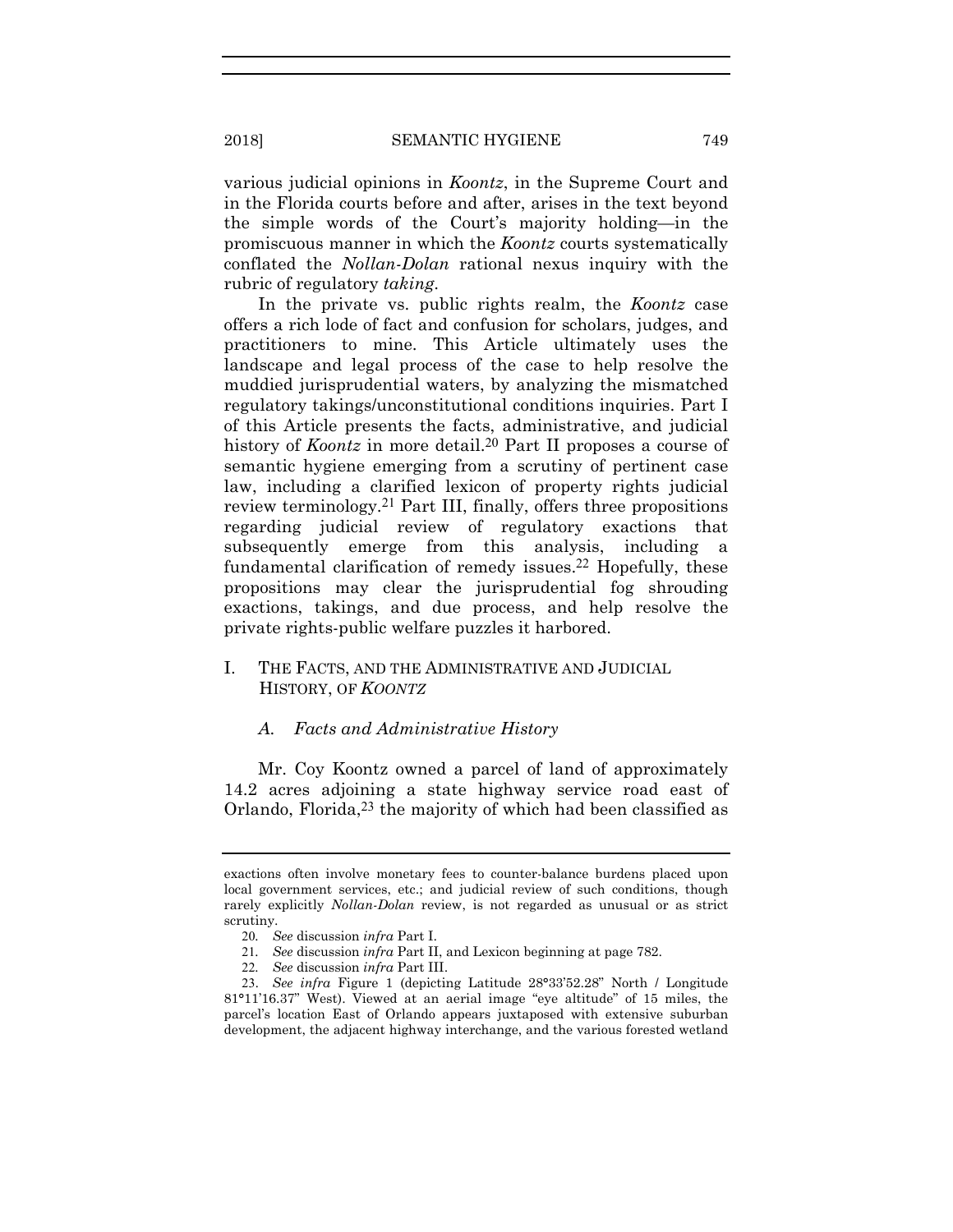various judicial opinions in *Koontz*, in the Supreme Court and in the Florida courts before and after, arises in the text beyond the simple words of the Court's majority holding—in the promiscuous manner in which the *Koontz* courts systematically conflated the *Nollan-Dolan* rational nexus inquiry with the rubric of regulatory *taking*.

In the private vs. public rights realm, the *Koontz* case offers a rich lode of fact and confusion for scholars, judges, and practitioners to mine. This Article ultimately uses the landscape and legal process of the case to help resolve the muddied jurisprudential waters, by analyzing the mismatched regulatory takings/unconstitutional conditions inquiries. Part I of this Article presents the facts, administrative, and judicial history of *Koontz* in more detail.<sup>20</sup> Part II proposes a course of semantic hygiene emerging from a scrutiny of pertinent case law, including a clarified lexicon of property rights judicial review terminology.21 Part III, finally, offers three propositions regarding judicial review of regulatory exactions that subsequently emerge from this analysis, including a fundamental clarification of remedy issues.22 Hopefully, these propositions may clear the jurisprudential fog shrouding exactions, takings, and due process, and help resolve the private rights-public welfare puzzles it harbored.

#### I. THE FACTS, AND THE ADMINISTRATIVE AND JUDICIAL HISTORY, OF *KOONTZ*

#### *A. Facts and Administrative History*

Mr. Coy Koontz owned a parcel of land of approximately 14.2 acres adjoining a state highway service road east of Orlando, Florida,23 the majority of which had been classified as

exactions often involve monetary fees to counter-balance burdens placed upon local government services, etc.; and judicial review of such conditions, though rarely explicitly *Nollan-Dolan* review, is not regarded as unusual or as strict scrutiny.

<sup>20</sup>*. See* discussion *infra* Part I.

<sup>21</sup>*. See* discussion *infra* Part II, and Lexicon beginning at page 782.

<sup>22</sup>*. See* discussion *infra* Part III.

<sup>23</sup>. *See infra* Figure 1 (depicting Latitude 28**°**33'52.28" North / Longitude 81**°**11'16.37" West). Viewed at an aerial image "eye altitude" of 15 miles, the parcel's location East of Orlando appears juxtaposed with extensive suburban development, the adjacent highway interchange, and the various forested wetland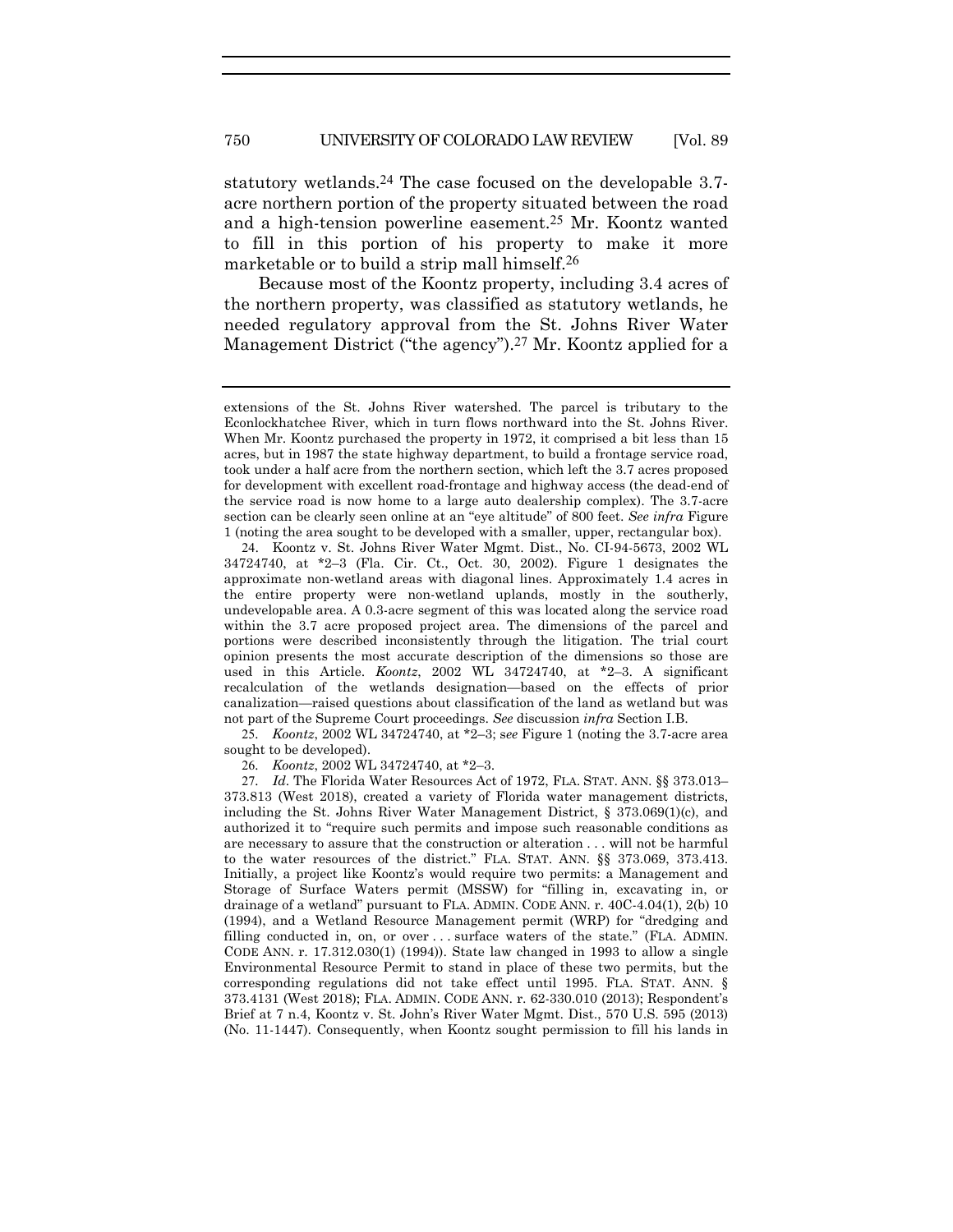statutory wetlands.<sup>24</sup> The case focused on the developable 3.7acre northern portion of the property situated between the road and a high-tension powerline easement.25 Mr. Koontz wanted to fill in this portion of his property to make it more marketable or to build a strip mall himself.26

Because most of the Koontz property, including 3.4 acres of the northern property, was classified as statutory wetlands, he needed regulatory approval from the St. Johns River Water Management District ("the agency").<sup>27</sup> Mr. Koontz applied for a

25*. Koontz*, 2002 WL 34724740, at \*2–3; s*ee* Figure 1 (noting the 3.7-acre area sought to be developed).

26*. Koontz*, 2002 WL 34724740, at \*2–3.

27*. Id*. The Florida Water Resources Act of 1972, FLA. STAT. ANN. §§ 373.013– 373.813 (West 2018), created a variety of Florida water management districts, including the St. Johns River Water Management District, § 373.069(1)(c), and authorized it to "require such permits and impose such reasonable conditions as are necessary to assure that the construction or alteration . . . will not be harmful to the water resources of the district." FLA. STAT. ANN. §§ 373.069, 373.413. Initially, a project like Koontz's would require two permits: a Management and Storage of Surface Waters permit (MSSW) for "filling in, excavating in, or drainage of a wetland" pursuant to FLA. ADMIN. CODE ANN. r. 40C-4.04(1), 2(b) 10 (1994), and a Wetland Resource Management permit (WRP) for "dredging and filling conducted in, on, or over . . . surface waters of the state." (FLA. ADMIN. CODE ANN. r. 17.312.030(1) (1994)). State law changed in 1993 to allow a single Environmental Resource Permit to stand in place of these two permits, but the corresponding regulations did not take effect until 1995. FLA. STAT. ANN. § 373.4131 (West 2018); FLA. ADMIN. CODE ANN. r. 62-330.010 (2013); Respondent's Brief at 7 n.4, Koontz v. St. John's River Water Mgmt. Dist., 570 U.S. 595 (2013) (No. 11-1447). Consequently, when Koontz sought permission to fill his lands in

extensions of the St. Johns River watershed. The parcel is tributary to the Econlockhatchee River, which in turn flows northward into the St. Johns River. When Mr. Koontz purchased the property in 1972, it comprised a bit less than 15 acres, but in 1987 the state highway department, to build a frontage service road, took under a half acre from the northern section, which left the 3.7 acres proposed for development with excellent road-frontage and highway access (the dead-end of the service road is now home to a large auto dealership complex). The 3.7-acre section can be clearly seen online at an "eye altitude" of 800 feet. *See infra* Figure 1 (noting the area sought to be developed with a smaller, upper, rectangular box).

<sup>24</sup>. Koontz v. St. Johns River Water Mgmt. Dist., No. CI-94-5673, 2002 WL 34724740, at \*2–3 (Fla. Cir. Ct., Oct. 30, 2002). Figure 1 designates the approximate non-wetland areas with diagonal lines. Approximately 1.4 acres in the entire property were non-wetland uplands, mostly in the southerly, undevelopable area. A 0.3-acre segment of this was located along the service road within the 3.7 acre proposed project area. The dimensions of the parcel and portions were described inconsistently through the litigation. The trial court opinion presents the most accurate description of the dimensions so those are used in this Article. *Koontz*, 2002 WL 34724740, at \*2–3. A significant recalculation of the wetlands designation—based on the effects of prior canalization—raised questions about classification of the land as wetland but was not part of the Supreme Court proceedings. *See* discussion *infra* Section I.B.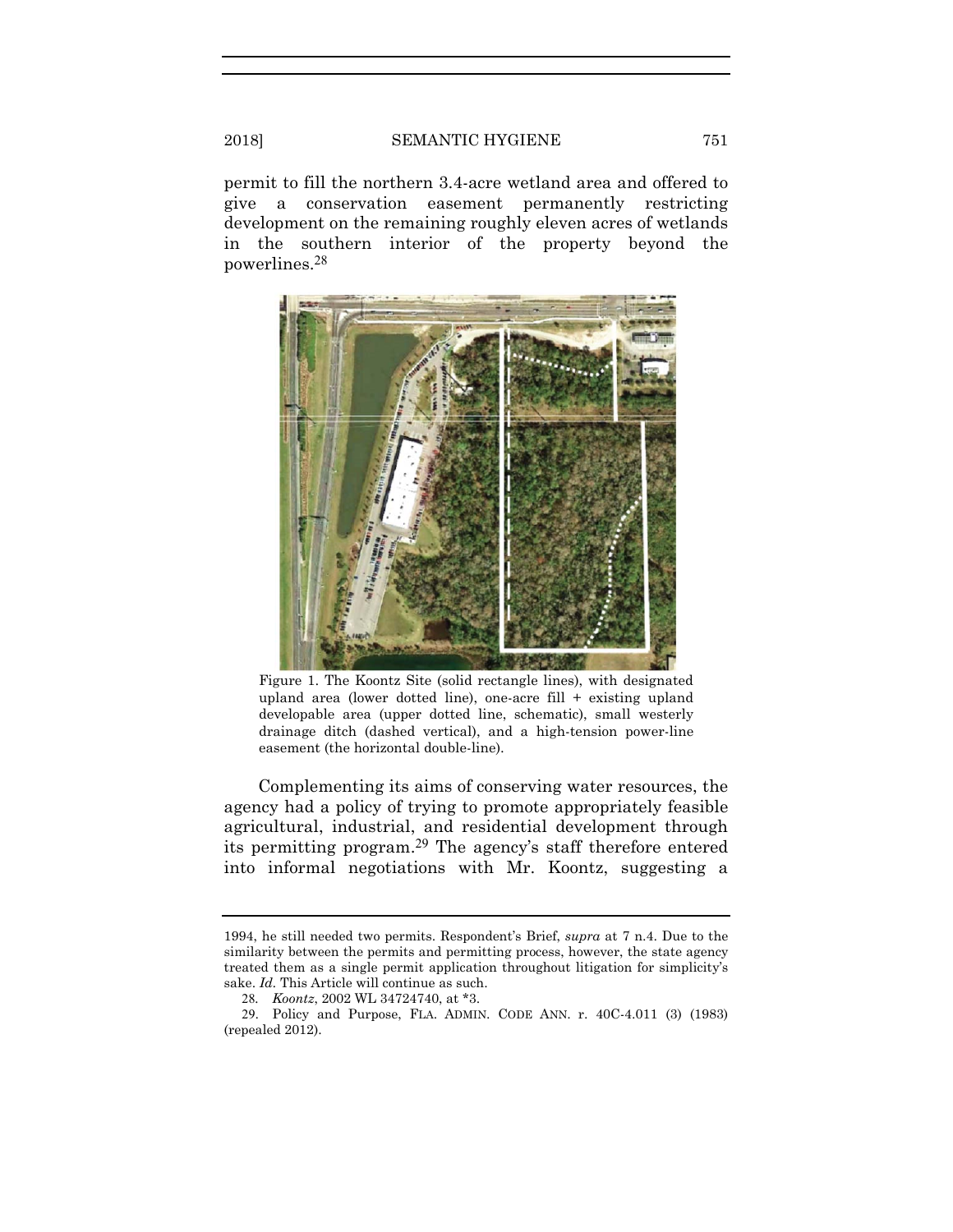permit to fill the northern 3.4-acre wetland area and offered to give a conservation easement permanently restricting development on the remaining roughly eleven acres of wetlands in the southern interior of the property beyond the powerlines.28



Figure 1. The Koontz Site (solid rectangle lines), with designated upland area (lower dotted line), one-acre fill  $+$  existing upland developable area (upper dotted line, schematic), small westerly drainage ditch (dashed vertical), and a high-tension power-line easement (the horizontal double-line).

Complementing its aims of conserving water resources, the agency had a policy of trying to promote appropriately feasible agricultural, industrial, and residential development through its permitting program.29 The agency's staff therefore entered into informal negotiations with Mr. Koontz, suggesting a

<sup>1994,</sup> he still needed two permits. Respondent's Brief, *supra* at 7 n.4. Due to the similarity between the permits and permitting process, however, the state agency treated them as a single permit application throughout litigation for simplicity's sake. *Id.* This Article will continue as such.

<sup>28</sup>*. Koontz*, 2002 WL 34724740, at \*3.

<sup>29</sup>. Policy and Purpose, FLA. ADMIN. CODE ANN. r. 40C-4.011 (3) (1983) (repealed 2012).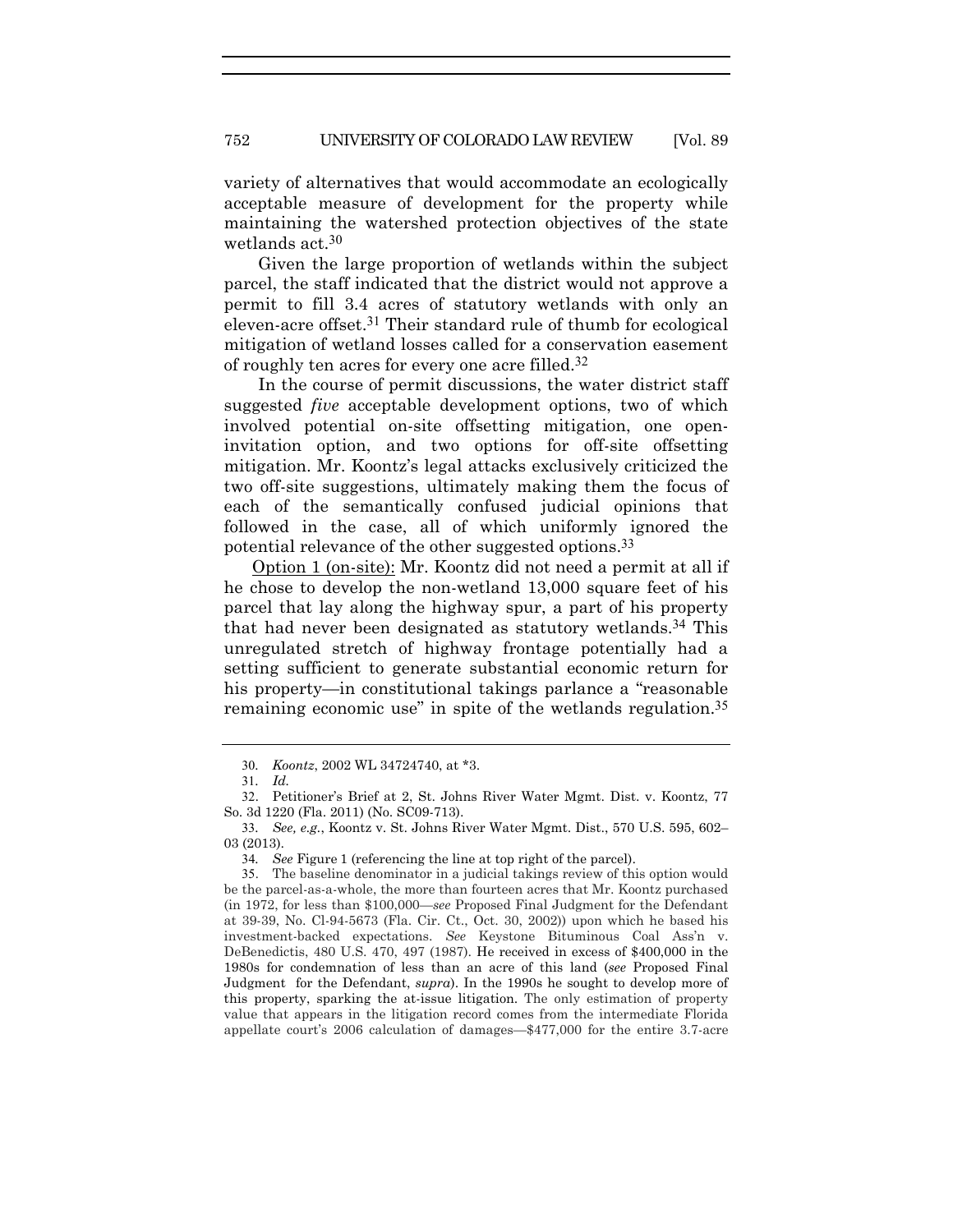variety of alternatives that would accommodate an ecologically acceptable measure of development for the property while maintaining the watershed protection objectives of the state wetlands act.30

Given the large proportion of wetlands within the subject parcel, the staff indicated that the district would not approve a permit to fill 3.4 acres of statutory wetlands with only an eleven-acre offset.31 Their standard rule of thumb for ecological mitigation of wetland losses called for a conservation easement of roughly ten acres for every one acre filled.32

In the course of permit discussions, the water district staff suggested *five* acceptable development options, two of which involved potential on-site offsetting mitigation, one openinvitation option, and two options for off-site offsetting mitigation. Mr. Koontz's legal attacks exclusively criticized the two off-site suggestions, ultimately making them the focus of each of the semantically confused judicial opinions that followed in the case, all of which uniformly ignored the potential relevance of the other suggested options.33

 Option 1 (on-site): Mr. Koontz did not need a permit at all if he chose to develop the non-wetland 13,000 square feet of his parcel that lay along the highway spur, a part of his property that had never been designated as statutory wetlands.34 This unregulated stretch of highway frontage potentially had a setting sufficient to generate substantial economic return for his property—in constitutional takings parlance a "reasonable" remaining economic use" in spite of the wetlands regulation.<sup>35</sup>

<sup>30</sup>*. Koontz*, 2002 WL 34724740, at \*3.

<sup>31</sup>*. Id.*

<sup>32</sup>. Petitioner's Brief at 2, St. Johns River Water Mgmt. Dist. v. Koontz, 77 So. 3d 1220 (Fla. 2011) (No. SC09-713).

<sup>33</sup>*. See, e.g.*, Koontz v. St. Johns River Water Mgmt. Dist., 570 U.S. 595, 602– 03 (2013).

<sup>34</sup>*. See* Figure 1 (referencing the line at top right of the parcel).

<sup>35</sup>. The baseline denominator in a judicial takings review of this option would be the parcel-as-a-whole, the more than fourteen acres that Mr. Koontz purchased (in 1972, for less than \$100,000—*see* Proposed Final Judgment for the Defendant at 39-39, No. Cl-94-5673 (Fla. Cir. Ct., Oct. 30, 2002)) upon which he based his investment-backed expectations. *See* Keystone Bituminous Coal Ass'n v. DeBenedictis, 480 U.S. 470, 497 (1987). He received in excess of \$400,000 in the 1980s for condemnation of less than an acre of this land (*see* Proposed Final Judgment for the Defendant, *supra*). In the 1990s he sought to develop more of this property, sparking the at-issue litigation. The only estimation of property value that appears in the litigation record comes from the intermediate Florida appellate court's 2006 calculation of damages—\$477,000 for the entire 3.7-acre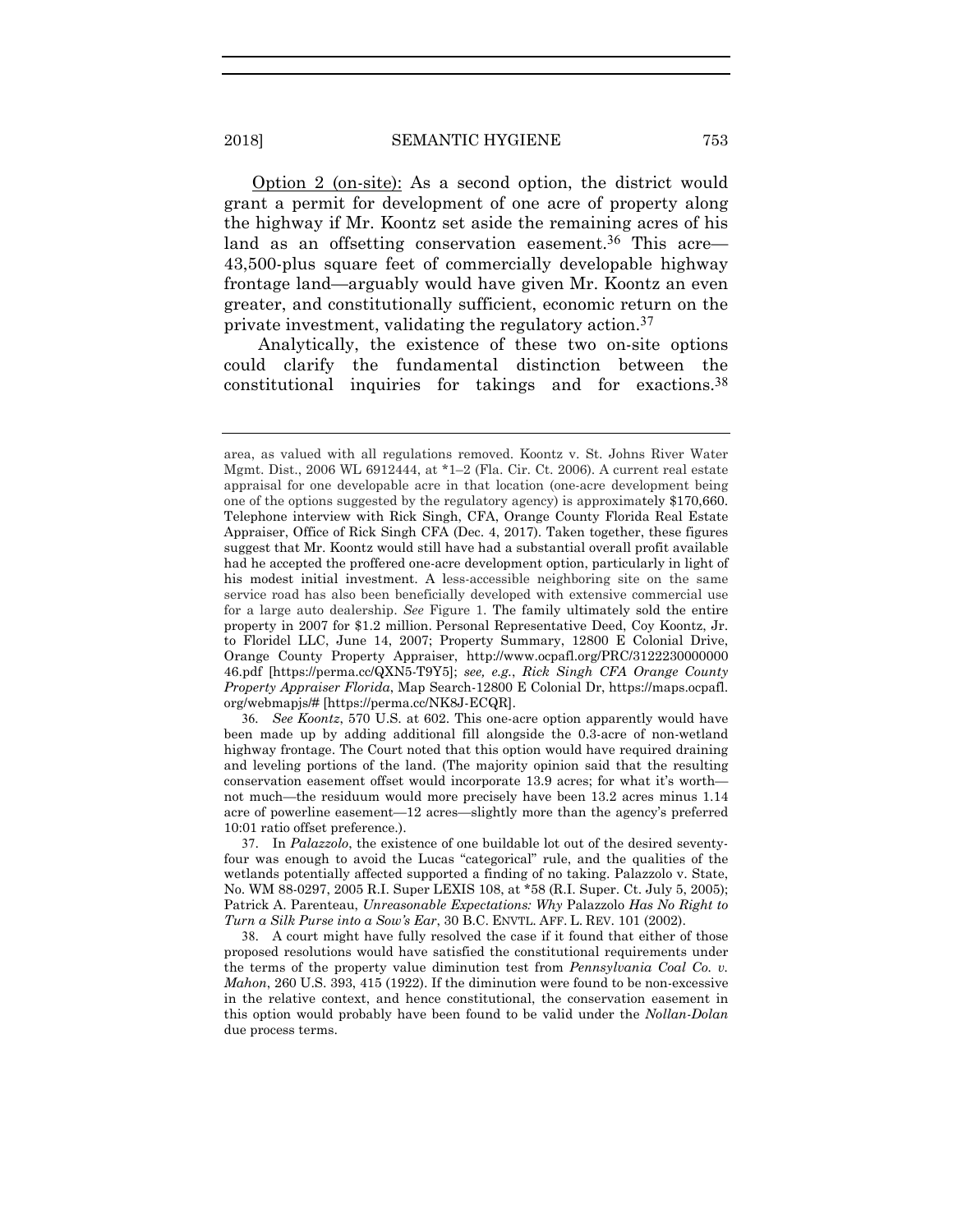Option 2 (on-site): As a second option, the district would grant a permit for development of one acre of property along the highway if Mr. Koontz set aside the remaining acres of his land as an offsetting conservation easement.<sup>36</sup> This acre— 43,500-plus square feet of commercially developable highway frontage land—arguably would have given Mr. Koontz an even greater, and constitutionally sufficient, economic return on the private investment, validating the regulatory action.37

Analytically, the existence of these two on-site options could clarify the fundamental distinction between the constitutional inquiries for takings and for exactions.38

36*. See Koontz*, 570 U.S. at 602. This one-acre option apparently would have been made up by adding additional fill alongside the 0.3-acre of non-wetland highway frontage. The Court noted that this option would have required draining and leveling portions of the land. (The majority opinion said that the resulting conservation easement offset would incorporate 13.9 acres; for what it's worth not much—the residuum would more precisely have been 13.2 acres minus 1.14 acre of powerline easement—12 acres—slightly more than the agency's preferred 10:01 ratio offset preference.).

37. In *Palazzolo*, the existence of one buildable lot out of the desired seventyfour was enough to avoid the Lucas "categorical" rule, and the qualities of the wetlands potentially affected supported a finding of no taking. Palazzolo v. State, No. WM 88-0297, 2005 R.I. Super LEXIS 108, at \*58 (R.I. Super. Ct. July 5, 2005); Patrick A. Parenteau, *Unreasonable Expectations: Why* Palazzolo *Has No Right to Turn a Silk Purse into a Sow's Ear*, 30 B.C. ENVTL. AFF. L. REV. 101 (2002).

38. A court might have fully resolved the case if it found that either of those proposed resolutions would have satisfied the constitutional requirements under the terms of the property value diminution test from *Pennsylvania Coal Co. v. Mahon*, 260 U.S. 393, 415 (1922). If the diminution were found to be non-excessive in the relative context, and hence constitutional, the conservation easement in this option would probably have been found to be valid under the *Nollan-Dolan* due process terms.

area, as valued with all regulations removed. Koontz v. St. Johns River Water Mgmt. Dist., 2006 WL 6912444, at \*1–2 (Fla. Cir. Ct. 2006). A current real estate appraisal for one developable acre in that location (one-acre development being one of the options suggested by the regulatory agency) is approximately \$170,660. Telephone interview with Rick Singh, CFA, Orange County Florida Real Estate Appraiser, Office of Rick Singh CFA (Dec. 4, 2017). Taken together, these figures suggest that Mr. Koontz would still have had a substantial overall profit available had he accepted the proffered one-acre development option, particularly in light of his modest initial investment. A less-accessible neighboring site on the same service road has also been beneficially developed with extensive commercial use for a large auto dealership. *See* Figure 1. The family ultimately sold the entire property in 2007 for \$1.2 million. Personal Representative Deed, Coy Koontz, Jr. to Floridel LLC, June 14, 2007; Property Summary, 12800 E Colonial Drive, Orange County Property Appraiser, http://www.ocpafl.org/PRC/3122230000000 46.pdf [https://perma.cc/QXN5-T9Y5]; *see, e.g.*, *Rick Singh CFA Orange County Property Appraiser Florida*, Map Search-12800 E Colonial Dr, https://maps.ocpafl. org/webmapjs/# [https://perma.cc/NK8J-ECQR].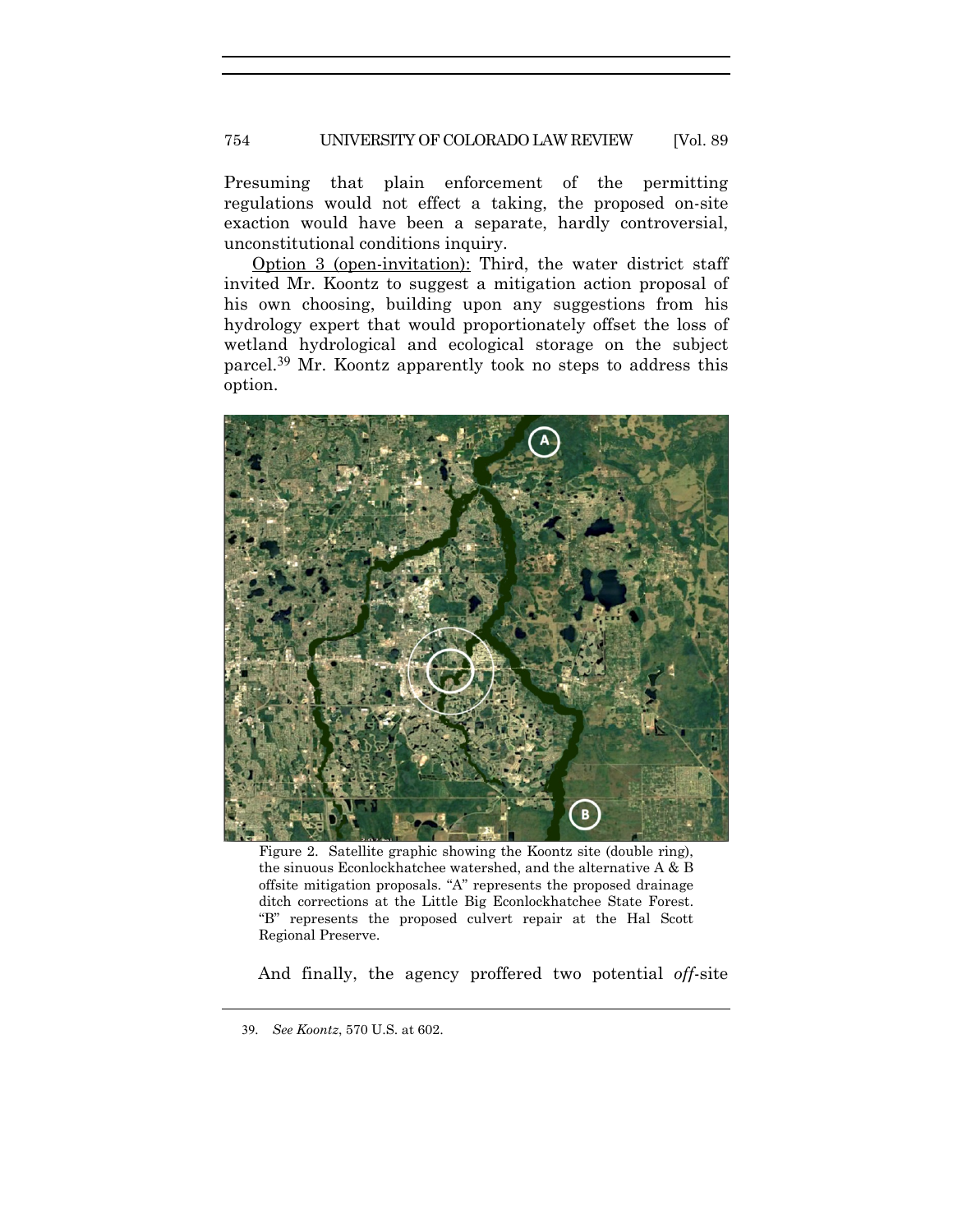#### 754 UNIVERSITY OF COLORADO LAW REVIEW [Vol. 89

Presuming that plain enforcement of the permitting regulations would not effect a taking, the proposed on-site exaction would have been a separate, hardly controversial, unconstitutional conditions inquiry.

 Option 3 (open-invitation): Third, the water district staff invited Mr. Koontz to suggest a mitigation action proposal of his own choosing, building upon any suggestions from his hydrology expert that would proportionately offset the loss of wetland hydrological and ecological storage on the subject parcel.39 Mr. Koontz apparently took no steps to address this option.



Figure 2. Satellite graphic showing the Koontz site (double ring), the sinuous Econlockhatchee watershed, and the alternative A & B offsite mitigation proposals. "A" represents the proposed drainage ditch corrections at the Little Big Econlockhatchee State Forest. "B" represents the proposed culvert repair at the Hal Scott Regional Preserve.

And finally, the agency proffered two potential *off*-site

<sup>39</sup>*. See Koontz*, 570 U.S. at 602.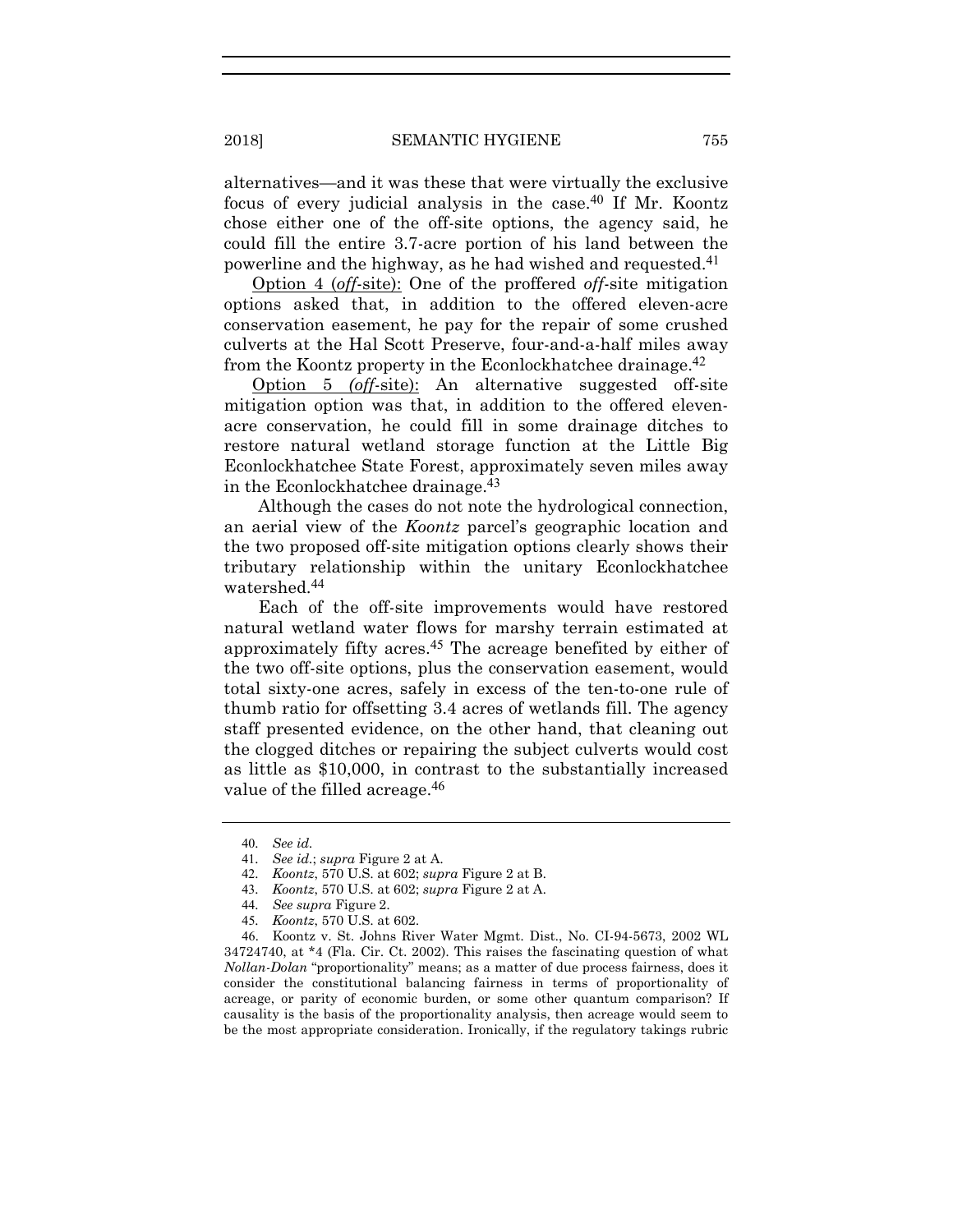alternatives—and it was these that were virtually the exclusive focus of every judicial analysis in the case.<sup>40</sup> If Mr. Koontz chose either one of the off-site options, the agency said, he could fill the entire 3.7-acre portion of his land between the powerline and the highway, as he had wished and requested.41

 Option 4 (*off*-site): One of the proffered *off*-site mitigation options asked that, in addition to the offered eleven-acre conservation easement, he pay for the repair of some crushed culverts at the Hal Scott Preserve, four-and-a-half miles away from the Koontz property in the Econlockhatchee drainage.42

 Option 5 *(off*-site): An alternative suggested off-site mitigation option was that, in addition to the offered elevenacre conservation, he could fill in some drainage ditches to restore natural wetland storage function at the Little Big Econlockhatchee State Forest, approximately seven miles away in the Econlockhatchee drainage.43

Although the cases do not note the hydrological connection, an aerial view of the *Koontz* parcel's geographic location and the two proposed off-site mitigation options clearly shows their tributary relationship within the unitary Econlockhatchee watershed.44

Each of the off-site improvements would have restored natural wetland water flows for marshy terrain estimated at approximately fifty acres.45 The acreage benefited by either of the two off-site options, plus the conservation easement, would total sixty-one acres, safely in excess of the ten-to-one rule of thumb ratio for offsetting 3.4 acres of wetlands fill. The agency staff presented evidence, on the other hand, that cleaning out the clogged ditches or repairing the subject culverts would cost as little as \$10,000, in contrast to the substantially increased value of the filled acreage.<sup>46</sup>

<sup>40</sup>*. See id.*

<sup>41</sup>*. See id.*; *supra* Figure 2 at A.

<sup>42</sup>*. Koontz*, 570 U.S. at 602; *supra* Figure 2 at B.

<sup>43</sup>*. Koontz*, 570 U.S. at 602; *supra* Figure 2 at A.

<sup>44</sup>*. See supra* Figure 2.

<sup>45</sup>*. Koontz*, 570 U.S. at 602.

<sup>46</sup>. Koontz v. St. Johns River Water Mgmt. Dist., No. CI-94-5673, 2002 WL 34724740, at \*4 (Fla. Cir. Ct. 2002). This raises the fascinating question of what *Nollan-Dolan* "proportionality" means; as a matter of due process fairness, does it consider the constitutional balancing fairness in terms of proportionality of acreage, or parity of economic burden, or some other quantum comparison? If causality is the basis of the proportionality analysis, then acreage would seem to be the most appropriate consideration. Ironically, if the regulatory takings rubric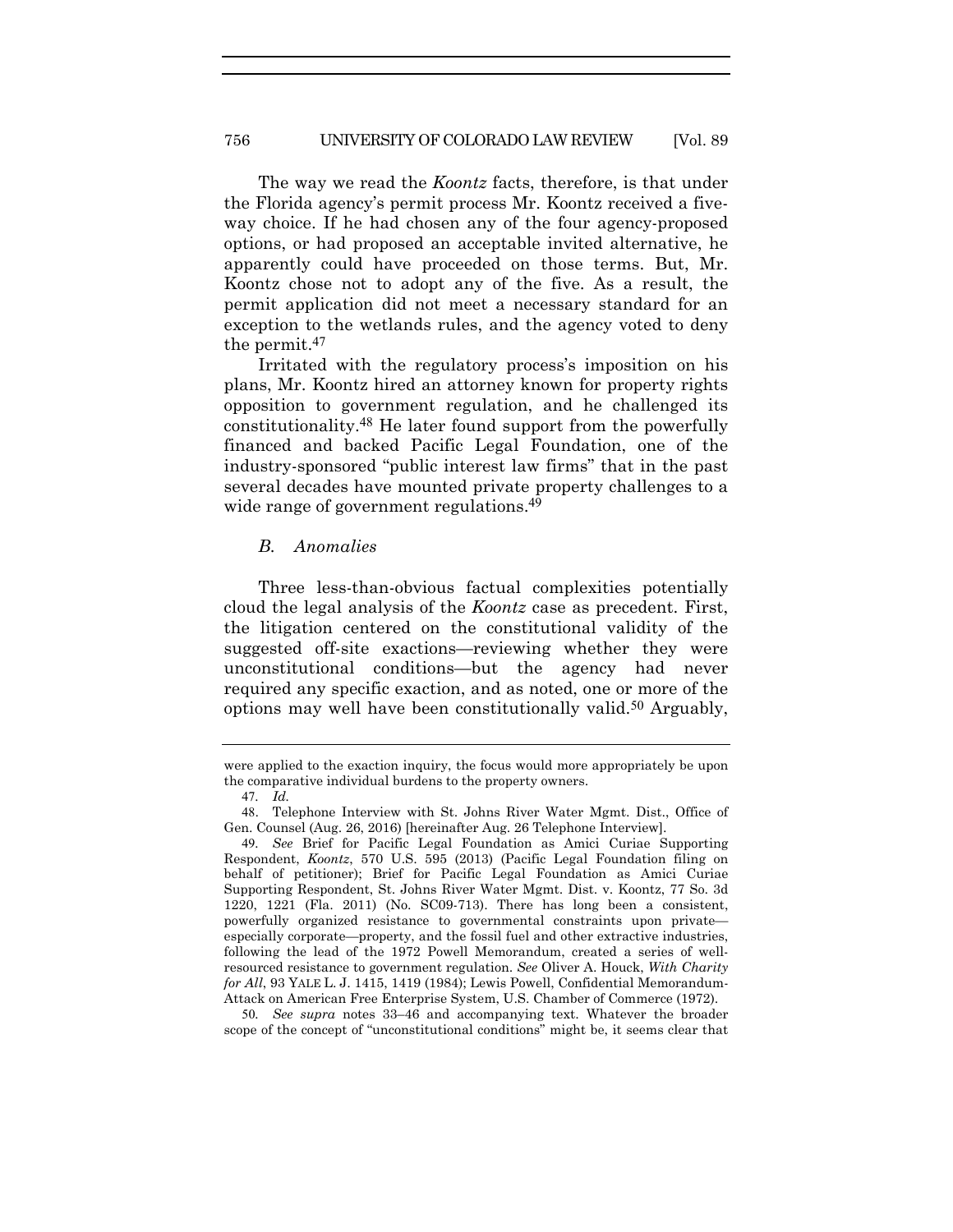The way we read the *Koontz* facts, therefore, is that under the Florida agency's permit process Mr. Koontz received a fiveway choice. If he had chosen any of the four agency-proposed options, or had proposed an acceptable invited alternative, he apparently could have proceeded on those terms. But, Mr. Koontz chose not to adopt any of the five. As a result, the permit application did not meet a necessary standard for an exception to the wetlands rules, and the agency voted to deny the permit.47

Irritated with the regulatory process's imposition on his plans, Mr. Koontz hired an attorney known for property rights opposition to government regulation, and he challenged its constitutionality.48 He later found support from the powerfully financed and backed Pacific Legal Foundation, one of the industry-sponsored "public interest law firms" that in the past several decades have mounted private property challenges to a wide range of government regulations.<sup>49</sup>

#### *B. Anomalies*

Three less-than-obvious factual complexities potentially cloud the legal analysis of the *Koontz* case as precedent. First, the litigation centered on the constitutional validity of the suggested off-site exactions—reviewing whether they were unconstitutional conditions—but the agency had never required any specific exaction, and as noted, one or more of the options may well have been constitutionally valid.50 Arguably,

were applied to the exaction inquiry, the focus would more appropriately be upon the comparative individual burdens to the property owners.

<sup>47</sup>*. Id.*

<sup>48</sup>. Telephone Interview with St. Johns River Water Mgmt. Dist., Office of Gen. Counsel (Aug. 26, 2016) [hereinafter Aug. 26 Telephone Interview].

<sup>49</sup>*. See* Brief for Pacific Legal Foundation as Amici Curiae Supporting Respondent, *Koontz*, 570 U.S. 595 (2013) (Pacific Legal Foundation filing on behalf of petitioner); Brief for Pacific Legal Foundation as Amici Curiae Supporting Respondent, St. Johns River Water Mgmt. Dist. v. Koontz, 77 So. 3d 1220, 1221 (Fla. 2011) (No. SC09-713). There has long been a consistent, powerfully organized resistance to governmental constraints upon private especially corporate—property, and the fossil fuel and other extractive industries, following the lead of the 1972 Powell Memorandum, created a series of wellresourced resistance to government regulation. *See* Oliver A. Houck, *With Charity for All*, 93 YALE L. J. 1415, 1419 (1984); Lewis Powell, Confidential Memorandum-Attack on American Free Enterprise System, U.S. Chamber of Commerce (1972).

<sup>50</sup>*. See supra* notes 33–46 and accompanying text. Whatever the broader scope of the concept of "unconstitutional conditions" might be, it seems clear that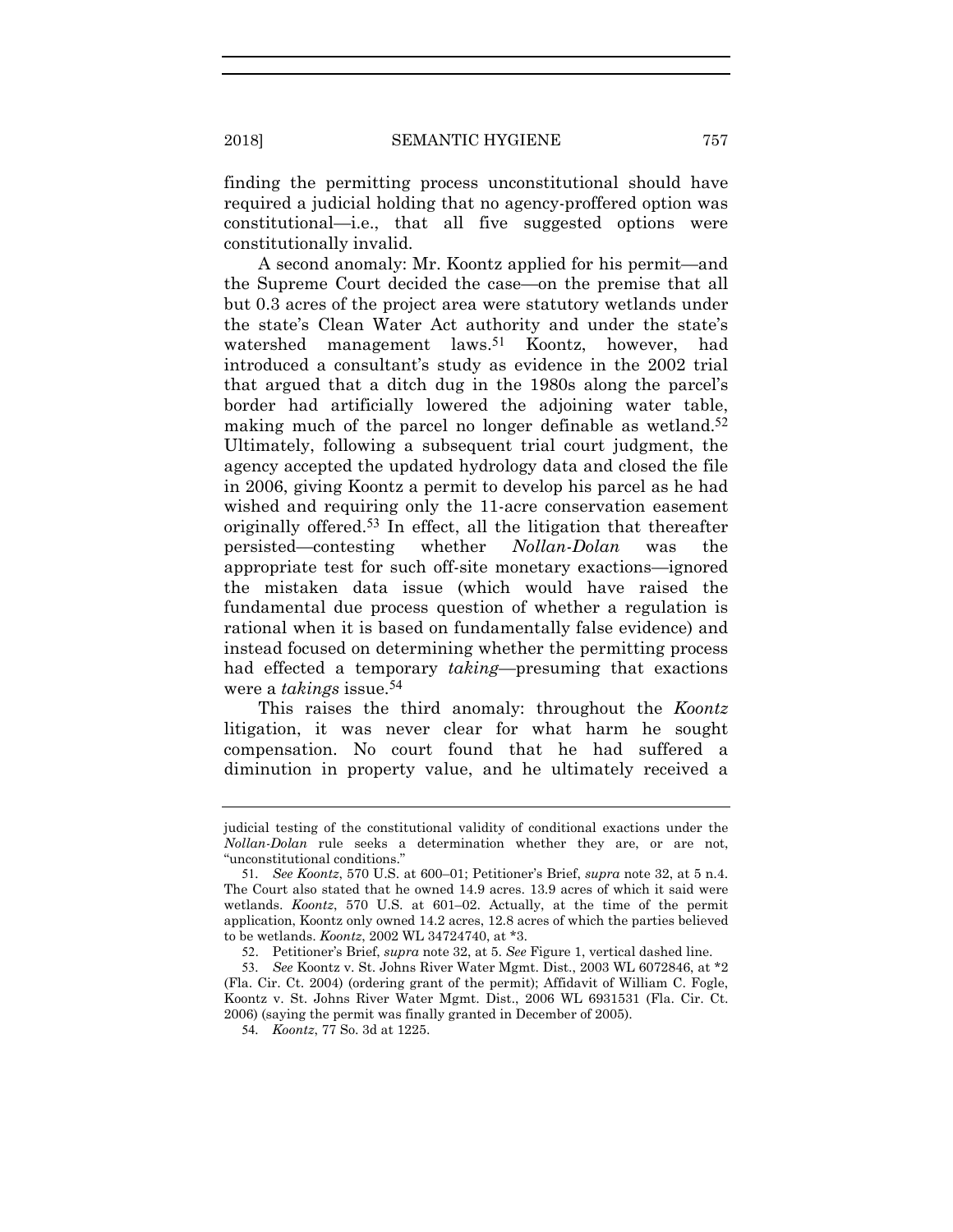finding the permitting process unconstitutional should have required a judicial holding that no agency-proffered option was constitutional—i.e., that all five suggested options were constitutionally invalid.

A second anomaly: Mr. Koontz applied for his permit—and the Supreme Court decided the case—on the premise that all but 0.3 acres of the project area were statutory wetlands under the state's Clean Water Act authority and under the state's watershed management laws.<sup>51</sup> Koontz, however, had introduced a consultant's study as evidence in the 2002 trial that argued that a ditch dug in the 1980s along the parcel's border had artificially lowered the adjoining water table, making much of the parcel no longer definable as wetland.<sup>52</sup> Ultimately, following a subsequent trial court judgment, the agency accepted the updated hydrology data and closed the file in 2006, giving Koontz a permit to develop his parcel as he had wished and requiring only the 11-acre conservation easement originally offered.53 In effect, all the litigation that thereafter persisted—contesting whether *Nollan-Dolan* was the appropriate test for such off-site monetary exactions—ignored the mistaken data issue (which would have raised the fundamental due process question of whether a regulation is rational when it is based on fundamentally false evidence) and instead focused on determining whether the permitting process had effected a temporary *taking*—presuming that exactions were a *takings* issue.54

This raises the third anomaly: throughout the *Koontz* litigation, it was never clear for what harm he sought compensation. No court found that he had suffered a diminution in property value, and he ultimately received a

judicial testing of the constitutional validity of conditional exactions under the *Nollan-Dolan* rule seeks a determination whether they are, or are not, "unconstitutional conditions."

<sup>51</sup>*. See Koontz*, 570 U.S. at 600–01; Petitioner's Brief, *supra* note 32, at 5 n.4. The Court also stated that he owned 14.9 acres. 13.9 acres of which it said were wetlands. *Koontz*, 570 U.S. at 601–02. Actually, at the time of the permit application, Koontz only owned 14.2 acres, 12.8 acres of which the parties believed to be wetlands. *Koontz*, 2002 WL 34724740, at \*3.

<sup>52</sup>. Petitioner's Brief, *supra* note 32, at 5. *See* Figure 1, vertical dashed line.

<sup>53</sup>*. See* Koontz v. St. Johns River Water Mgmt. Dist., 2003 WL 6072846, at \*2 (Fla. Cir. Ct. 2004) (ordering grant of the permit); Affidavit of William C. Fogle, Koontz v. St. Johns River Water Mgmt. Dist., 2006 WL 6931531 (Fla. Cir. Ct. 2006) (saying the permit was finally granted in December of 2005).

<sup>54</sup>*. Koontz*, 77 So. 3d at 1225.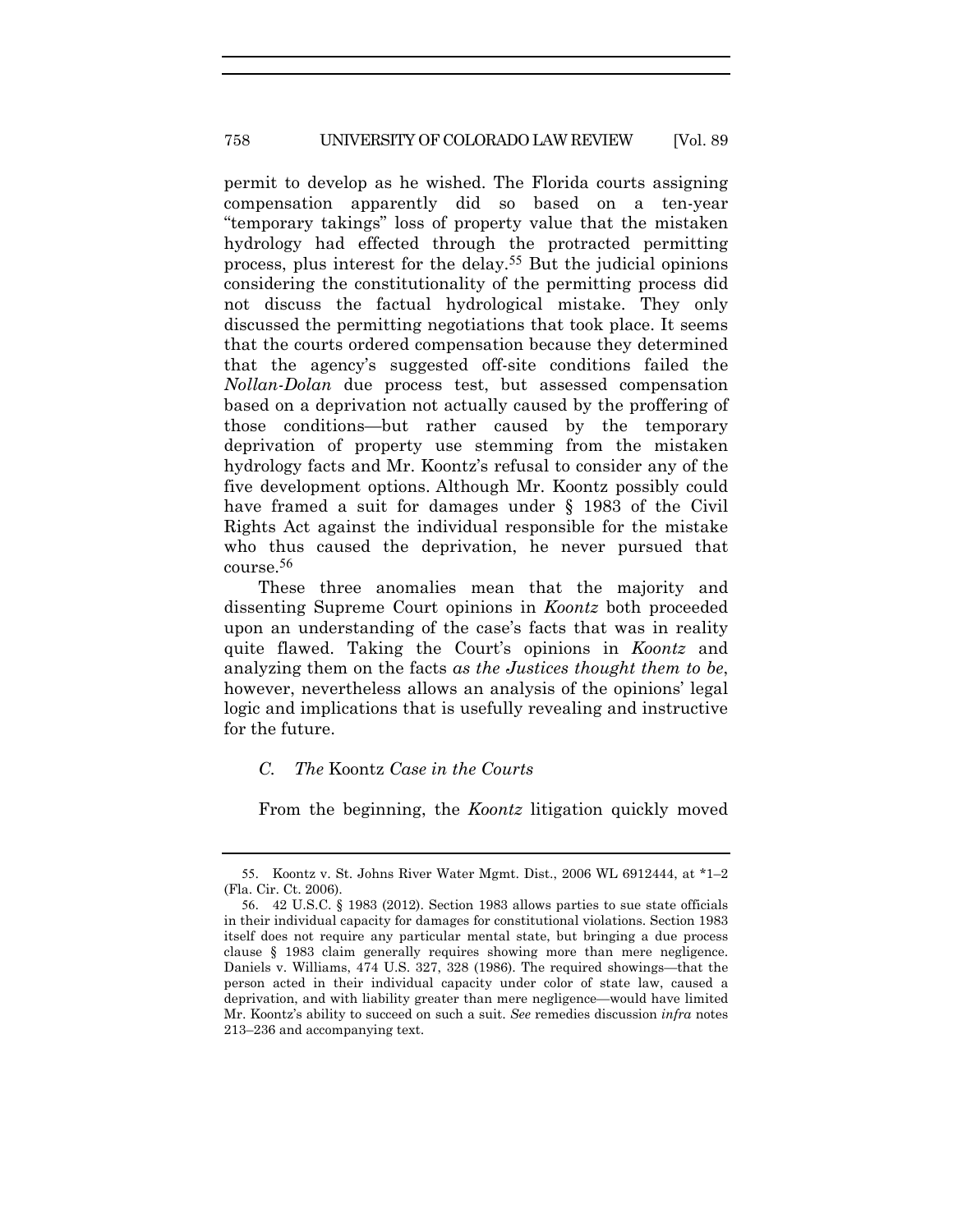#### 758 UNIVERSITY OF COLORADO LAW REVIEW [Vol. 89

permit to develop as he wished. The Florida courts assigning compensation apparently did so based on a ten-year "temporary takings" loss of property value that the mistaken hydrology had effected through the protracted permitting process, plus interest for the delay.55 But the judicial opinions considering the constitutionality of the permitting process did not discuss the factual hydrological mistake. They only discussed the permitting negotiations that took place. It seems that the courts ordered compensation because they determined that the agency's suggested off-site conditions failed the *Nollan-Dolan* due process test, but assessed compensation based on a deprivation not actually caused by the proffering of those conditions—but rather caused by the temporary deprivation of property use stemming from the mistaken hydrology facts and Mr. Koontz's refusal to consider any of the five development options. Although Mr. Koontz possibly could have framed a suit for damages under § 1983 of the Civil Rights Act against the individual responsible for the mistake who thus caused the deprivation, he never pursued that course.56

These three anomalies mean that the majority and dissenting Supreme Court opinions in *Koontz* both proceeded upon an understanding of the case's facts that was in reality quite flawed. Taking the Court's opinions in *Koontz* and analyzing them on the facts *as the Justices thought them to be*, however, nevertheless allows an analysis of the opinions' legal logic and implications that is usefully revealing and instructive for the future.

# *C. The* Koontz *Case in the Courts*

From the beginning, the *Koontz* litigation quickly moved

<sup>55</sup>. Koontz v. St. Johns River Water Mgmt. Dist., 2006 WL 6912444, at \*1–2 (Fla. Cir. Ct. 2006).

<sup>56</sup>. 42 U.S.C. § 1983 (2012). Section 1983 allows parties to sue state officials in their individual capacity for damages for constitutional violations. Section 1983 itself does not require any particular mental state, but bringing a due process clause § 1983 claim generally requires showing more than mere negligence. Daniels v. Williams, 474 U.S. 327, 328 (1986). The required showings—that the person acted in their individual capacity under color of state law, caused a deprivation, and with liability greater than mere negligence—would have limited Mr. Koontz's ability to succeed on such a suit. *See* remedies discussion *infra* notes 213–236 and accompanying text.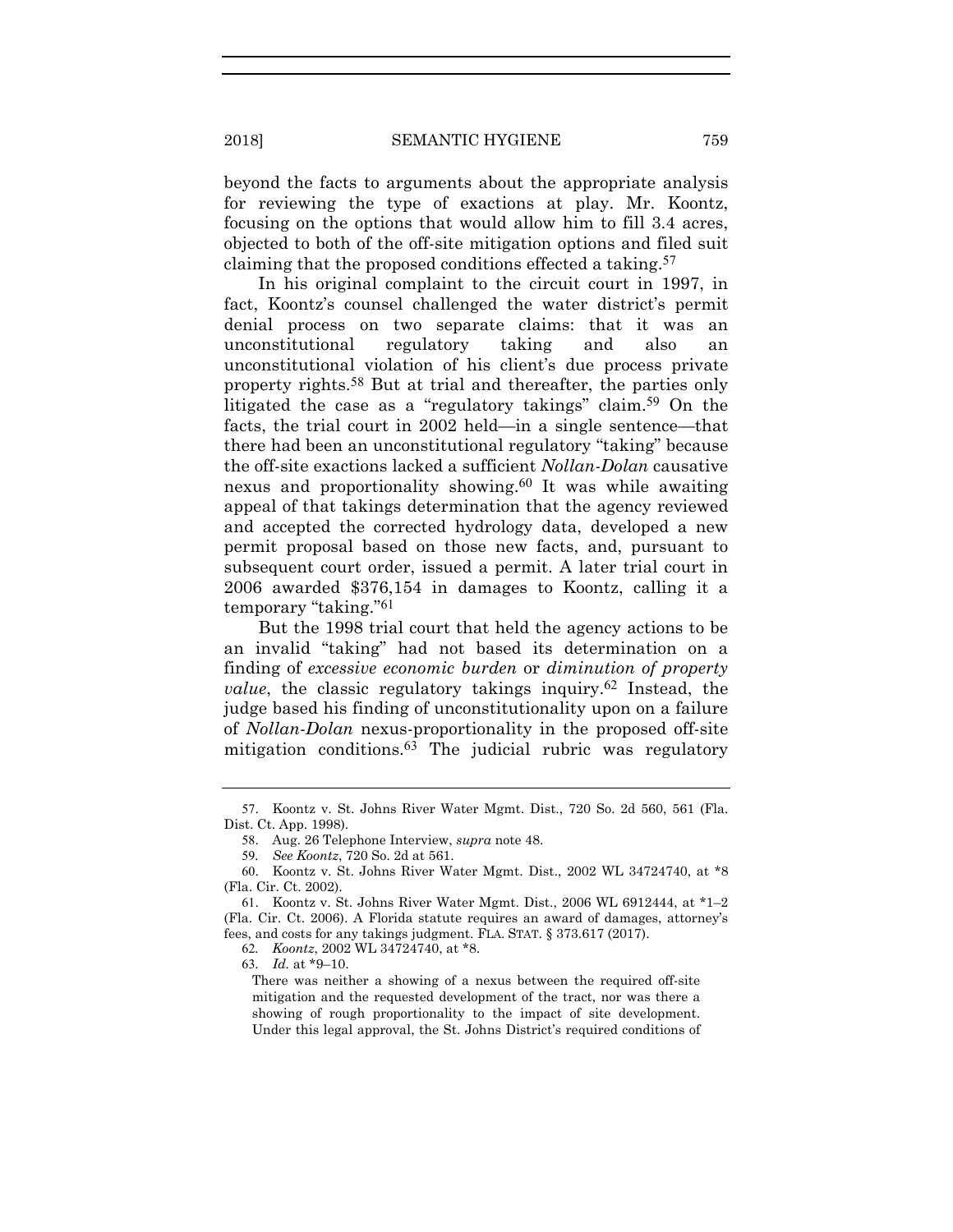beyond the facts to arguments about the appropriate analysis for reviewing the type of exactions at play. Mr. Koontz, focusing on the options that would allow him to fill 3.4 acres, objected to both of the off-site mitigation options and filed suit claiming that the proposed conditions effected a taking.57

In his original complaint to the circuit court in 1997, in fact, Koontz's counsel challenged the water district's permit denial process on two separate claims: that it was an unconstitutional regulatory taking and also an unconstitutional violation of his client's due process private property rights.58 But at trial and thereafter, the parties only litigated the case as a "regulatory takings" claim.<sup>59</sup> On the facts, the trial court in 2002 held—in a single sentence—that there had been an unconstitutional regulatory "taking" because the off-site exactions lacked a sufficient *Nollan-Dolan* causative nexus and proportionality showing.60 It was while awaiting appeal of that takings determination that the agency reviewed and accepted the corrected hydrology data, developed a new permit proposal based on those new facts, and, pursuant to subsequent court order, issued a permit. A later trial court in 2006 awarded \$376,154 in damages to Koontz, calling it a temporary "taking."61

But the 1998 trial court that held the agency actions to be an invalid "taking" had not based its determination on a finding of *excessive economic burden* or *diminution of property value*, the classic regulatory takings inquiry.<sup>62</sup> Instead, the judge based his finding of unconstitutionality upon on a failure of *Nollan-Dolan* nexus-proportionality in the proposed off-site mitigation conditions.63 The judicial rubric was regulatory

<sup>57</sup>. Koontz v. St. Johns River Water Mgmt. Dist., 720 So. 2d 560, 561 (Fla. Dist. Ct. App. 1998).

<sup>58</sup>. Aug. 26 Telephone Interview, *supra* note 48.

<sup>59</sup>*. See Koontz*, 720 So. 2d at 561.

<sup>60</sup>. Koontz v. St. Johns River Water Mgmt. Dist., 2002 WL 34724740, at \*8 (Fla. Cir. Ct. 2002).

<sup>61</sup>. Koontz v. St. Johns River Water Mgmt. Dist., 2006 WL 6912444, at \*1–2 (Fla. Cir. Ct. 2006). A Florida statute requires an award of damages, attorney's fees, and costs for any takings judgment. FLA. STAT. § 373.617 (2017).

<sup>62</sup>*. Koontz*, 2002 WL 34724740, at \*8.

<sup>63</sup>*. Id.* at \*9–10.

There was neither a showing of a nexus between the required off-site mitigation and the requested development of the tract, nor was there a showing of rough proportionality to the impact of site development. Under this legal approval, the St. Johns District's required conditions of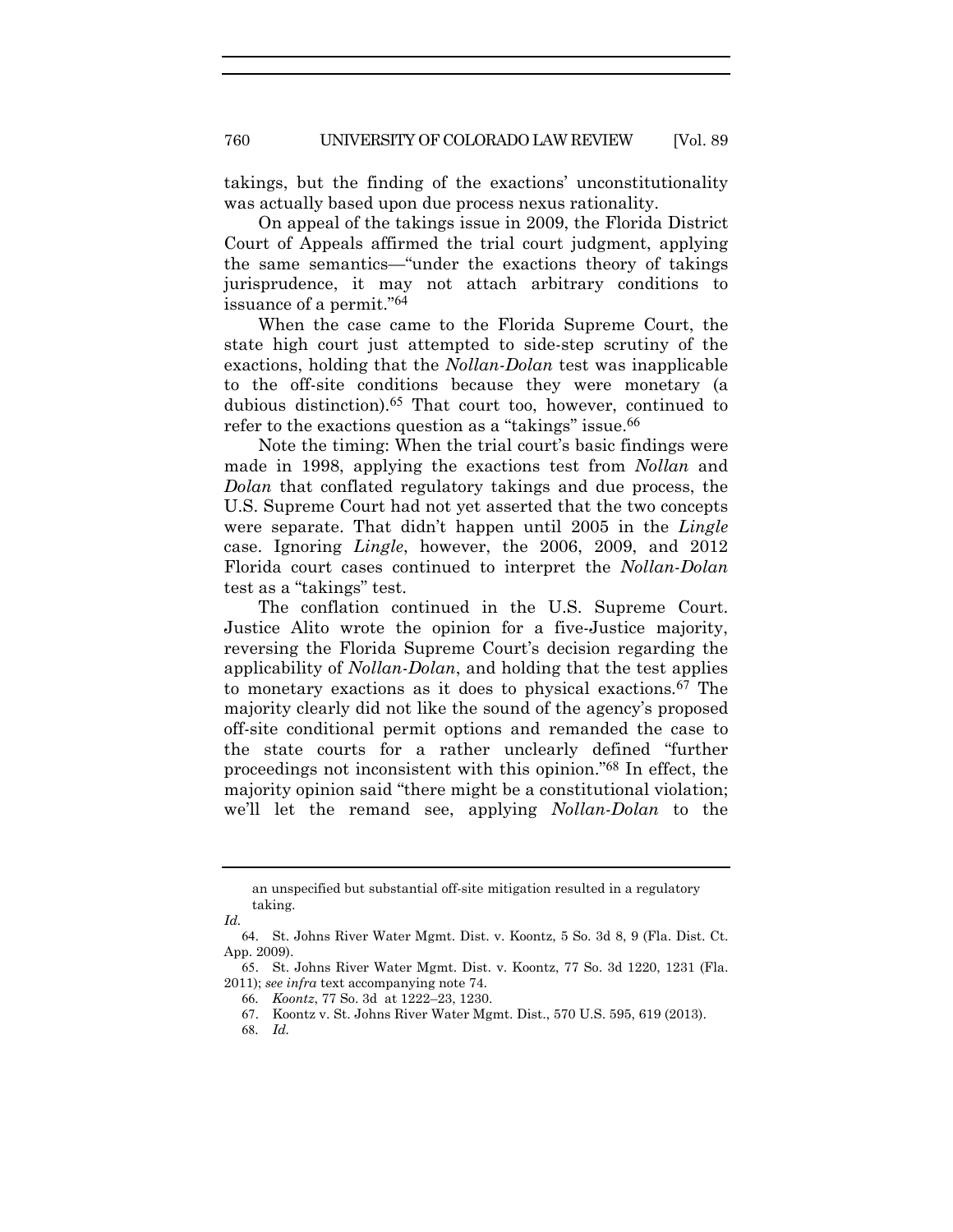takings, but the finding of the exactions' unconstitutionality was actually based upon due process nexus rationality.

On appeal of the takings issue in 2009, the Florida District Court of Appeals affirmed the trial court judgment, applying the same semantics—"under the exactions theory of takings jurisprudence, it may not attach arbitrary conditions to issuance of a permit."64

When the case came to the Florida Supreme Court, the state high court just attempted to side-step scrutiny of the exactions, holding that the *Nollan-Dolan* test was inapplicable to the off-site conditions because they were monetary (a dubious distinction).65 That court too, however, continued to refer to the exactions question as a "takings" issue.<sup>66</sup>

Note the timing: When the trial court's basic findings were made in 1998, applying the exactions test from *Nollan* and *Dolan* that conflated regulatory takings and due process, the U.S. Supreme Court had not yet asserted that the two concepts were separate. That didn't happen until 2005 in the *Lingle* case. Ignoring *Lingle*, however, the 2006, 2009, and 2012 Florida court cases continued to interpret the *Nollan-Dolan* test as a "takings" test.

The conflation continued in the U.S. Supreme Court. Justice Alito wrote the opinion for a five-Justice majority, reversing the Florida Supreme Court's decision regarding the applicability of *Nollan-Dolan*, and holding that the test applies to monetary exactions as it does to physical exactions*.*67 The majority clearly did not like the sound of the agency's proposed off-site conditional permit options and remanded the case to the state courts for a rather unclearly defined "further proceedings not inconsistent with this opinion."68 In effect, the majority opinion said "there might be a constitutional violation; we'll let the remand see, applying *Nollan-Dolan* to the

an unspecified but substantial off-site mitigation resulted in a regulatory taking.

*Id.*

<sup>64</sup>. St. Johns River Water Mgmt. Dist. v. Koontz, 5 So. 3d 8, 9 (Fla. Dist. Ct. App. 2009).

<sup>65</sup>. St. Johns River Water Mgmt. Dist. v. Koontz, 77 So. 3d 1220, 1231 (Fla. 2011); *see infra* text accompanying note 74.

<sup>66</sup>*. Koontz*, 77 So. 3d at 1222–23, 1230.

<sup>67</sup>. Koontz v. St. Johns River Water Mgmt. Dist., 570 U.S. 595, 619 (2013).

<sup>68</sup>*. Id.*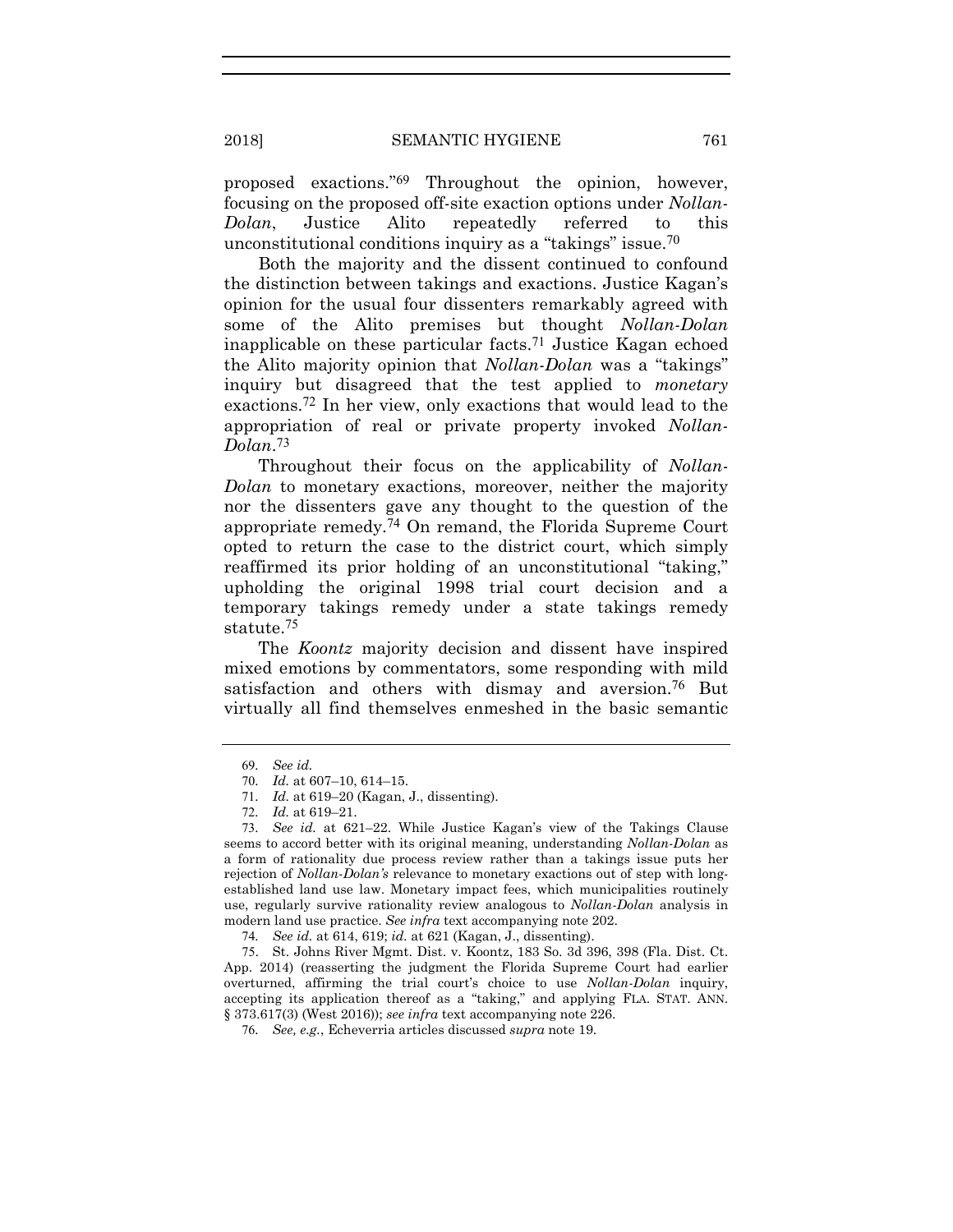proposed exactions."69 Throughout the opinion, however, focusing on the proposed off-site exaction options under *Nollan-Dolan*, Justice Alito repeatedly referred to this unconstitutional conditions inquiry as a "takings" issue.70

Both the majority and the dissent continued to confound the distinction between takings and exactions. Justice Kagan's opinion for the usual four dissenters remarkably agreed with some of the Alito premises but thought *Nollan-Dolan* inapplicable on these particular facts.<sup>71</sup> Justice Kagan echoed the Alito majority opinion that *Nollan-Dolan* was a "takings" inquiry but disagreed that the test applied to *monetary* exactions.72 In her view, only exactions that would lead to the appropriation of real or private property invoked *Nollan-Dolan*.73

Throughout their focus on the applicability of *Nollan-Dolan* to monetary exactions, moreover, neither the majority nor the dissenters gave any thought to the question of the appropriate remedy.74 On remand, the Florida Supreme Court opted to return the case to the district court, which simply reaffirmed its prior holding of an unconstitutional "taking," upholding the original 1998 trial court decision and a temporary takings remedy under a state takings remedy statute.75

The *Koontz* majority decision and dissent have inspired mixed emotions by commentators, some responding with mild satisfaction and others with dismay and aversion.<sup>76</sup> But virtually all find themselves enmeshed in the basic semantic

<sup>69</sup>*. See id.*

<sup>70</sup>*. Id.* at 607–10, 614–15.

<sup>71</sup>*. Id.* at 619–20 (Kagan, J., dissenting).

<sup>72</sup>*. Id.* at 619–21.

<sup>73</sup>*. See id.* at 621–22. While Justice Kagan's view of the Takings Clause seems to accord better with its original meaning, understanding *Nollan-Dolan* as a form of rationality due process review rather than a takings issue puts her rejection of *Nollan-Dolan's* relevance to monetary exactions out of step with longestablished land use law. Monetary impact fees, which municipalities routinely use, regularly survive rationality review analogous to *Nollan-Dolan* analysis in modern land use practice. *See infra* text accompanying note 202.

<sup>74</sup>*. See id.* at 614, 619; *id.* at 621 (Kagan, J., dissenting).

<sup>75</sup>. St. Johns River Mgmt. Dist. v. Koontz, 183 So. 3d 396, 398 (Fla. Dist. Ct. App. 2014) (reasserting the judgment the Florida Supreme Court had earlier overturned, affirming the trial court's choice to use *Nollan-Dolan* inquiry, accepting its application thereof as a "taking," and applying FLA. STAT. ANN. § 373.617(3) (West 2016)); *see infra* text accompanying note 226.

<sup>76</sup>*. See, e.g.*, Echeverria articles discussed *supra* note 19.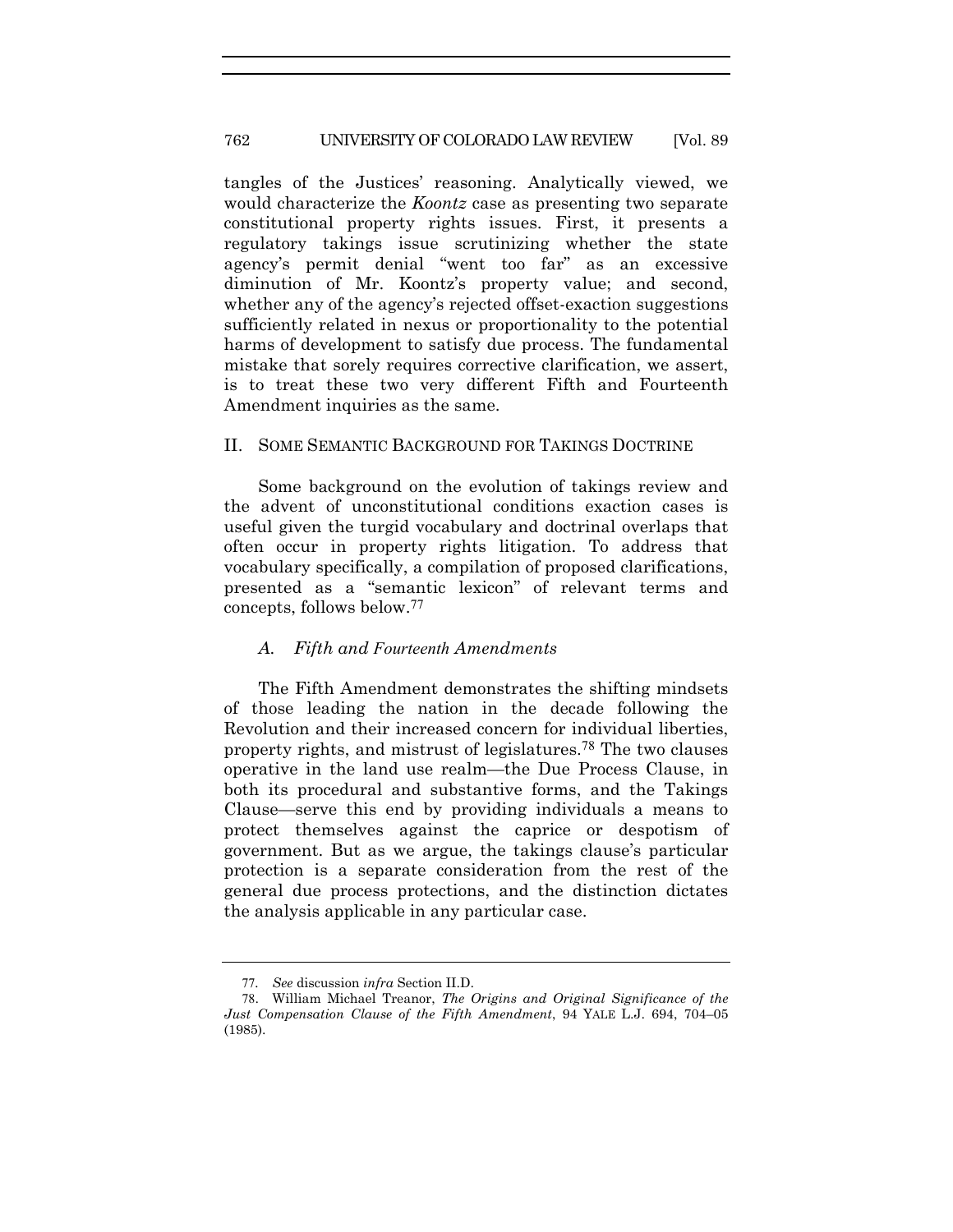#### 762 UNIVERSITY OF COLORADO LAW REVIEW [Vol. 89

tangles of the Justices' reasoning. Analytically viewed, we would characterize the *Koontz* case as presenting two separate constitutional property rights issues. First, it presents a regulatory takings issue scrutinizing whether the state agency's permit denial "went too far" as an excessive diminution of Mr. Koontz's property value; and second, whether any of the agency's rejected offset-exaction suggestions sufficiently related in nexus or proportionality to the potential harms of development to satisfy due process. The fundamental mistake that sorely requires corrective clarification, we assert, is to treat these two very different Fifth and Fourteenth Amendment inquiries as the same.

#### II. SOME SEMANTIC BACKGROUND FOR TAKINGS DOCTRINE

Some background on the evolution of takings review and the advent of unconstitutional conditions exaction cases is useful given the turgid vocabulary and doctrinal overlaps that often occur in property rights litigation. To address that vocabulary specifically, a compilation of proposed clarifications, presented as a "semantic lexicon" of relevant terms and concepts, follows below.77

#### *A. Fifth and Fourteenth Amendments*

The Fifth Amendment demonstrates the shifting mindsets of those leading the nation in the decade following the Revolution and their increased concern for individual liberties, property rights, and mistrust of legislatures.78 The two clauses operative in the land use realm—the Due Process Clause, in both its procedural and substantive forms, and the Takings Clause—serve this end by providing individuals a means to protect themselves against the caprice or despotism of government. But as we argue, the takings clause's particular protection is a separate consideration from the rest of the general due process protections, and the distinction dictates the analysis applicable in any particular case.

<sup>77</sup>*. See* discussion *infra* Section II.D.

<sup>78</sup>. William Michael Treanor, *The Origins and Original Significance of the Just Compensation Clause of the Fifth Amendment*, 94 YALE L.J. 694, 704–05 (1985).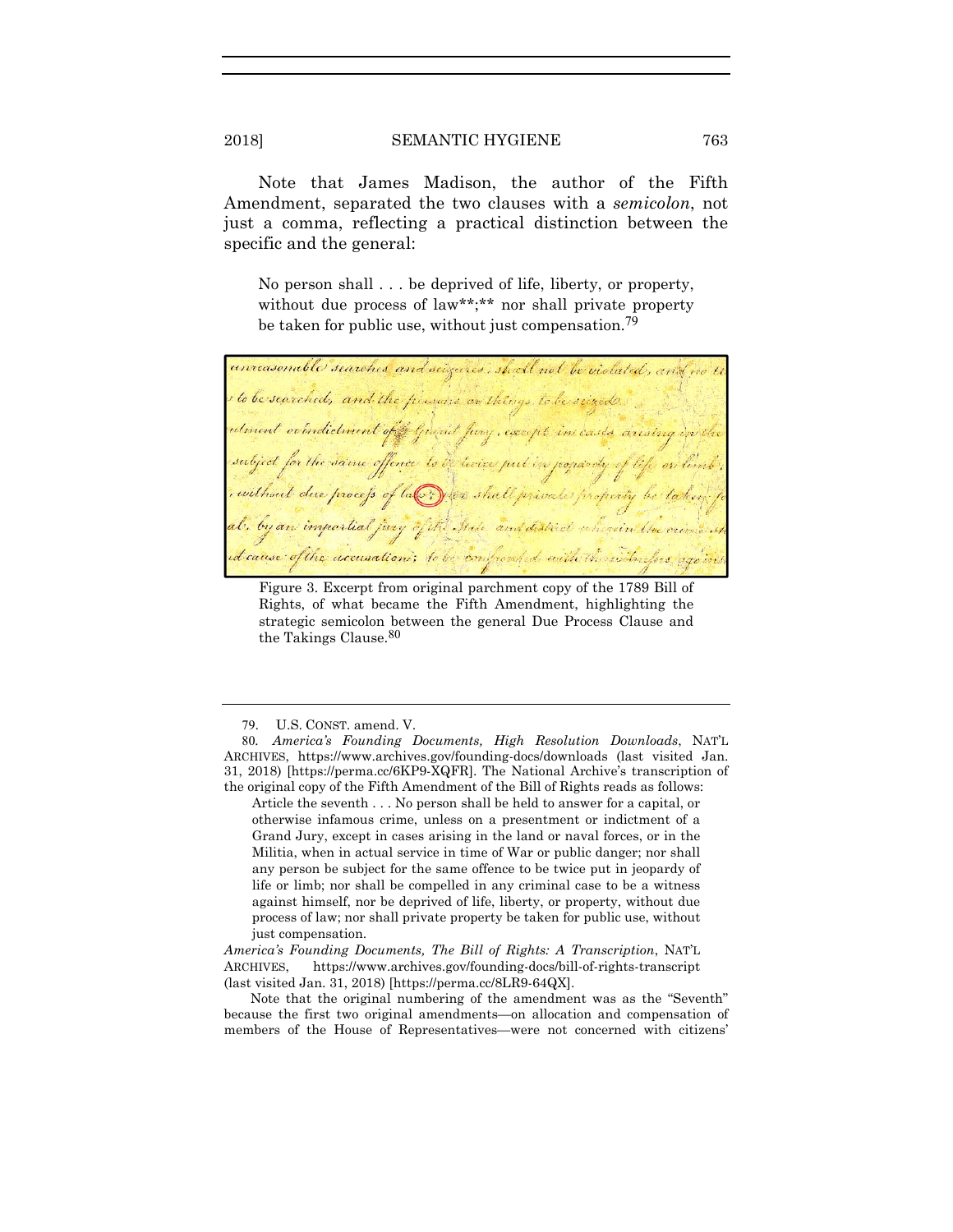Note that James Madison, the author of the Fifth Amendment, separated the two clauses with a *semicolon*, not just a comma, reflecting a practical distinction between the specific and the general:

No person shall . . . be deprived of life, liberty, or property, without due process of law\*\*;\*\* nor shall private property be taken for public use, without just compensation.<sup>79</sup>

unreasenable searches and seizures, shoell not be violated, and we I to be searched, and the plusins on things to be seized utment or indictment of grand fung, except in cases arising in the subject for the same offence to be twice put in jequindy of , without due process of law you shall private property be al, by an impartial jury of the State and distinct wherein the crime in d cause of the accusation; to be confronted with the with opes again.

Figure 3. Excerpt from original parchment copy of the 1789 Bill of Rights, of what became the Fifth Amendment, highlighting the strategic semicolon between the general Due Process Clause and the Takings Clause.80

*America's Founding Documents, The Bill of Rights: A Transcription*, NAT'L ARCHIVES, https://www.archives.gov/founding-docs/bill-of-rights-transcript (last visited Jan. 31, 2018) [https://perma.cc/8LR9-64QX].

Note that the original numbering of the amendment was as the "Seventh" because the first two original amendments—on allocation and compensation of members of the House of Representatives—were not concerned with citizens'

<sup>79</sup>. U.S. CONST. amend. V.

<sup>80</sup>*. America's Founding Documents, High Resolution Downloads*, NAT'L ARCHIVES, https://www.archives.gov/founding-docs/downloads (last visited Jan. 31, 2018) [https://perma.cc/6KP9-XQFR]. The National Archive's transcription of the original copy of the Fifth Amendment of the Bill of Rights reads as follows:

Article the seventh . . . No person shall be held to answer for a capital, or otherwise infamous crime, unless on a presentment or indictment of a Grand Jury, except in cases arising in the land or naval forces, or in the Militia, when in actual service in time of War or public danger; nor shall any person be subject for the same offence to be twice put in jeopardy of life or limb; nor shall be compelled in any criminal case to be a witness against himself, nor be deprived of life, liberty, or property, without due process of law; nor shall private property be taken for public use, without just compensation.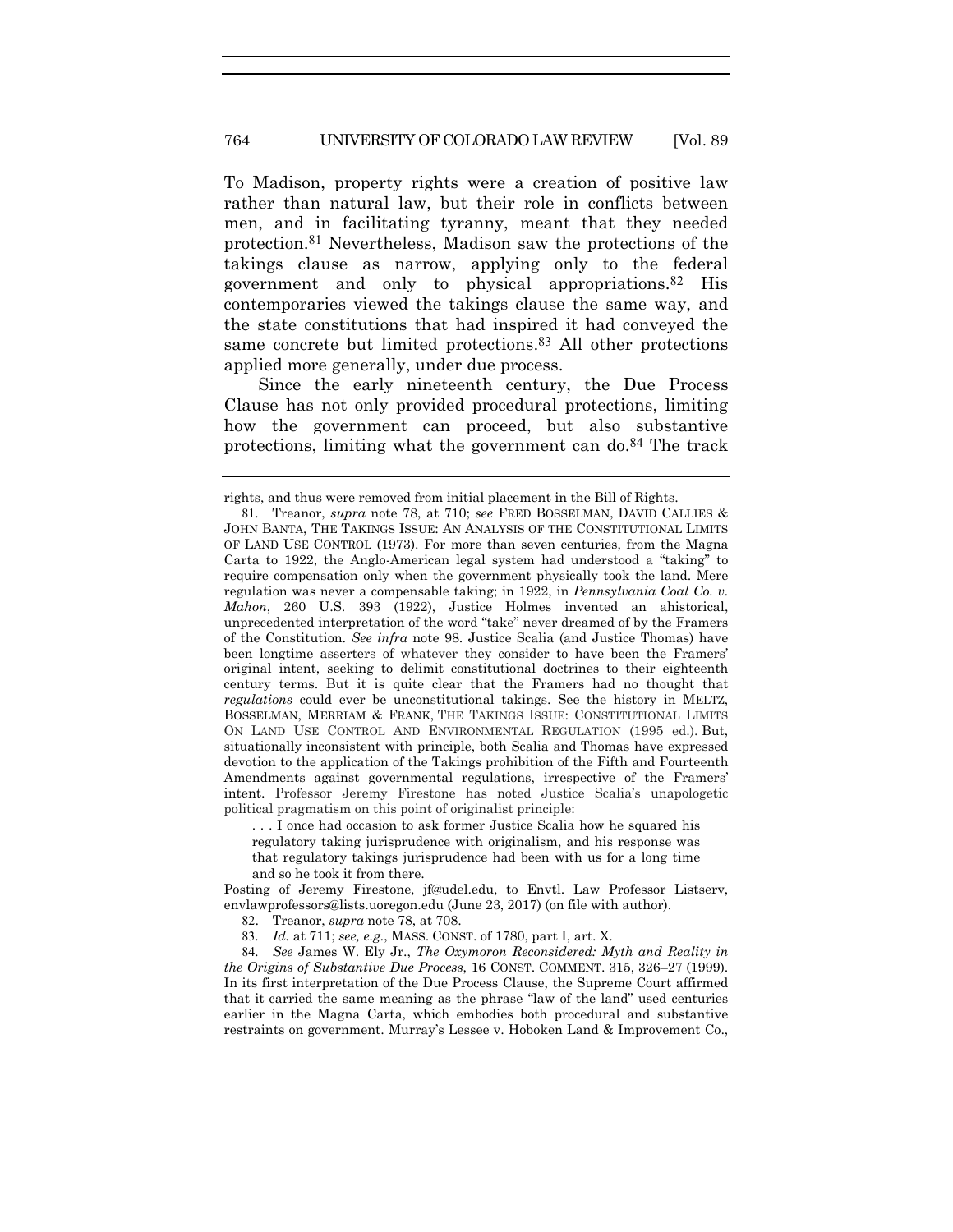#### 764 UNIVERSITY OF COLORADO LAW REVIEW [Vol. 89

To Madison, property rights were a creation of positive law rather than natural law, but their role in conflicts between men, and in facilitating tyranny, meant that they needed protection.81 Nevertheless, Madison saw the protections of the takings clause as narrow, applying only to the federal government and only to physical appropriations.82 His contemporaries viewed the takings clause the same way, and the state constitutions that had inspired it had conveyed the same concrete but limited protections.<sup>83</sup> All other protections applied more generally, under due process.

Since the early nineteenth century, the Due Process Clause has not only provided procedural protections, limiting how the government can proceed, but also substantive protections, limiting what the government can do.84 The track

. . . I once had occasion to ask former Justice Scalia how he squared his

regulatory taking jurisprudence with originalism, and his response was that regulatory takings jurisprudence had been with us for a long time and so he took it from there.

Posting of Jeremy Firestone, jf@udel.edu, to Envtl. Law Professor Listserv, envlawprofessors@lists.uoregon.edu (June 23, 2017) (on file with author).

82. Treanor, *supra* note 78, at 708.

83*. Id.* at 711; *see, e.g.*, MASS. CONST. of 1780, part I, art. X.

84*. See* James W. Ely Jr., *The Oxymoron Reconsidered: Myth and Reality in the Origins of Substantive Due Process*, 16 CONST. COMMENT. 315, 326–27 (1999). In its first interpretation of the Due Process Clause, the Supreme Court affirmed that it carried the same meaning as the phrase "law of the land" used centuries earlier in the Magna Carta, which embodies both procedural and substantive restraints on government. Murray's Lessee v. Hoboken Land & Improvement Co.,

rights, and thus were removed from initial placement in the Bill of Rights.

<sup>81</sup>*.* Treanor, *supra* note 78, at 710; *see* FRED BOSSELMAN, DAVID CALLIES & JOHN BANTA, THE TAKINGS ISSUE: AN ANALYSIS OF THE CONSTITUTIONAL LIMITS OF LAND USE CONTROL (1973). For more than seven centuries, from the Magna Carta to 1922, the Anglo-American legal system had understood a "taking" to require compensation only when the government physically took the land. Mere regulation was never a compensable taking; in 1922, in *Pennsylvania Coal Co. v. Mahon*, 260 U.S. 393 (1922), Justice Holmes invented an ahistorical, unprecedented interpretation of the word "take" never dreamed of by the Framers of the Constitution. *See infra* note 98. Justice Scalia (and Justice Thomas) have been longtime asserters of whatever they consider to have been the Framers' original intent, seeking to delimit constitutional doctrines to their eighteenth century terms. But it is quite clear that the Framers had no thought that *regulations* could ever be unconstitutional takings. See the history in MELTZ, BOSSELMAN, MERRIAM & FRANK, THE TAKINGS ISSUE: CONSTITUTIONAL LIMITS ON LAND USE CONTROL AND ENVIRONMENTAL REGULATION (1995 ed.). But, situationally inconsistent with principle, both Scalia and Thomas have expressed devotion to the application of the Takings prohibition of the Fifth and Fourteenth Amendments against governmental regulations, irrespective of the Framers' intent. Professor Jeremy Firestone has noted Justice Scalia's unapologetic political pragmatism on this point of originalist principle: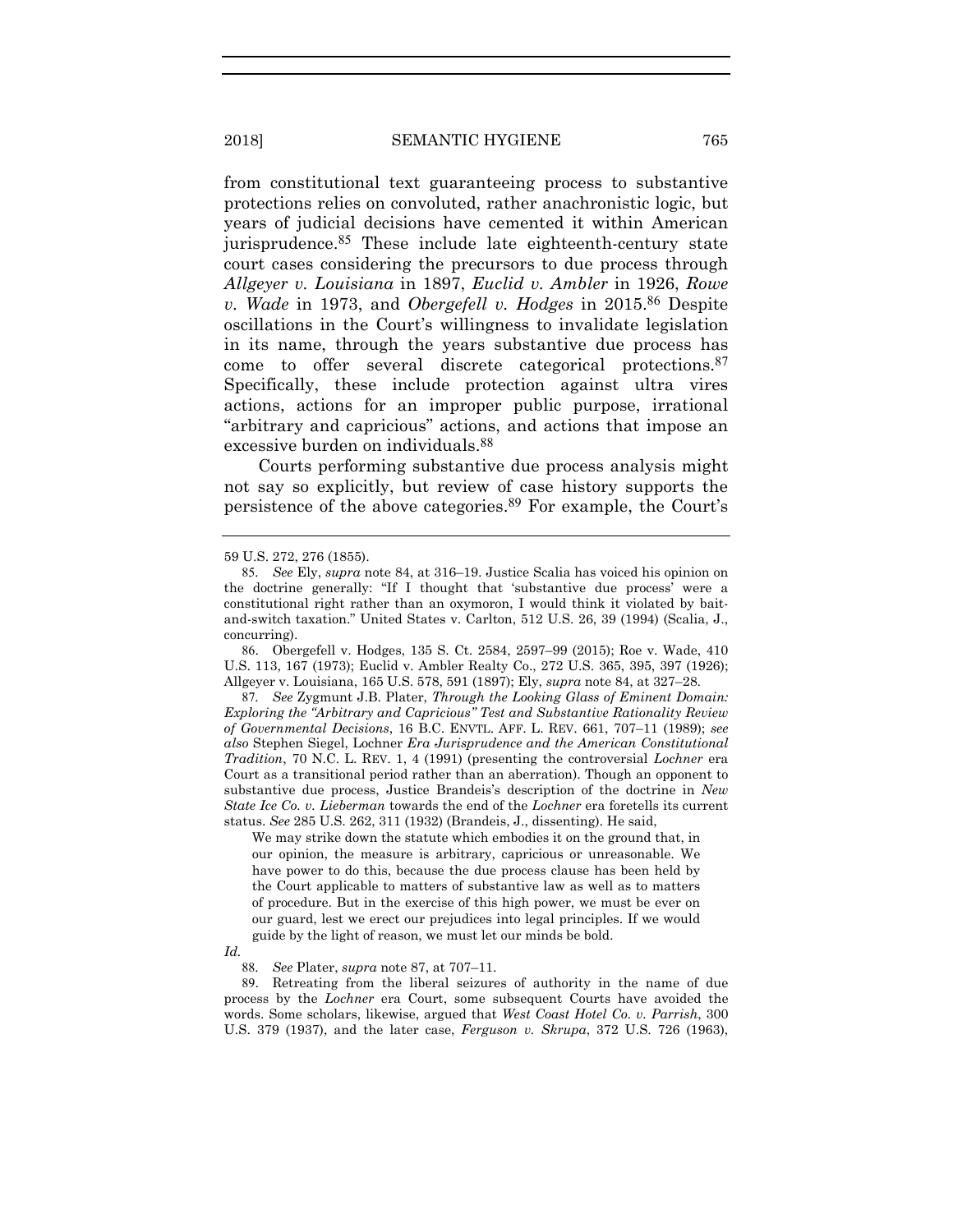from constitutional text guaranteeing process to substantive protections relies on convoluted, rather anachronistic logic, but years of judicial decisions have cemented it within American jurisprudence.85 These include late eighteenth-century state court cases considering the precursors to due process through *Allgeyer v. Louisiana* in 1897, *Euclid v. Ambler* in 1926, *Rowe v. Wade* in 1973, and *Obergefell v. Hodges* in 2015.86 Despite oscillations in the Court's willingness to invalidate legislation in its name, through the years substantive due process has come to offer several discrete categorical protections.87 Specifically, these include protection against ultra vires actions, actions for an improper public purpose, irrational "arbitrary and capricious" actions, and actions that impose an excessive burden on individuals.88

Courts performing substantive due process analysis might not say so explicitly, but review of case history supports the persistence of the above categories.89 For example, the Court's

86. Obergefell v. Hodges, 135 S. Ct. 2584, 2597–99 (2015); Roe v. Wade, 410 U.S. 113, 167 (1973); Euclid v. Ambler Realty Co., 272 U.S. 365, 395, 397 (1926); Allgeyer v. Louisiana, 165 U.S. 578, 591 (1897); Ely, *supra* note 84, at 327–28.

87*. See* Zygmunt J.B. Plater, *Through the Looking Glass of Eminent Domain: Exploring the "Arbitrary and Capricious" Test and Substantive Rationality Review of Governmental Decisions*, 16 B.C. ENVTL. AFF. L. REV. 661, 707–11 (1989); *see also* Stephen Siegel, Lochner *Era Jurisprudence and the American Constitutional Tradition*, 70 N.C. L. REV. 1, 4 (1991) (presenting the controversial *Lochner* era Court as a transitional period rather than an aberration). Though an opponent to substantive due process, Justice Brandeis's description of the doctrine in *New State Ice Co. v. Lieberman* towards the end of the *Lochner* era foretells its current status. *See* 285 U.S. 262, 311 (1932) (Brandeis, J., dissenting). He said,

We may strike down the statute which embodies it on the ground that, in our opinion, the measure is arbitrary, capricious or unreasonable. We have power to do this, because the due process clause has been held by the Court applicable to matters of substantive law as well as to matters of procedure. But in the exercise of this high power, we must be ever on our guard, lest we erect our prejudices into legal principles. If we would guide by the light of reason, we must let our minds be bold.

*Id.*

88*. See* Plater, *supra* note 87, at 707–11.

89. Retreating from the liberal seizures of authority in the name of due process by the *Lochner* era Court, some subsequent Courts have avoided the words. Some scholars, likewise, argued that *West Coast Hotel Co. v. Parrish*, 300 U.S. 379 (1937), and the later case, *Ferguson v. Skrupa*, 372 U.S. 726 (1963),

<sup>59</sup> U.S. 272, 276 (1855).

<sup>85</sup>*. See* Ely, *supra* note 84, at 316–19. Justice Scalia has voiced his opinion on the doctrine generally: "If I thought that 'substantive due process' were a constitutional right rather than an oxymoron, I would think it violated by baitand-switch taxation." United States v. Carlton, 512 U.S. 26, 39 (1994) (Scalia, J., concurring).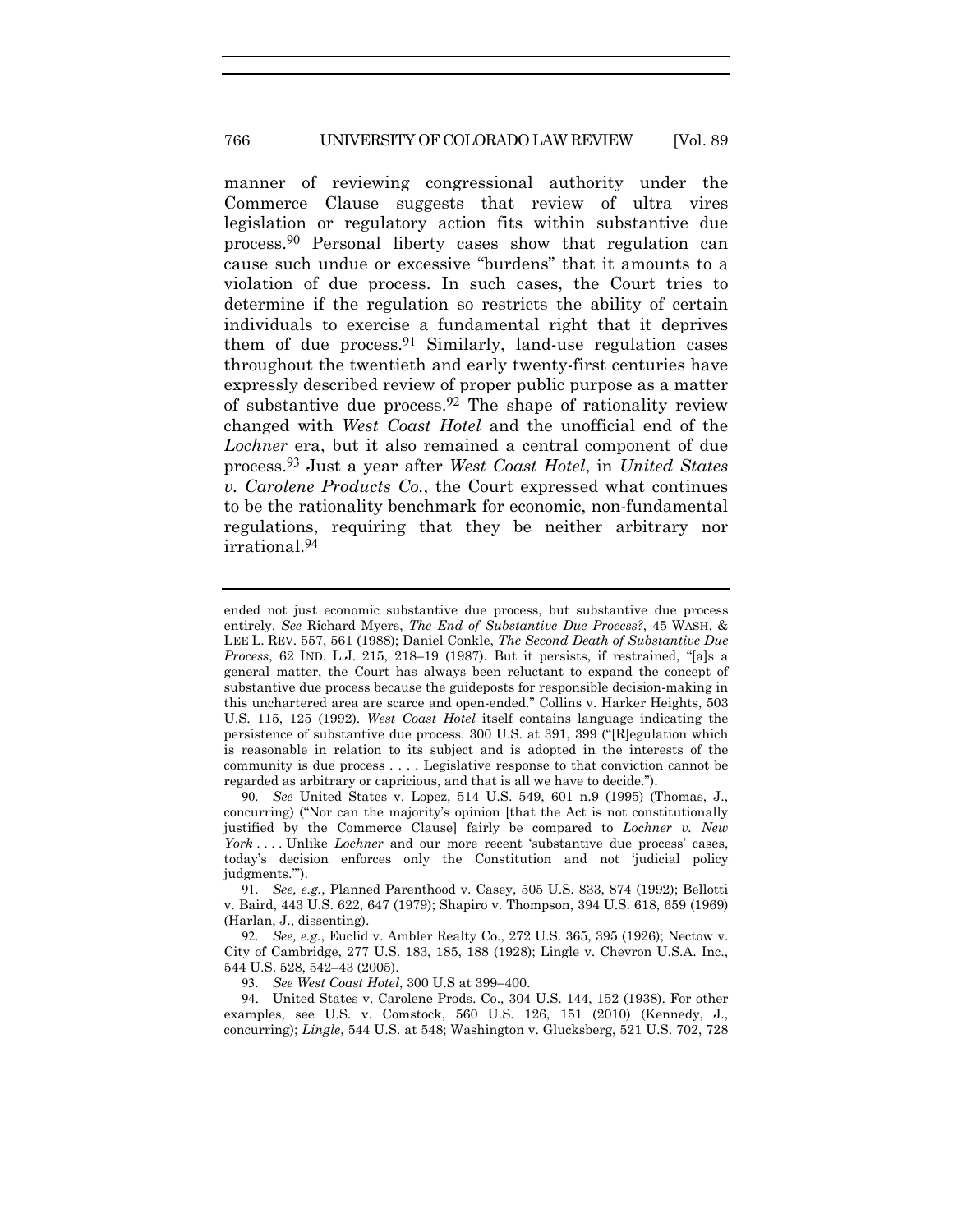#### 766 UNIVERSITY OF COLORADO LAW REVIEW [Vol. 89

manner of reviewing congressional authority under the Commerce Clause suggests that review of ultra vires legislation or regulatory action fits within substantive due process.90 Personal liberty cases show that regulation can cause such undue or excessive "burdens" that it amounts to a violation of due process. In such cases, the Court tries to determine if the regulation so restricts the ability of certain individuals to exercise a fundamental right that it deprives them of due process.91 Similarly, land-use regulation cases throughout the twentieth and early twenty-first centuries have expressly described review of proper public purpose as a matter of substantive due process.<sup>92</sup> The shape of rationality review changed with *West Coast Hotel* and the unofficial end of the *Lochner* era, but it also remained a central component of due process.93 Just a year after *West Coast Hotel*, in *United States v. Carolene Products Co.*, the Court expressed what continues to be the rationality benchmark for economic, non-fundamental regulations, requiring that they be neither arbitrary nor irrational.94

ended not just economic substantive due process, but substantive due process entirely. *See* Richard Myers, *The End of Substantive Due Process?*, 45 WASH. & LEE L. REV. 557, 561 (1988); Daniel Conkle, *The Second Death of Substantive Due Process*, 62 IND. L.J. 215, 218–19 (1987). But it persists, if restrained, "[a]s a general matter, the Court has always been reluctant to expand the concept of substantive due process because the guideposts for responsible decision-making in this unchartered area are scarce and open-ended." Collins v. Harker Heights, 503 U.S. 115, 125 (1992). *West Coast Hotel* itself contains language indicating the persistence of substantive due process. 300 U.S. at 391, 399 ("[R]egulation which is reasonable in relation to its subject and is adopted in the interests of the community is due process . . . . Legislative response to that conviction cannot be regarded as arbitrary or capricious, and that is all we have to decide.").

<sup>90</sup>*. See* United States v. Lopez, 514 U.S. 549, 601 n.9 (1995) (Thomas, J., concurring) ("Nor can the majority's opinion [that the Act is not constitutionally justified by the Commerce Clause] fairly be compared to *Lochner v. New York* . . . . Unlike *Lochner* and our more recent 'substantive due process' cases, today's decision enforces only the Constitution and not 'judicial policy iudgments.").

<sup>91</sup>*. See, e.g.*, Planned Parenthood v. Casey, 505 U.S. 833, 874 (1992); Bellotti v. Baird, 443 U.S. 622, 647 (1979); Shapiro v. Thompson, 394 U.S. 618, 659 (1969) (Harlan, J., dissenting).

<sup>92</sup>*. See, e.g.*, Euclid v. Ambler Realty Co., 272 U.S. 365, 395 (1926); Nectow v. City of Cambridge, 277 U.S. 183, 185, 188 (1928); Lingle v. Chevron U.S.A. Inc., 544 U.S. 528, 542–43 (2005).

<sup>93</sup>*. See West Coast Hotel*, 300 U.S at 399–400.

<sup>94</sup>. United States v. Carolene Prods. Co., 304 U.S. 144, 152 (1938). For other examples, see U.S. v. Comstock, 560 U.S. 126, 151 (2010) (Kennedy, J., concurring); *Lingle*, 544 U.S. at 548; Washington v. Glucksberg, 521 U.S. 702, 728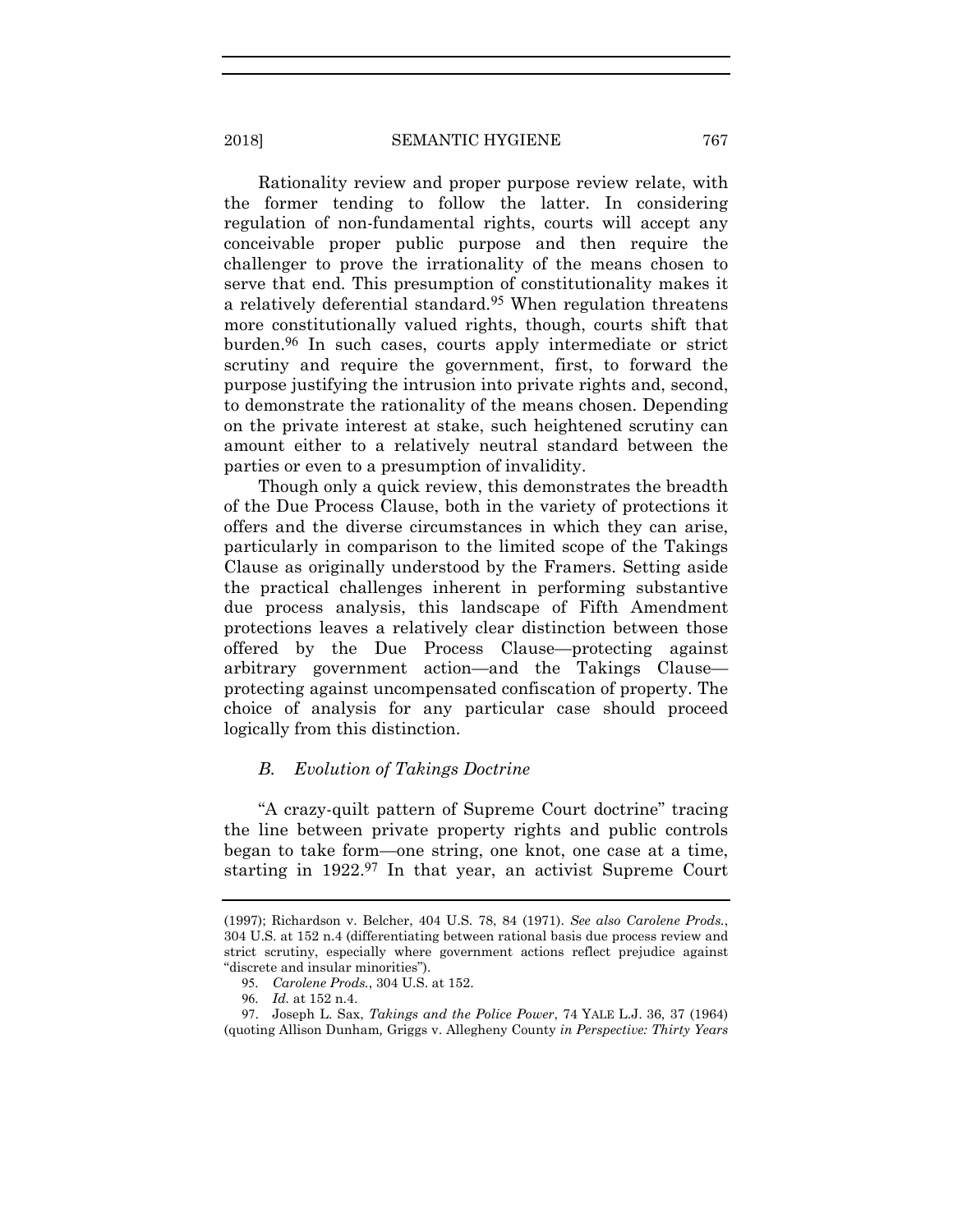Rationality review and proper purpose review relate, with the former tending to follow the latter. In considering regulation of non-fundamental rights, courts will accept any conceivable proper public purpose and then require the challenger to prove the irrationality of the means chosen to serve that end. This presumption of constitutionality makes it a relatively deferential standard.95 When regulation threatens more constitutionally valued rights, though, courts shift that burden.96 In such cases, courts apply intermediate or strict scrutiny and require the government, first, to forward the purpose justifying the intrusion into private rights and, second, to demonstrate the rationality of the means chosen. Depending on the private interest at stake, such heightened scrutiny can amount either to a relatively neutral standard between the parties or even to a presumption of invalidity.

Though only a quick review, this demonstrates the breadth of the Due Process Clause, both in the variety of protections it offers and the diverse circumstances in which they can arise, particularly in comparison to the limited scope of the Takings Clause as originally understood by the Framers. Setting aside the practical challenges inherent in performing substantive due process analysis, this landscape of Fifth Amendment protections leaves a relatively clear distinction between those offered by the Due Process Clause—protecting against arbitrary government action—and the Takings Clause protecting against uncompensated confiscation of property. The choice of analysis for any particular case should proceed logically from this distinction.

# *B. Evolution of Takings Doctrine*

"A crazy-quilt pattern of Supreme Court doctrine" tracing the line between private property rights and public controls began to take form—one string, one knot, one case at a time, starting in 1922.<sup>97</sup> In that year, an activist Supreme Court

<sup>(1997);</sup> Richardson v. Belcher, 404 U.S. 78, 84 (1971). *See also Carolene Prods.*, 304 U.S. at 152 n.4 (differentiating between rational basis due process review and strict scrutiny, especially where government actions reflect prejudice against "discrete and insular minorities").

<sup>95</sup>*. Carolene Prods.*, 304 U.S. at 152.

<sup>96</sup>*. Id.* at 152 n.4.

<sup>97</sup>. Joseph L. Sax, *Takings and the Police Power*, 74 YALE L.J. 36, 37 (1964) (quoting Allison Dunham*,* Griggs v. Allegheny County *in Perspective: Thirty Years*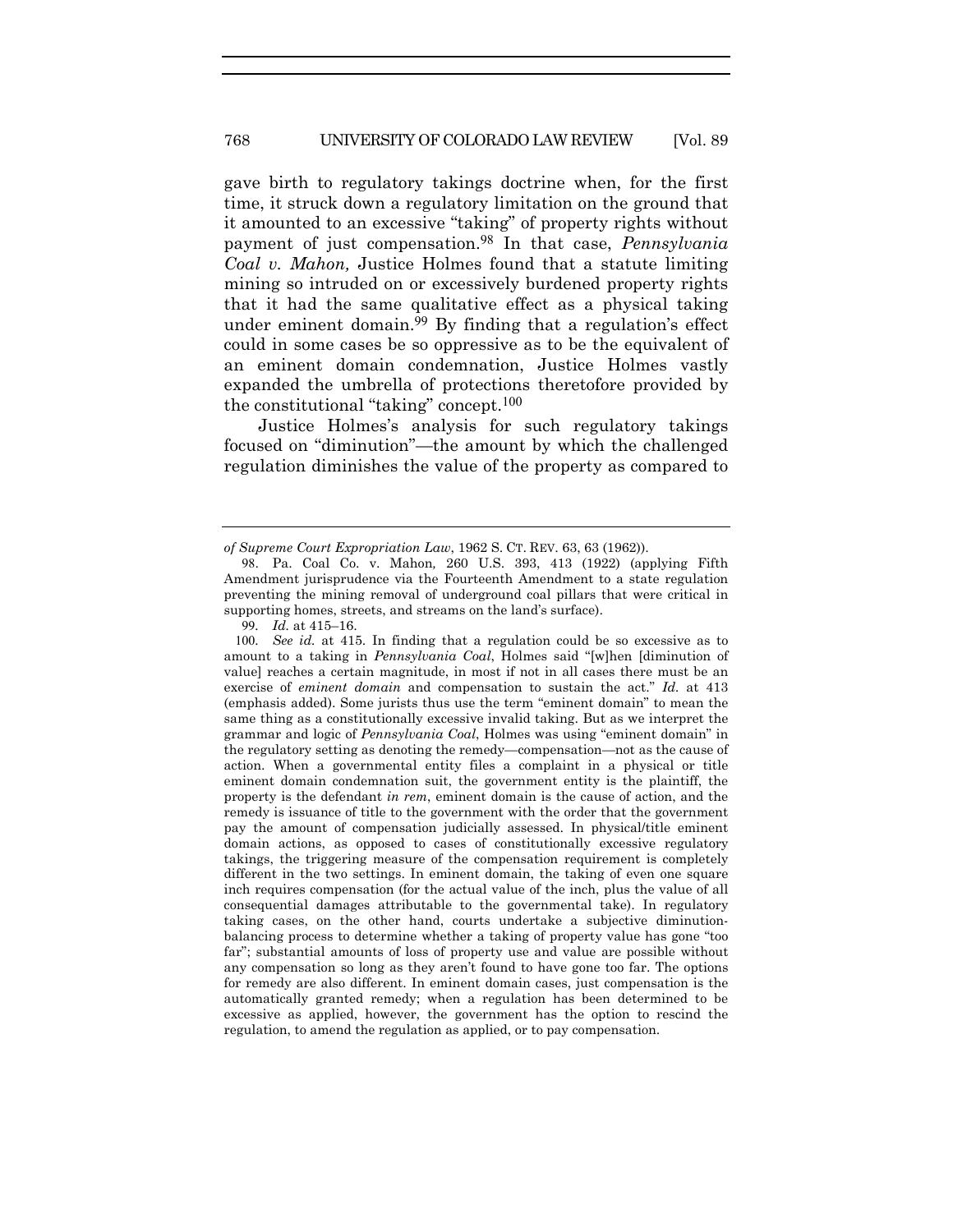gave birth to regulatory takings doctrine when, for the first time, it struck down a regulatory limitation on the ground that it amounted to an excessive "taking" of property rights without payment of just compensation.98 In that case, *Pennsylvania Coal v. Mahon,* Justice Holmes found that a statute limiting mining so intruded on or excessively burdened property rights that it had the same qualitative effect as a physical taking under eminent domain.99 By finding that a regulation's effect could in some cases be so oppressive as to be the equivalent of an eminent domain condemnation, Justice Holmes vastly expanded the umbrella of protections theretofore provided by the constitutional "taking" concept.100

Justice Holmes's analysis for such regulatory takings focused on "diminution"—the amount by which the challenged regulation diminishes the value of the property as compared to

*of Supreme Court Expropriation Law*, 1962 S. CT. REV. 63, 63 (1962)).

<sup>98</sup>. Pa. Coal Co. v. Mahon*,* 260 U.S. 393, 413 (1922) (applying Fifth Amendment jurisprudence via the Fourteenth Amendment to a state regulation preventing the mining removal of underground coal pillars that were critical in supporting homes, streets, and streams on the land's surface).

<sup>99</sup>*. Id.* at 415–16.

<sup>100</sup>*. See id.* at 415. In finding that a regulation could be so excessive as to amount to a taking in *Pennsylvania Coal*, Holmes said "[w]hen [diminution of value] reaches a certain magnitude, in most if not in all cases there must be an exercise of *eminent domain* and compensation to sustain the act." *Id.* at 413 (emphasis added). Some jurists thus use the term "eminent domain" to mean the same thing as a constitutionally excessive invalid taking. But as we interpret the grammar and logic of *Pennsylvania Coal*, Holmes was using "eminent domain" in the regulatory setting as denoting the remedy—compensation—not as the cause of action. When a governmental entity files a complaint in a physical or title eminent domain condemnation suit, the government entity is the plaintiff, the property is the defendant *in rem*, eminent domain is the cause of action, and the remedy is issuance of title to the government with the order that the government pay the amount of compensation judicially assessed. In physical/title eminent domain actions, as opposed to cases of constitutionally excessive regulatory takings, the triggering measure of the compensation requirement is completely different in the two settings. In eminent domain, the taking of even one square inch requires compensation (for the actual value of the inch, plus the value of all consequential damages attributable to the governmental take). In regulatory taking cases, on the other hand, courts undertake a subjective diminutionbalancing process to determine whether a taking of property value has gone "too far"; substantial amounts of loss of property use and value are possible without any compensation so long as they aren't found to have gone too far. The options for remedy are also different. In eminent domain cases, just compensation is the automatically granted remedy; when a regulation has been determined to be excessive as applied, however, the government has the option to rescind the regulation, to amend the regulation as applied, or to pay compensation.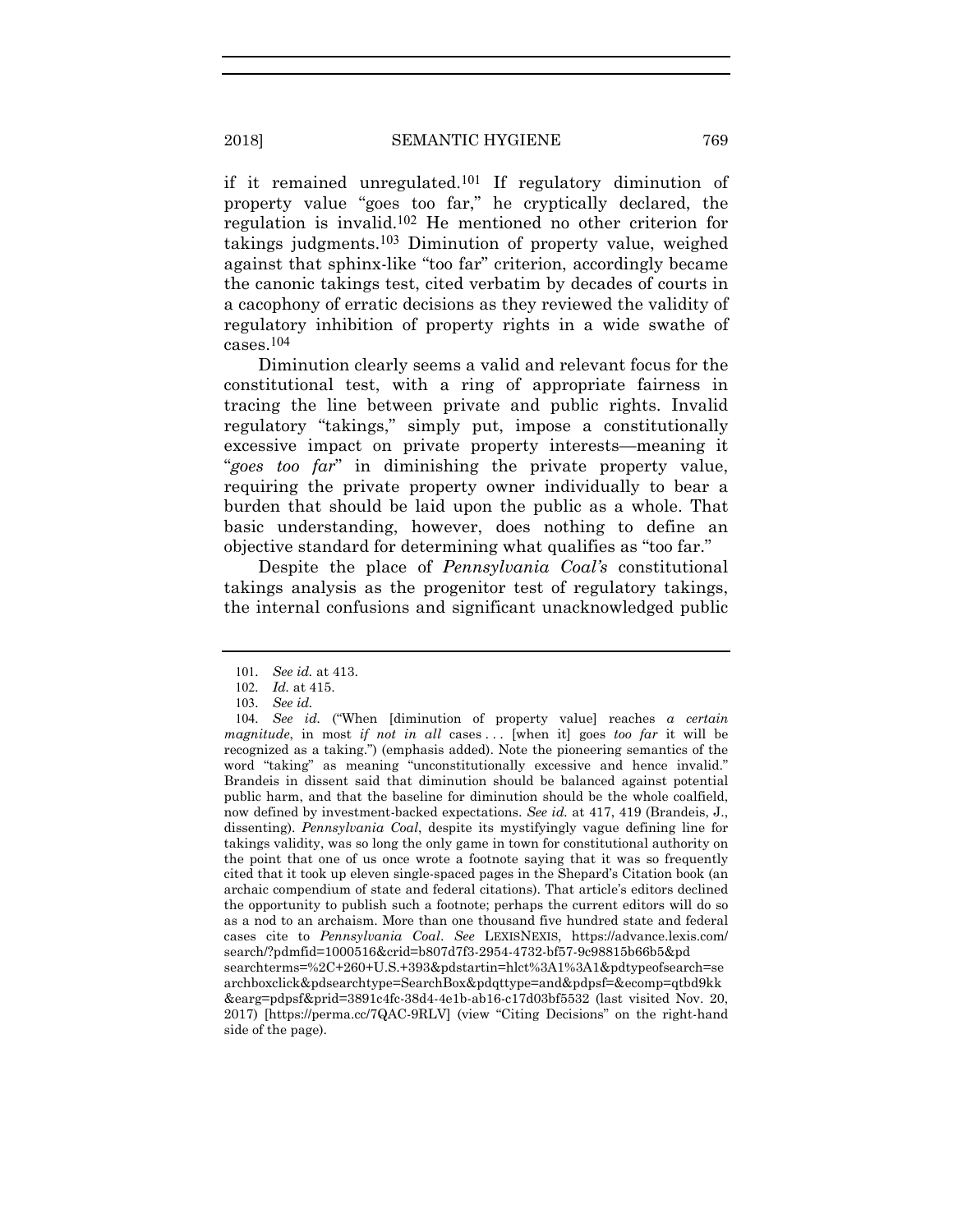if it remained unregulated.101 If regulatory diminution of property value "goes too far," he cryptically declared, the regulation is invalid.102 He mentioned no other criterion for takings judgments.103 Diminution of property value, weighed against that sphinx-like "too far" criterion, accordingly became the canonic takings test, cited verbatim by decades of courts in a cacophony of erratic decisions as they reviewed the validity of regulatory inhibition of property rights in a wide swathe of cases.104

Diminution clearly seems a valid and relevant focus for the constitutional test, with a ring of appropriate fairness in tracing the line between private and public rights. Invalid regulatory "takings," simply put, impose a constitutionally excessive impact on private property interests—meaning it "*goes too far*" in diminishing the private property value, requiring the private property owner individually to bear a burden that should be laid upon the public as a whole. That basic understanding, however, does nothing to define an objective standard for determining what qualifies as "too far."

Despite the place of *Pennsylvania Coal's* constitutional takings analysis as the progenitor test of regulatory takings, the internal confusions and significant unacknowledged public

<sup>101</sup>*. See id.* at 413.

<sup>102</sup>*. Id.* at 415.

<sup>103</sup>*. See id.*

<sup>104</sup>*. See id.* ("When [diminution of property value] reaches *a certain magnitude*, in most *if not in all* cases ... [when it] goes *too far* it will be recognized as a taking.") (emphasis added). Note the pioneering semantics of the word "taking" as meaning "unconstitutionally excessive and hence invalid." Brandeis in dissent said that diminution should be balanced against potential public harm, and that the baseline for diminution should be the whole coalfield, now defined by investment-backed expectations. *See id.* at 417, 419 (Brandeis, J., dissenting). *Pennsylvania Coal*, despite its mystifyingly vague defining line for takings validity, was so long the only game in town for constitutional authority on the point that one of us once wrote a footnote saying that it was so frequently cited that it took up eleven single-spaced pages in the Shepard's Citation book (an archaic compendium of state and federal citations). That article's editors declined the opportunity to publish such a footnote; perhaps the current editors will do so as a nod to an archaism. More than one thousand five hundred state and federal cases cite to *Pennsylvania Coal*. *See* LEXISNEXIS, https://advance.lexis.com/ search/?pdmfid=1000516&crid=b807d7f3-2954-4732-bf57-9c98815b66b5&pd searchterms=%2C+260+U.S.+393&pdstartin=hlct%3A1%3A1&pdtypeofsearch=se archboxclick&pdsearchtype=SearchBox&pdqttype=and&pdpsf=&ecomp=qtbd9kk &earg=pdpsf&prid=3891c4fc-38d4-4e1b-ab16-c17d03bf5532 (last visited Nov. 20, 2017) [https://perma.cc/7QAC-9RLV] (view "Citing Decisions" on the right-hand side of the page).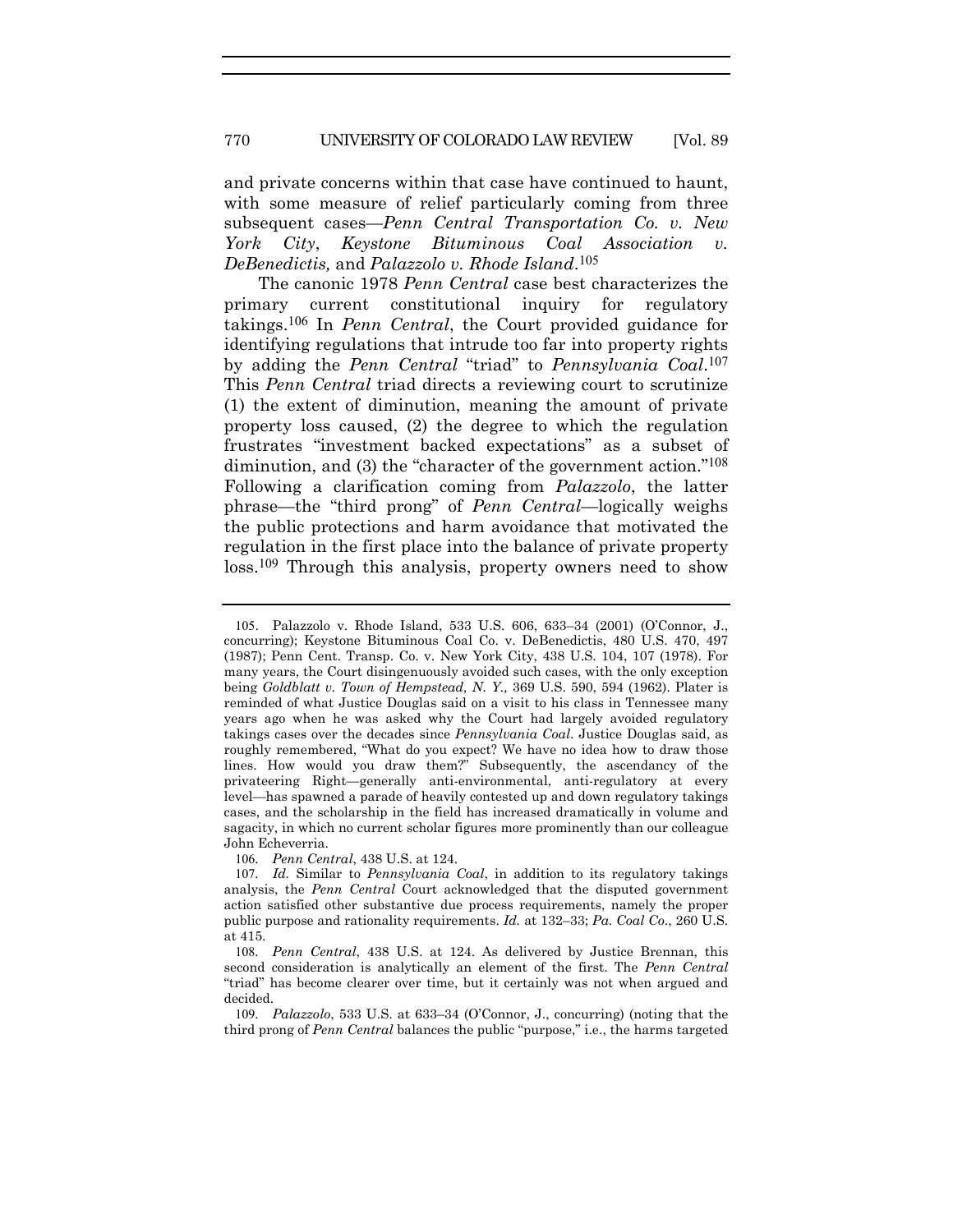and private concerns within that case have continued to haunt, with some measure of relief particularly coming from three subsequent cases—*Penn Central Transportation Co. v. New York City*, *Keystone Bituminous Coal Association v. DeBenedictis,* and *Palazzolo v. Rhode Island*.105

The canonic 1978 *Penn Central* case best characterizes the primary current constitutional inquiry for regulatory takings.106 In *Penn Central*, the Court provided guidance for identifying regulations that intrude too far into property rights by adding the *Penn Central* "triad" to *Pennsylvania Coal*.107 This *Penn Central* triad directs a reviewing court to scrutinize (1) the extent of diminution, meaning the amount of private property loss caused, (2) the degree to which the regulation frustrates "investment backed expectations" as a subset of diminution, and (3) the "character of the government action."<sup>108</sup> Following a clarification coming from *Palazzolo*, the latter phrase—the "third prong" of *Penn Central*—logically weighs the public protections and harm avoidance that motivated the regulation in the first place into the balance of private property loss.109 Through this analysis, property owners need to show

<sup>105</sup>. Palazzolo v. Rhode Island, 533 U.S. 606, 633–34 (2001) (O'Connor, J., concurring); Keystone Bituminous Coal Co. v. DeBenedictis, 480 U.S. 470, 497 (1987); Penn Cent. Transp. Co. v. New York City, 438 U.S. 104, 107 (1978). For many years, the Court disingenuously avoided such cases, with the only exception being *Goldblatt v. Town of Hempstead, N. Y.,* 369 U.S. 590, 594 (1962). Plater is reminded of what Justice Douglas said on a visit to his class in Tennessee many years ago when he was asked why the Court had largely avoided regulatory takings cases over the decades since *Pennsylvania Coal*. Justice Douglas said, as roughly remembered, "What do you expect? We have no idea how to draw those lines. How would you draw them?" Subsequently, the ascendancy of the privateering Right—generally anti-environmental, anti-regulatory at every level—has spawned a parade of heavily contested up and down regulatory takings cases, and the scholarship in the field has increased dramatically in volume and sagacity, in which no current scholar figures more prominently than our colleague John Echeverria.

<sup>106</sup>*. Penn Central*, 438 U.S. at 124.

<sup>107</sup>*. Id.* Similar to *Pennsylvania Coal*, in addition to its regulatory takings analysis, the *Penn Central* Court acknowledged that the disputed government action satisfied other substantive due process requirements, namely the proper public purpose and rationality requirements. *Id.* at 132–33; *Pa. Coal Co*., 260 U.S. at 415.

<sup>108</sup>*. Penn Central*, 438 U.S. at 124. As delivered by Justice Brennan, this second consideration is analytically an element of the first. The *Penn Central* "triad" has become clearer over time, but it certainly was not when argued and decided.

<sup>109</sup>*. Palazzolo*, 533 U.S. at 633–34 (O'Connor, J., concurring) (noting that the third prong of *Penn Central* balances the public "purpose," i.e., the harms targeted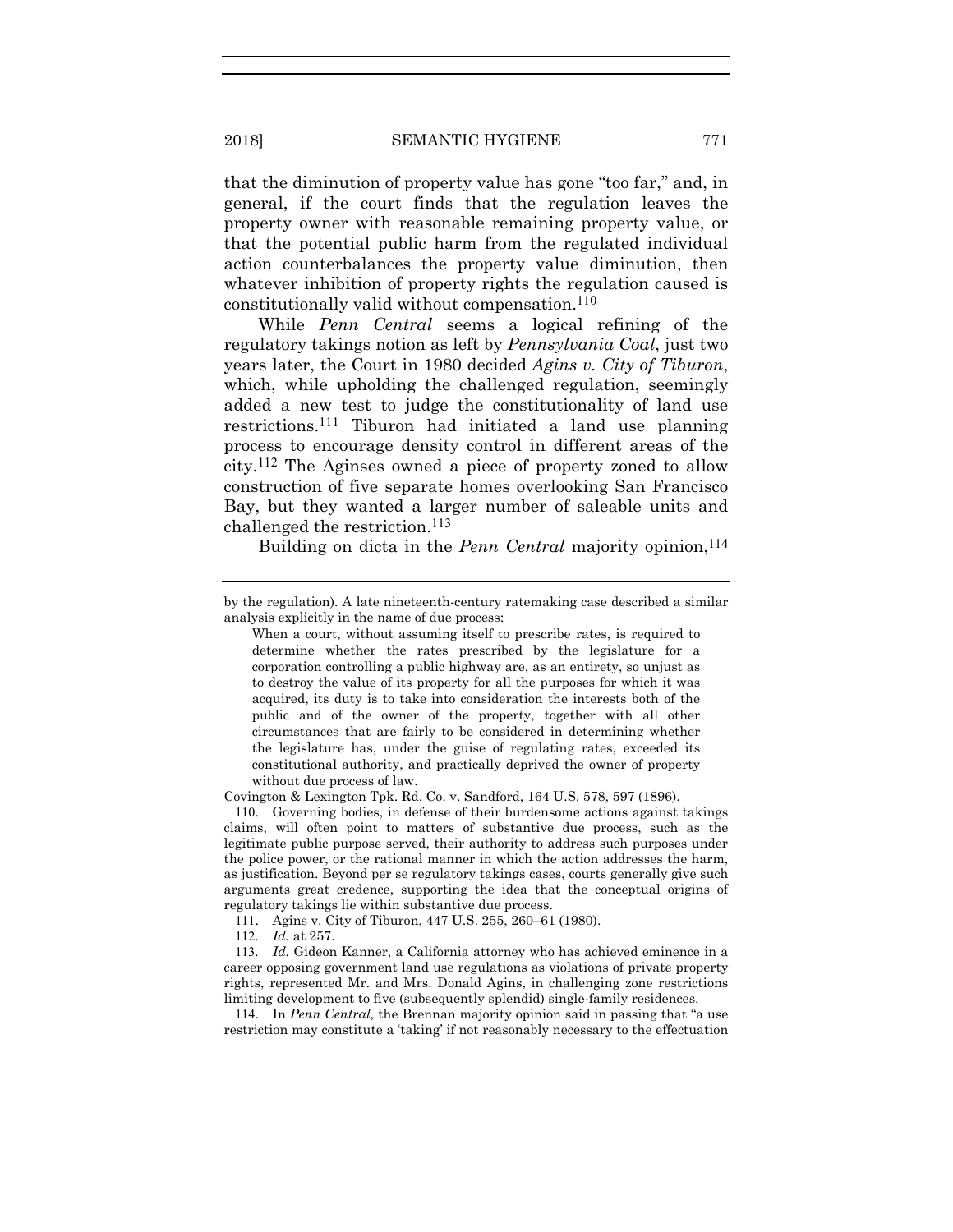that the diminution of property value has gone "too far," and, in general, if the court finds that the regulation leaves the property owner with reasonable remaining property value, or that the potential public harm from the regulated individual action counterbalances the property value diminution, then whatever inhibition of property rights the regulation caused is constitutionally valid without compensation.110

While *Penn Central* seems a logical refining of the regulatory takings notion as left by *Pennsylvania Coal*, just two years later, the Court in 1980 decided *Agins v. City of Tiburon*, which, while upholding the challenged regulation, seemingly added a new test to judge the constitutionality of land use restrictions.111 Tiburon had initiated a land use planning process to encourage density control in different areas of the city.112 The Aginses owned a piece of property zoned to allow construction of five separate homes overlooking San Francisco Bay, but they wanted a larger number of saleable units and challenged the restriction.113

Building on dicta in the *Penn Central* majority opinion,<sup>114</sup>

Covington & Lexington Tpk. Rd. Co. v. Sandford, 164 U.S. 578, 597 (1896).

110. Governing bodies, in defense of their burdensome actions against takings claims, will often point to matters of substantive due process, such as the legitimate public purpose served, their authority to address such purposes under the police power, or the rational manner in which the action addresses the harm, as justification. Beyond per se regulatory takings cases, courts generally give such arguments great credence, supporting the idea that the conceptual origins of regulatory takings lie within substantive due process.

111. Agins v. City of Tiburon, 447 U.S. 255, 260–61 (1980).

112*. Id.* at 257.

113*. Id.* Gideon Kanner, a California attorney who has achieved eminence in a career opposing government land use regulations as violations of private property rights, represented Mr. and Mrs. Donald Agins, in challenging zone restrictions limiting development to five (subsequently splendid) single-family residences.

114. In *Penn Central,* the Brennan majority opinion said in passing that "a use restriction may constitute a 'taking' if not reasonably necessary to the effectuation

by the regulation). A late nineteenth-century ratemaking case described a similar analysis explicitly in the name of due process:

When a court, without assuming itself to prescribe rates, is required to determine whether the rates prescribed by the legislature for a corporation controlling a public highway are, as an entirety, so unjust as to destroy the value of its property for all the purposes for which it was acquired, its duty is to take into consideration the interests both of the public and of the owner of the property, together with all other circumstances that are fairly to be considered in determining whether the legislature has, under the guise of regulating rates, exceeded its constitutional authority, and practically deprived the owner of property without due process of law.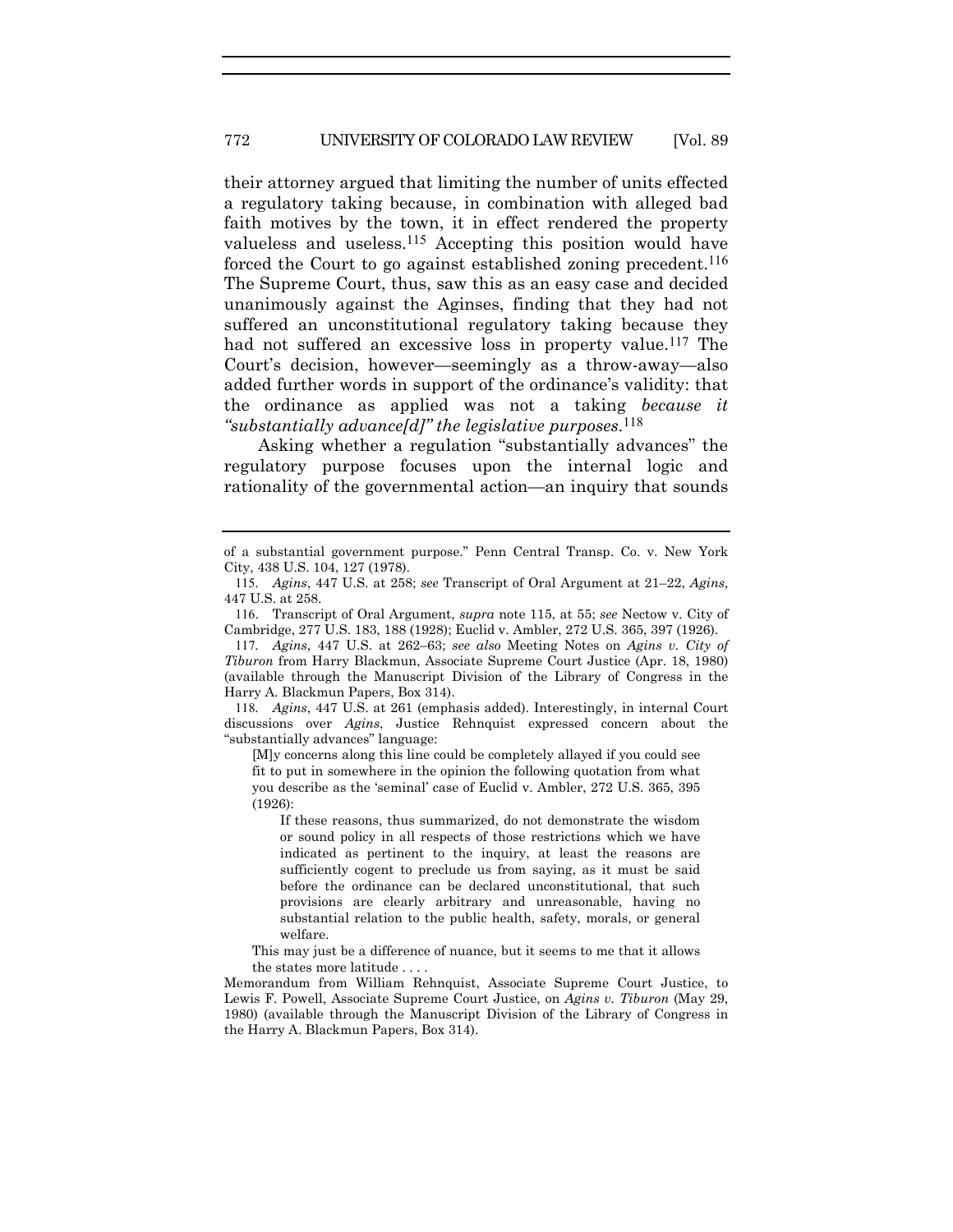their attorney argued that limiting the number of units effected a regulatory taking because, in combination with alleged bad faith motives by the town, it in effect rendered the property valueless and useless.115 Accepting this position would have forced the Court to go against established zoning precedent.<sup>116</sup> The Supreme Court, thus, saw this as an easy case and decided unanimously against the Aginses, finding that they had not suffered an unconstitutional regulatory taking because they had not suffered an excessive loss in property value.<sup>117</sup> The Court's decision, however—seemingly as a throw-away—also added further words in support of the ordinance's validity: that the ordinance as applied was not a taking *because it "substantially advance[d]" the legislative purposes*.118

Asking whether a regulation "substantially advances" the regulatory purpose focuses upon the internal logic and rationality of the governmental action—an inquiry that sounds

118*. Agins*, 447 U.S. at 261 (emphasis added). Interestingly, in internal Court discussions over *Agins*, Justice Rehnquist expressed concern about the "substantially advances" language:

[M]y concerns along this line could be completely allayed if you could see fit to put in somewhere in the opinion the following quotation from what you describe as the 'seminal' case of Euclid v. Ambler, 272 U.S. 365, 395 (1926):

If these reasons, thus summarized, do not demonstrate the wisdom or sound policy in all respects of those restrictions which we have indicated as pertinent to the inquiry, at least the reasons are sufficiently cogent to preclude us from saying, as it must be said before the ordinance can be declared unconstitutional, that such provisions are clearly arbitrary and unreasonable, having no substantial relation to the public health, safety, morals, or general welfare.

This may just be a difference of nuance, but it seems to me that it allows the states more latitude . . . .

Memorandum from William Rehnquist, Associate Supreme Court Justice, to Lewis F. Powell, Associate Supreme Court Justice, on *Agins v. Tiburon* (May 29, 1980) (available through the Manuscript Division of the Library of Congress in the Harry A. Blackmun Papers, Box 314).

of a substantial government purpose." Penn Central Transp. Co. v. New York City, 438 U.S. 104, 127 (1978).

<sup>115</sup>*. Agins*, 447 U.S. at 258; *see* Transcript of Oral Argument at 21–22, *Agins*, 447 U.S. at 258.

<sup>116</sup>. Transcript of Oral Argument, *supra* note 115, at 55; *see* Nectow v. City of Cambridge, 277 U.S. 183, 188 (1928); Euclid v. Ambler, 272 U.S. 365, 397 (1926).

<sup>117</sup>*. Agins*, 447 U.S. at 262–63; *see also* Meeting Notes on *Agins v. City of Tiburon* from Harry Blackmun, Associate Supreme Court Justice (Apr. 18, 1980) (available through the Manuscript Division of the Library of Congress in the Harry A. Blackmun Papers, Box 314).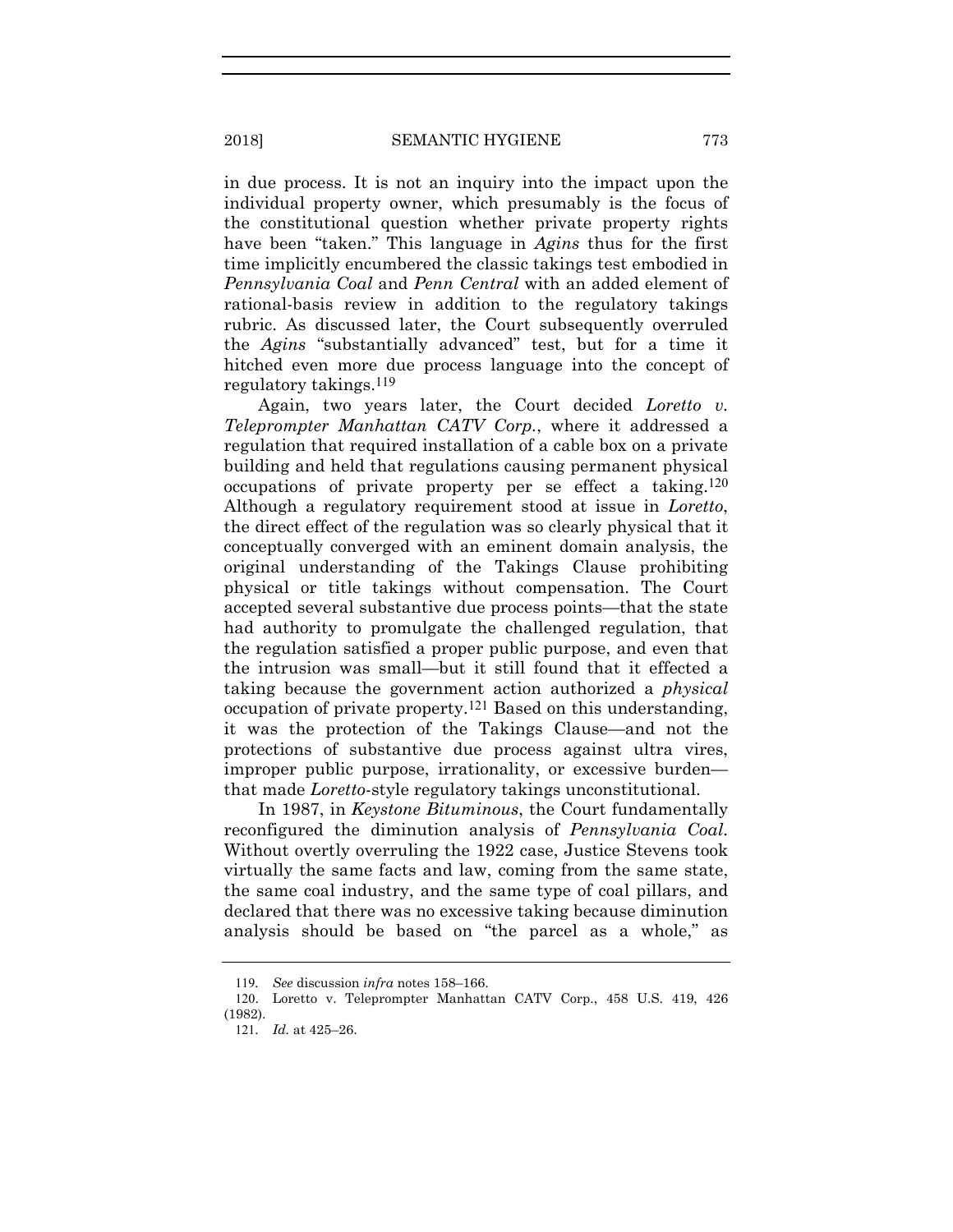in due process. It is not an inquiry into the impact upon the individual property owner, which presumably is the focus of the constitutional question whether private property rights have been "taken." This language in *Agins* thus for the first time implicitly encumbered the classic takings test embodied in *Pennsylvania Coal* and *Penn Central* with an added element of rational-basis review in addition to the regulatory takings rubric. As discussed later, the Court subsequently overruled the *Agins* "substantially advanced" test, but for a time it hitched even more due process language into the concept of regulatory takings.119

Again, two years later, the Court decided *Loretto v. Teleprompter Manhattan CATV Corp.*, where it addressed a regulation that required installation of a cable box on a private building and held that regulations causing permanent physical occupations of private property per se effect a taking.120 Although a regulatory requirement stood at issue in *Loretto*, the direct effect of the regulation was so clearly physical that it conceptually converged with an eminent domain analysis, the original understanding of the Takings Clause prohibiting physical or title takings without compensation. The Court accepted several substantive due process points—that the state had authority to promulgate the challenged regulation, that the regulation satisfied a proper public purpose, and even that the intrusion was small—but it still found that it effected a taking because the government action authorized a *physical* occupation of private property.121 Based on this understanding, it was the protection of the Takings Clause—and not the protections of substantive due process against ultra vires, improper public purpose, irrationality, or excessive burden that made *Loretto*-style regulatory takings unconstitutional.

In 1987, in *Keystone Bituminous*, the Court fundamentally reconfigured the diminution analysis of *Pennsylvania Coal*. Without overtly overruling the 1922 case, Justice Stevens took virtually the same facts and law, coming from the same state, the same coal industry, and the same type of coal pillars, and declared that there was no excessive taking because diminution analysis should be based on "the parcel as a whole," as

<sup>119</sup>*. See* discussion *infra* notes 158–166.

<sup>120</sup>. Loretto v. Teleprompter Manhattan CATV Corp., 458 U.S. 419, 426 (1982).

<sup>121</sup>*. Id.* at 425–26.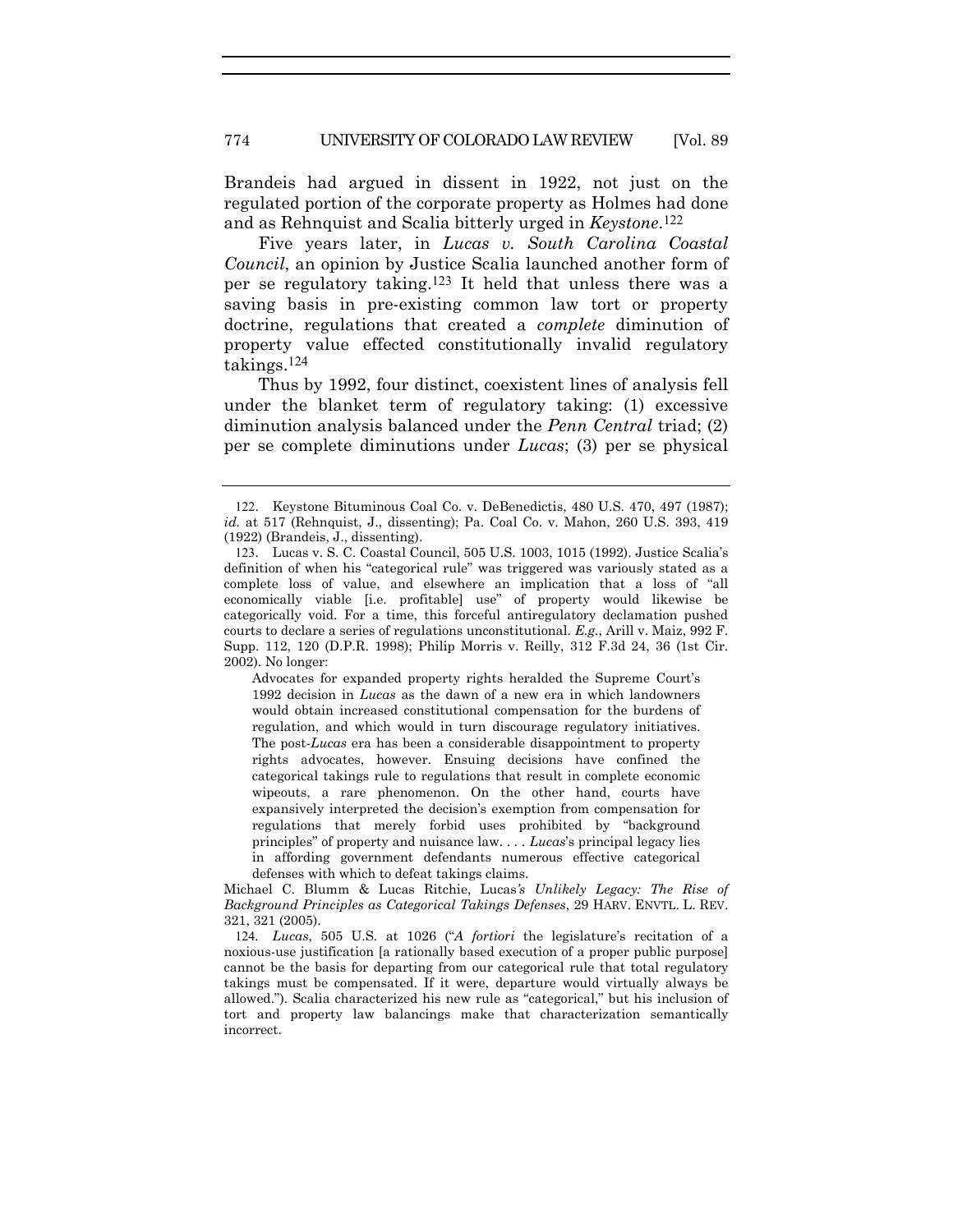Brandeis had argued in dissent in 1922, not just on the regulated portion of the corporate property as Holmes had done and as Rehnquist and Scalia bitterly urged in *Keystone*.122

Five years later, in *Lucas v. South Carolina Coastal Council*, an opinion by Justice Scalia launched another form of per se regulatory taking.123 It held that unless there was a saving basis in pre-existing common law tort or property doctrine, regulations that created a *complete* diminution of property value effected constitutionally invalid regulatory takings.124

Thus by 1992, four distinct, coexistent lines of analysis fell under the blanket term of regulatory taking: (1) excessive diminution analysis balanced under the *Penn Central* triad; (2) per se complete diminutions under *Lucas*; (3) per se physical

Advocates for expanded property rights heralded the Supreme Court's 1992 decision in *Lucas* as the dawn of a new era in which landowners would obtain increased constitutional compensation for the burdens of regulation, and which would in turn discourage regulatory initiatives. The post-*Lucas* era has been a considerable disappointment to property rights advocates, however. Ensuing decisions have confined the categorical takings rule to regulations that result in complete economic wipeouts, a rare phenomenon. On the other hand, courts have expansively interpreted the decision's exemption from compensation for regulations that merely forbid uses prohibited by "background principles" of property and nuisance law. . . . *Lucas*'s principal legacy lies in affording government defendants numerous effective categorical defenses with which to defeat takings claims.

Michael C. Blumm & Lucas Ritchie, Lucas*'s Unlikely Legacy: The Rise of Background Principles as Categorical Takings Defenses*, 29 HARV. ENVTL. L. REV. 321, 321 (2005).

124*. Lucas*, 505 U.S*.* at 1026 ("*A fortiori* the legislature's recitation of a noxious-use justification [a rationally based execution of a proper public purpose] cannot be the basis for departing from our categorical rule that total regulatory takings must be compensated. If it were, departure would virtually always be allowed."). Scalia characterized his new rule as "categorical," but his inclusion of tort and property law balancings make that characterization semantically incorrect.

<sup>122</sup>. Keystone Bituminous Coal Co. v. DeBenedictis, 480 U.S. 470, 497 (1987); *id.* at 517 (Rehnquist, J., dissenting); Pa. Coal Co. v. Mahon, 260 U.S. 393, 419 (1922) (Brandeis, J., dissenting).

<sup>123</sup>. Lucas v. S. C. Coastal Council, 505 U.S. 1003, 1015 (1992). Justice Scalia's definition of when his "categorical rule" was triggered was variously stated as a complete loss of value, and elsewhere an implication that a loss of "all economically viable [i.e. profitable] use" of property would likewise be categorically void. For a time, this forceful antiregulatory declamation pushed courts to declare a series of regulations unconstitutional. *E.g.*, Arill v. Maiz, 992 F. Supp. 112, 120 (D.P.R. 1998); Philip Morris v. Reilly, 312 F.3d 24, 36 (1st Cir. 2002). No longer: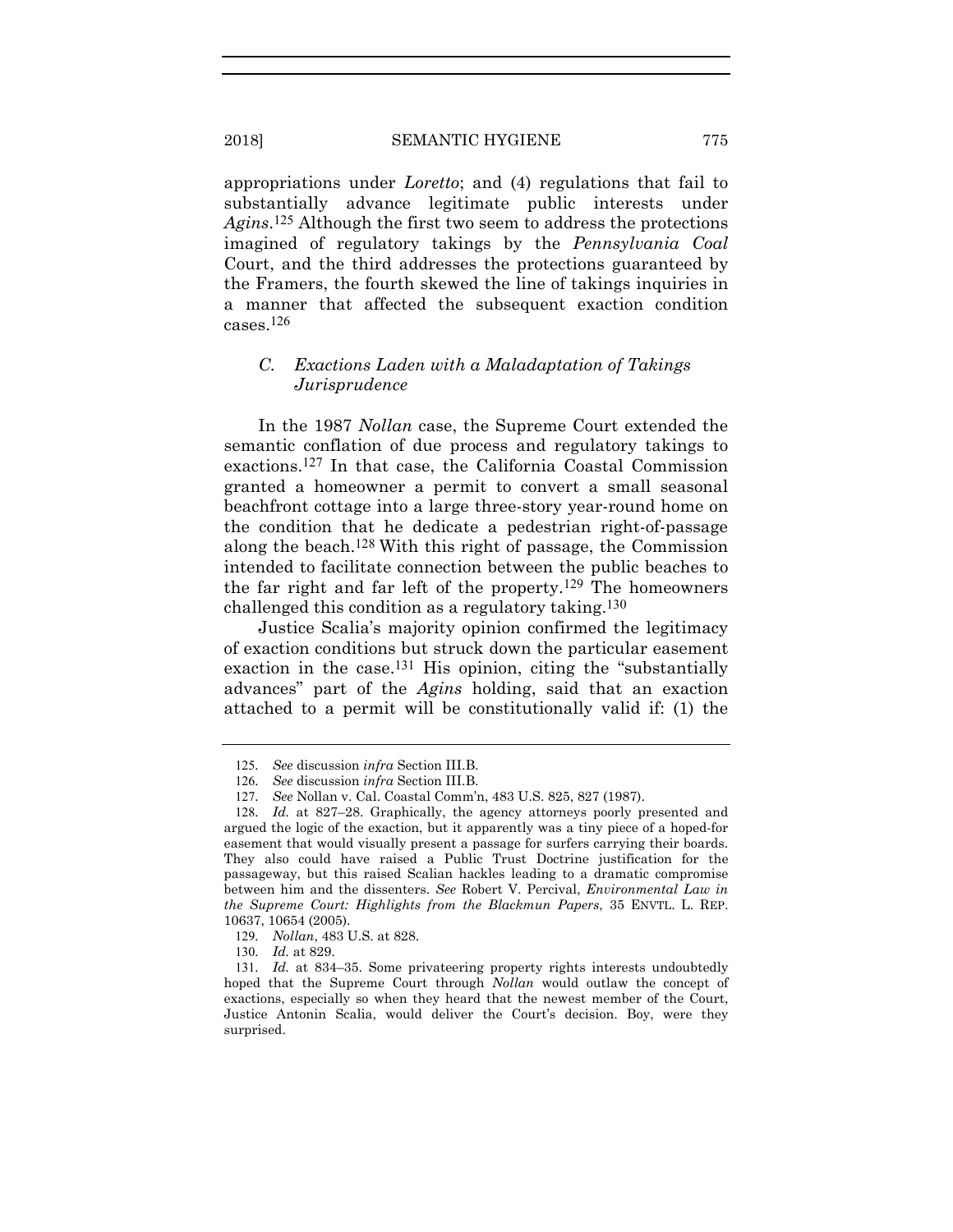appropriations under *Loretto*; and (4) regulations that fail to substantially advance legitimate public interests under *Agins*.125 Although the first two seem to address the protections imagined of regulatory takings by the *Pennsylvania Coal*  Court, and the third addresses the protections guaranteed by the Framers, the fourth skewed the line of takings inquiries in a manner that affected the subsequent exaction condition cases.126

# *C. Exactions Laden with a Maladaptation of Takings Jurisprudence*

In the 1987 *Nollan* case, the Supreme Court extended the semantic conflation of due process and regulatory takings to exactions.127 In that case, the California Coastal Commission granted a homeowner a permit to convert a small seasonal beachfront cottage into a large three-story year-round home on the condition that he dedicate a pedestrian right-of-passage along the beach.128 With this right of passage, the Commission intended to facilitate connection between the public beaches to the far right and far left of the property.129 The homeowners challenged this condition as a regulatory taking.130

Justice Scalia's majority opinion confirmed the legitimacy of exaction conditions but struck down the particular easement exaction in the case.<sup>131</sup> His opinion, citing the "substantially" advances" part of the *Agins* holding, said that an exaction attached to a permit will be constitutionally valid if: (1) the

<sup>125</sup>*. See* discussion *infra* Section III.B.

<sup>126</sup>*. See* discussion *infra* Section III.B.

<sup>127</sup>*. See* Nollan v. Cal. Coastal Comm'n, 483 U.S. 825, 827 (1987).

<sup>128.</sup> Id. at 827–28. Graphically, the agency attorneys poorly presented and argued the logic of the exaction, but it apparently was a tiny piece of a hoped-for easement that would visually present a passage for surfers carrying their boards. They also could have raised a Public Trust Doctrine justification for the passageway, but this raised Scalian hackles leading to a dramatic compromise between him and the dissenters. *See* Robert V. Percival, *Environmental Law in the Supreme Court: Highlights from the Blackmun Papers*, 35 ENVTL. L. REP. 10637, 10654 (2005).

<sup>129</sup>*. Nollan*, 483 U.S. at 828.

<sup>130</sup>*. Id.* at 829.

<sup>131</sup>*. Id.* at 834–35. Some privateering property rights interests undoubtedly hoped that the Supreme Court through *Nollan* would outlaw the concept of exactions, especially so when they heard that the newest member of the Court, Justice Antonin Scalia, would deliver the Court's decision. Boy, were they surprised.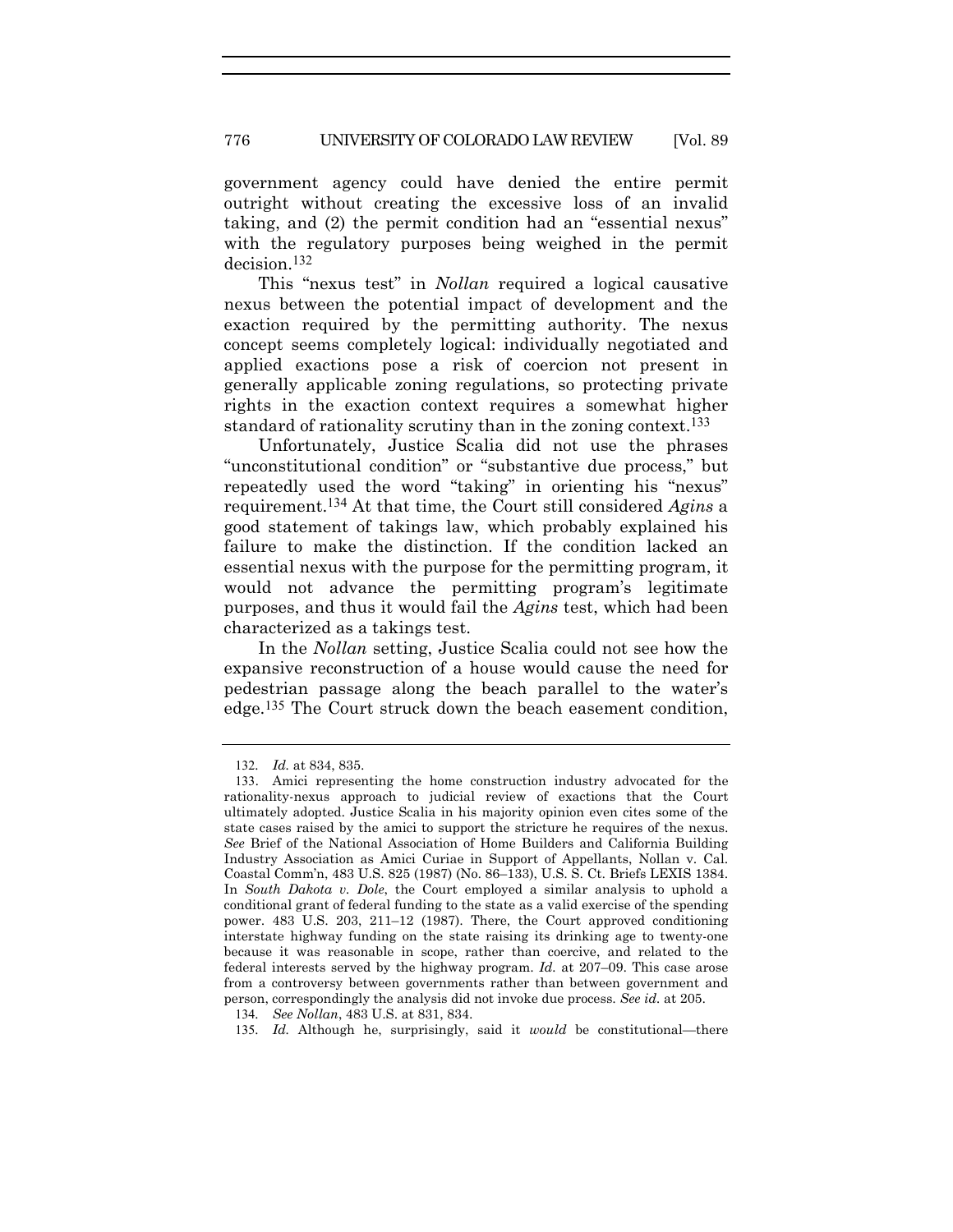government agency could have denied the entire permit outright without creating the excessive loss of an invalid taking, and (2) the permit condition had an "essential nexus" with the regulatory purposes being weighed in the permit decision.132

This "nexus test" in *Nollan* required a logical causative nexus between the potential impact of development and the exaction required by the permitting authority. The nexus concept seems completely logical: individually negotiated and applied exactions pose a risk of coercion not present in generally applicable zoning regulations, so protecting private rights in the exaction context requires a somewhat higher standard of rationality scrutiny than in the zoning context.<sup>133</sup>

Unfortunately, Justice Scalia did not use the phrases "unconstitutional condition" or "substantive due process," but repeatedly used the word "taking" in orienting his "nexus" requirement.134 At that time, the Court still considered *Agins* a good statement of takings law, which probably explained his failure to make the distinction. If the condition lacked an essential nexus with the purpose for the permitting program, it would not advance the permitting program's legitimate purposes, and thus it would fail the *Agins* test, which had been characterized as a takings test.

In the *Nollan* setting, Justice Scalia could not see how the expansive reconstruction of a house would cause the need for pedestrian passage along the beach parallel to the water's edge.135 The Court struck down the beach easement condition,

<sup>132</sup>*. Id.* at 834, 835.

<sup>133</sup>. Amici representing the home construction industry advocated for the rationality-nexus approach to judicial review of exactions that the Court ultimately adopted. Justice Scalia in his majority opinion even cites some of the state cases raised by the amici to support the stricture he requires of the nexus. *See* Brief of the National Association of Home Builders and California Building Industry Association as Amici Curiae in Support of Appellants, Nollan v. Cal. Coastal Comm'n, 483 U.S. 825 (1987) (No. 86–133), U.S. S. Ct. Briefs LEXIS 1384. In *South Dakota v. Dole*, the Court employed a similar analysis to uphold a conditional grant of federal funding to the state as a valid exercise of the spending power. 483 U.S. 203, 211–12 (1987). There, the Court approved conditioning interstate highway funding on the state raising its drinking age to twenty-one because it was reasonable in scope, rather than coercive, and related to the federal interests served by the highway program. *Id.* at 207–09. This case arose from a controversy between governments rather than between government and person, correspondingly the analysis did not invoke due process. *See id.* at 205.

<sup>134</sup>*. See Nollan*, 483 U.S. at 831, 834.

<sup>135</sup>*. Id.* Although he, surprisingly, said it *would* be constitutional—there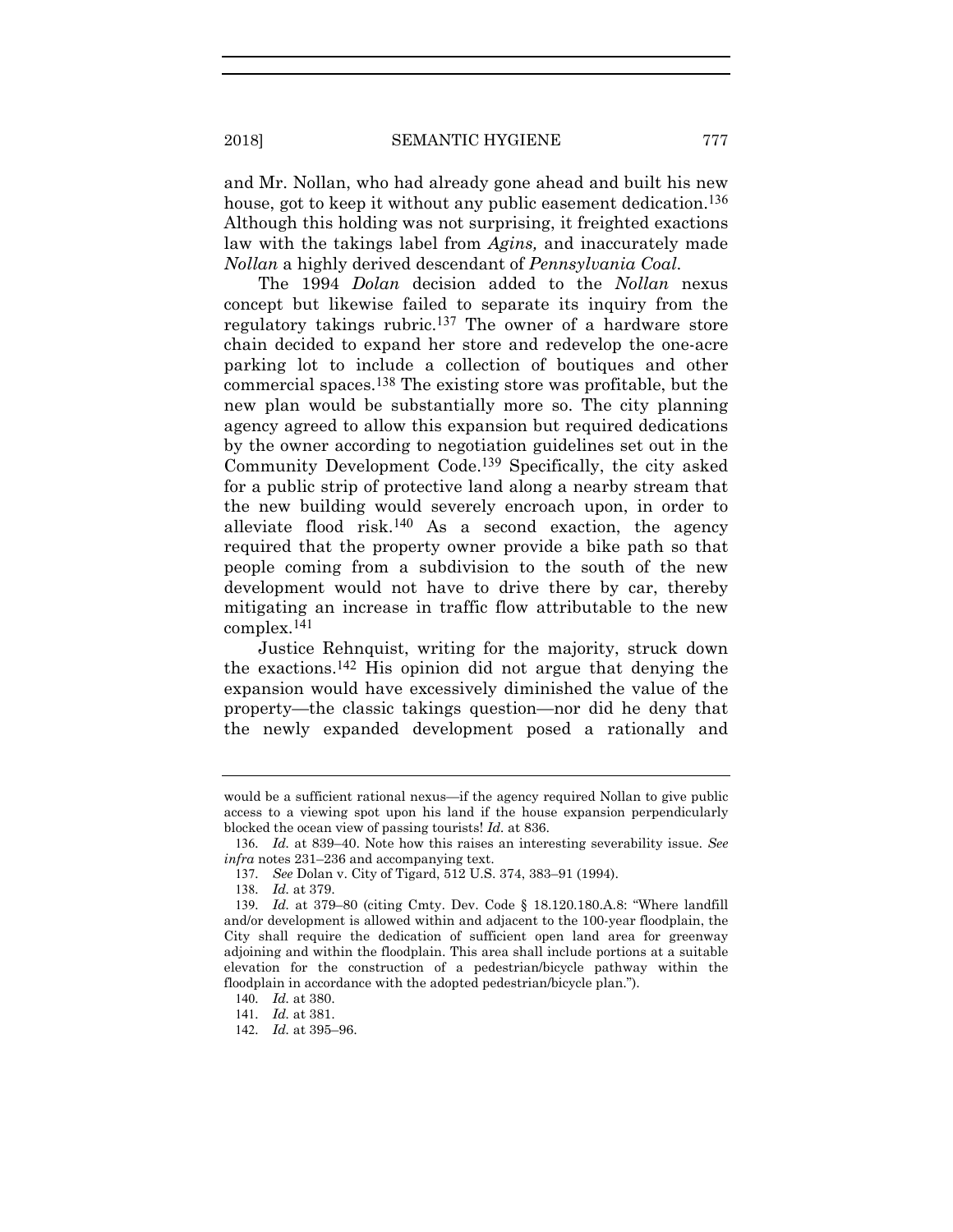and Mr. Nollan, who had already gone ahead and built his new house, got to keep it without any public easement dedication.<sup>136</sup> Although this holding was not surprising, it freighted exactions law with the takings label from *Agins,* and inaccurately made *Nollan* a highly derived descendant of *Pennsylvania Coal*.

The 1994 *Dolan* decision added to the *Nollan* nexus concept but likewise failed to separate its inquiry from the regulatory takings rubric.137 The owner of a hardware store chain decided to expand her store and redevelop the one-acre parking lot to include a collection of boutiques and other commercial spaces.138 The existing store was profitable, but the new plan would be substantially more so. The city planning agency agreed to allow this expansion but required dedications by the owner according to negotiation guidelines set out in the Community Development Code.139 Specifically, the city asked for a public strip of protective land along a nearby stream that the new building would severely encroach upon, in order to alleviate flood risk.<sup>140</sup> As a second exaction, the agency required that the property owner provide a bike path so that people coming from a subdivision to the south of the new development would not have to drive there by car, thereby mitigating an increase in traffic flow attributable to the new complex.141

Justice Rehnquist, writing for the majority, struck down the exactions.142 His opinion did not argue that denying the expansion would have excessively diminished the value of the property—the classic takings question—nor did he deny that the newly expanded development posed a rationally and

would be a sufficient rational nexus—if the agency required Nollan to give public access to a viewing spot upon his land if the house expansion perpendicularly blocked the ocean view of passing tourists! *Id.* at 836.

<sup>136</sup>*. Id.* at 839–40. Note how this raises an interesting severability issue. *See infra* notes 231–236 and accompanying text.

<sup>137</sup>*. See* Dolan v. City of Tigard, 512 U.S. 374, 383–91 (1994).

<sup>138</sup>*. Id.* at 379.

<sup>139</sup>*. Id.* at 379–80 (citing Cmty. Dev. Code § 18.120.180.A.8: "Where landfill and/or development is allowed within and adjacent to the 100-year floodplain, the City shall require the dedication of sufficient open land area for greenway adjoining and within the floodplain. This area shall include portions at a suitable elevation for the construction of a pedestrian/bicycle pathway within the floodplain in accordance with the adopted pedestrian/bicycle plan.").

<sup>140</sup>*. Id.* at 380.

<sup>141</sup>*. Id.* at 381.

<sup>142</sup>*. Id.* at 395–96.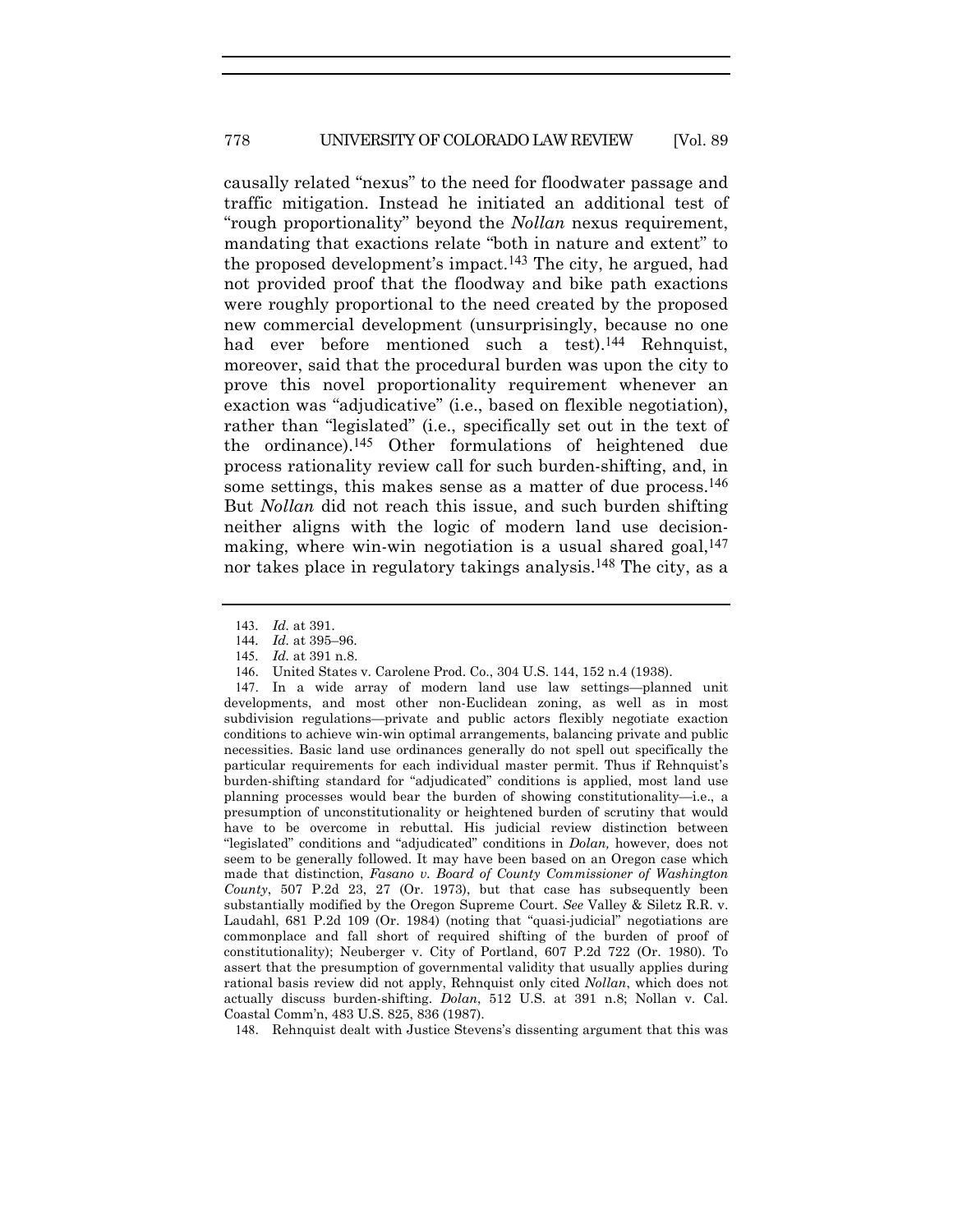causally related "nexus" to the need for floodwater passage and traffic mitigation. Instead he initiated an additional test of "rough proportionality" beyond the *Nollan* nexus requirement, mandating that exactions relate "both in nature and extent" to the proposed development's impact.143 The city, he argued, had not provided proof that the floodway and bike path exactions were roughly proportional to the need created by the proposed new commercial development (unsurprisingly, because no one had ever before mentioned such a test).<sup>144</sup> Rehnquist, moreover, said that the procedural burden was upon the city to prove this novel proportionality requirement whenever an exaction was "adjudicative" (i.e., based on flexible negotiation), rather than "legislated" (i.e., specifically set out in the text of the ordinance).145 Other formulations of heightened due process rationality review call for such burden-shifting, and, in some settings, this makes sense as a matter of due process.<sup>146</sup> But *Nollan* did not reach this issue, and such burden shifting neither aligns with the logic of modern land use decisionmaking, where win-win negotiation is a usual shared goal, $147$ nor takes place in regulatory takings analysis.<sup>148</sup> The city, as a

<sup>143</sup>*. Id.* at 391.

<sup>144</sup>*. Id.* at 395–96.

<sup>145</sup>*. Id.* at 391 n.8.

<sup>146</sup>. United States v. Carolene Prod. Co., 304 U.S. 144, 152 n.4 (1938).

<sup>147</sup>. In a wide array of modern land use law settings—planned unit developments, and most other non-Euclidean zoning, as well as in most subdivision regulations—private and public actors flexibly negotiate exaction conditions to achieve win-win optimal arrangements, balancing private and public necessities. Basic land use ordinances generally do not spell out specifically the particular requirements for each individual master permit. Thus if Rehnquist's burden-shifting standard for "adjudicated" conditions is applied, most land use planning processes would bear the burden of showing constitutionality—i.e., a presumption of unconstitutionality or heightened burden of scrutiny that would have to be overcome in rebuttal. His judicial review distinction between "legislated" conditions and "adjudicated" conditions in *Dolan,* however, does not seem to be generally followed. It may have been based on an Oregon case which made that distinction, *Fasano v. Board of County Commissioner of Washington County*, 507 P.2d 23, 27 (Or. 1973), but that case has subsequently been substantially modified by the Oregon Supreme Court. *See* Valley & Siletz R.R. v. Laudahl, 681 P.2d 109 (Or. 1984) (noting that "quasi-judicial" negotiations are commonplace and fall short of required shifting of the burden of proof of constitutionality); Neuberger v. City of Portland, 607 P.2d 722 (Or. 1980). To assert that the presumption of governmental validity that usually applies during rational basis review did not apply, Rehnquist only cited *Nollan*, which does not actually discuss burden-shifting. *Dolan*, 512 U.S. at 391 n.8; Nollan v. Cal. Coastal Comm'n, 483 U.S. 825, 836 (1987).

<sup>148</sup>. Rehnquist dealt with Justice Stevens's dissenting argument that this was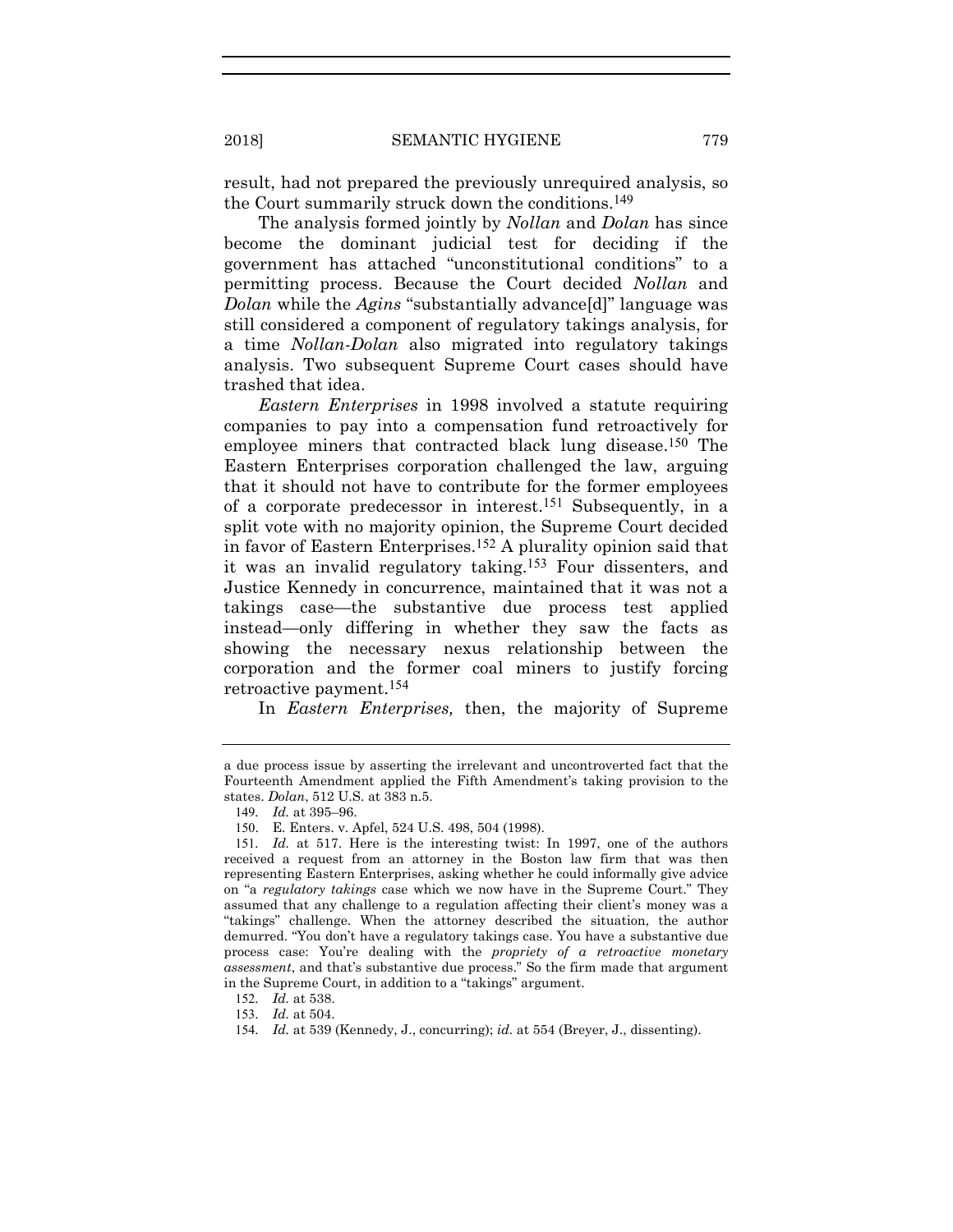result, had not prepared the previously unrequired analysis, so the Court summarily struck down the conditions.149

The analysis formed jointly by *Nollan* and *Dolan* has since become the dominant judicial test for deciding if the government has attached "unconstitutional conditions" to a permitting process. Because the Court decided *Nollan* and *Dolan* while the *Agins* "substantially advance[d]" language was still considered a component of regulatory takings analysis, for a time *Nollan-Dolan* also migrated into regulatory takings analysis. Two subsequent Supreme Court cases should have trashed that idea.

*Eastern Enterprises* in 1998 involved a statute requiring companies to pay into a compensation fund retroactively for employee miners that contracted black lung disease.150 The Eastern Enterprises corporation challenged the law, arguing that it should not have to contribute for the former employees of a corporate predecessor in interest.151 Subsequently, in a split vote with no majority opinion, the Supreme Court decided in favor of Eastern Enterprises.152 A plurality opinion said that it was an invalid regulatory taking.153 Four dissenters, and Justice Kennedy in concurrence, maintained that it was not a takings case—the substantive due process test applied instead—only differing in whether they saw the facts as showing the necessary nexus relationship between the corporation and the former coal miners to justify forcing retroactive payment.154

In *Eastern Enterprises,* then, the majority of Supreme

a due process issue by asserting the irrelevant and uncontroverted fact that the Fourteenth Amendment applied the Fifth Amendment's taking provision to the states. *Dolan*, 512 U.S. at 383 n.5.

<sup>149</sup>*. Id.* at 395–96.

<sup>150</sup>. E. Enters. v. Apfel, 524 U.S. 498, 504 (1998).

<sup>151</sup>*. Id.* at 517. Here is the interesting twist: In 1997, one of the authors received a request from an attorney in the Boston law firm that was then representing Eastern Enterprises, asking whether he could informally give advice on "a *regulatory takings* case which we now have in the Supreme Court." They assumed that any challenge to a regulation affecting their client's money was a "takings" challenge. When the attorney described the situation, the author demurred. "You don't have a regulatory takings case. You have a substantive due process case: You're dealing with the *propriety of a retroactive monetary assessment*, and that's substantive due process." So the firm made that argument in the Supreme Court, in addition to a "takings" argument.

<sup>152</sup>*. Id.* at 538.

<sup>153</sup>*. Id.* at 504.

<sup>154</sup>*. Id.* at 539 (Kennedy, J., concurring); *id.* at 554 (Breyer, J., dissenting).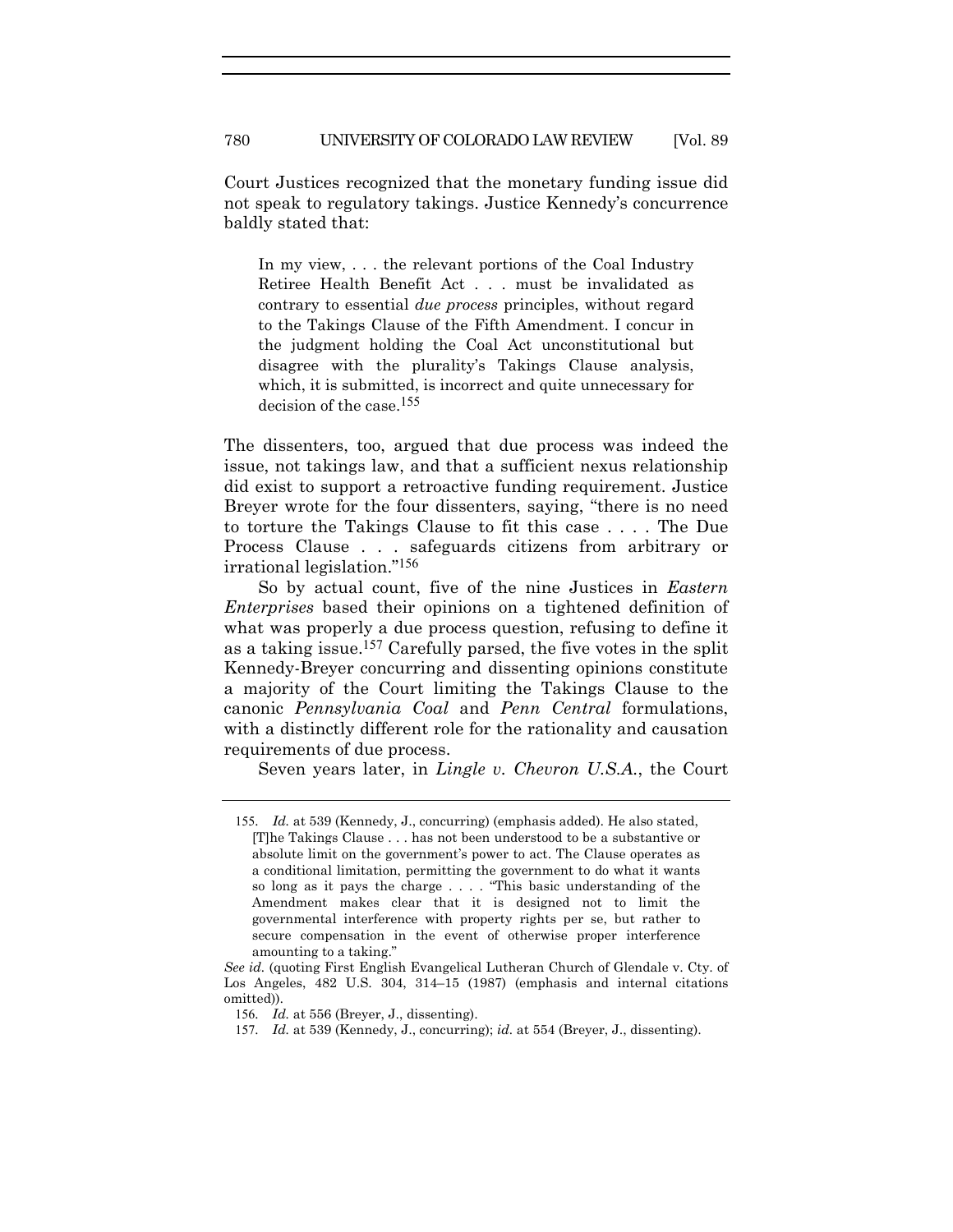Court Justices recognized that the monetary funding issue did not speak to regulatory takings. Justice Kennedy's concurrence baldly stated that:

In my view, . . . the relevant portions of the Coal Industry Retiree Health Benefit Act . . . must be invalidated as contrary to essential *due process* principles, without regard to the Takings Clause of the Fifth Amendment. I concur in the judgment holding the Coal Act unconstitutional but disagree with the plurality's Takings Clause analysis, which, it is submitted, is incorrect and quite unnecessary for decision of the case.155

The dissenters, too, argued that due process was indeed the issue, not takings law, and that a sufficient nexus relationship did exist to support a retroactive funding requirement. Justice Breyer wrote for the four dissenters, saying, "there is no need to torture the Takings Clause to fit this case . . . . The Due Process Clause . . . safeguards citizens from arbitrary or irrational legislation."156

So by actual count, five of the nine Justices in *Eastern Enterprises* based their opinions on a tightened definition of what was properly a due process question, refusing to define it as a taking issue.157 Carefully parsed, the five votes in the split Kennedy-Breyer concurring and dissenting opinions constitute a majority of the Court limiting the Takings Clause to the canonic *Pennsylvania Coal* and *Penn Central* formulations, with a distinctly different role for the rationality and causation requirements of due process.

Seven years later, in *Lingle v. Chevron U.S.A.*, the Court

<sup>155</sup>*. Id.* at 539 (Kennedy, J., concurring) (emphasis added). He also stated, [T]he Takings Clause . . . has not been understood to be a substantive or absolute limit on the government's power to act. The Clause operates as a conditional limitation, permitting the government to do what it wants so long as it pays the charge . . . . "This basic understanding of the Amendment makes clear that it is designed not to limit the governmental interference with property rights per se, but rather to secure compensation in the event of otherwise proper interference amounting to a taking."

*See id.* (quoting First English Evangelical Lutheran Church of Glendale v. Cty. of Los Angeles, 482 U.S. 304, 314–15 (1987) (emphasis and internal citations omitted)).

<sup>156</sup>*. Id.* at 556 (Breyer, J., dissenting).

<sup>157</sup>*. Id.* at 539 (Kennedy, J., concurring); *id.* at 554 (Breyer, J., dissenting).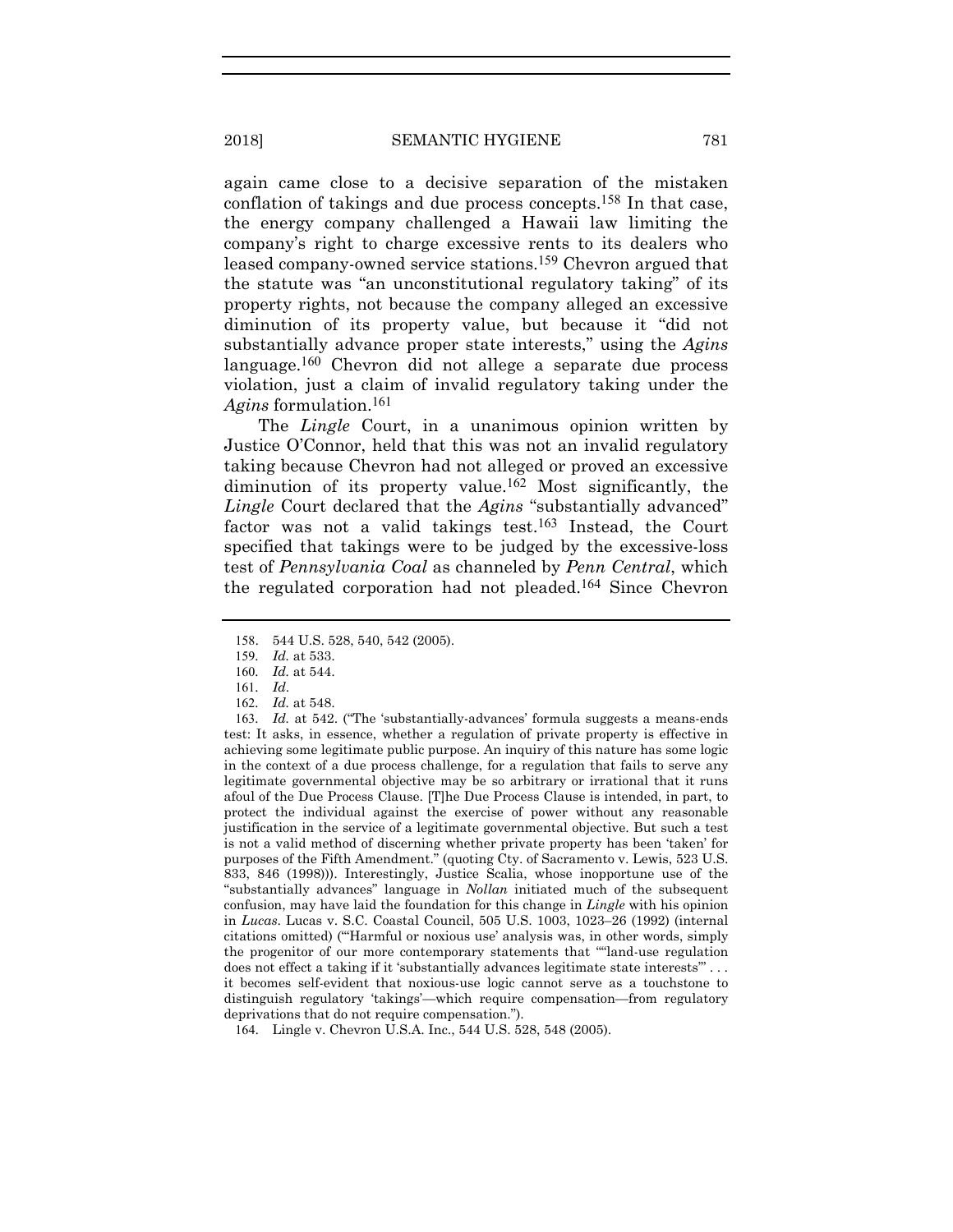again came close to a decisive separation of the mistaken conflation of takings and due process concepts.158 In that case, the energy company challenged a Hawaii law limiting the company's right to charge excessive rents to its dealers who leased company-owned service stations.159 Chevron argued that the statute was "an unconstitutional regulatory taking" of its property rights, not because the company alleged an excessive diminution of its property value, but because it "did not substantially advance proper state interests," using the *Agins* language.160 Chevron did not allege a separate due process violation, just a claim of invalid regulatory taking under the *Agins* formulation.161

The *Lingle* Court, in a unanimous opinion written by Justice O'Connor, held that this was not an invalid regulatory taking because Chevron had not alleged or proved an excessive diminution of its property value.162 Most significantly, the *Lingle* Court declared that the *Agins* "substantially advanced" factor was not a valid takings test.163 Instead, the Court specified that takings were to be judged by the excessive-loss test of *Pennsylvania Coal* as channeled by *Penn Central*, which the regulated corporation had not pleaded.164 Since Chevron

163. Id. at 542. ("The 'substantially-advances' formula suggests a means-ends" test: It asks, in essence, whether a regulation of private property is effective in achieving some legitimate public purpose. An inquiry of this nature has some logic in the context of a due process challenge, for a regulation that fails to serve any legitimate governmental objective may be so arbitrary or irrational that it runs afoul of the Due Process Clause. [T]he Due Process Clause is intended, in part, to protect the individual against the exercise of power without any reasonable justification in the service of a legitimate governmental objective. But such a test is not a valid method of discerning whether private property has been 'taken' for purposes of the Fifth Amendment." (quoting Cty. of Sacramento v. Lewis, 523 U.S. 833, 846 (1998))). Interestingly, Justice Scalia, whose inopportune use of the "substantially advances" language in *Nollan* initiated much of the subsequent confusion, may have laid the foundation for this change in *Lingle* with his opinion in *Lucas*. Lucas v. S.C. Coastal Council, 505 U.S. 1003, 1023–26 (1992) (internal citations omitted) ("'Harmful or noxious use' analysis was, in other words, simply the progenitor of our more contemporary statements that "''land-use regulation does not effect a taking if it 'substantially advances legitimate state interests'" . . . it becomes self-evident that noxious-use logic cannot serve as a touchstone to distinguish regulatory 'takings'—which require compensation—from regulatory deprivations that do not require compensation.").

164. Lingle v. Chevron U.S.A. Inc., 544 U.S. 528, 548 (2005).

<sup>158</sup>. 544 U.S. 528, 540, 542 (2005).

<sup>159</sup>*. Id.* at 533.

<sup>160</sup>*. Id.* at 544.

<sup>161</sup>*. Id*.

<sup>162</sup>*. Id.* at 548.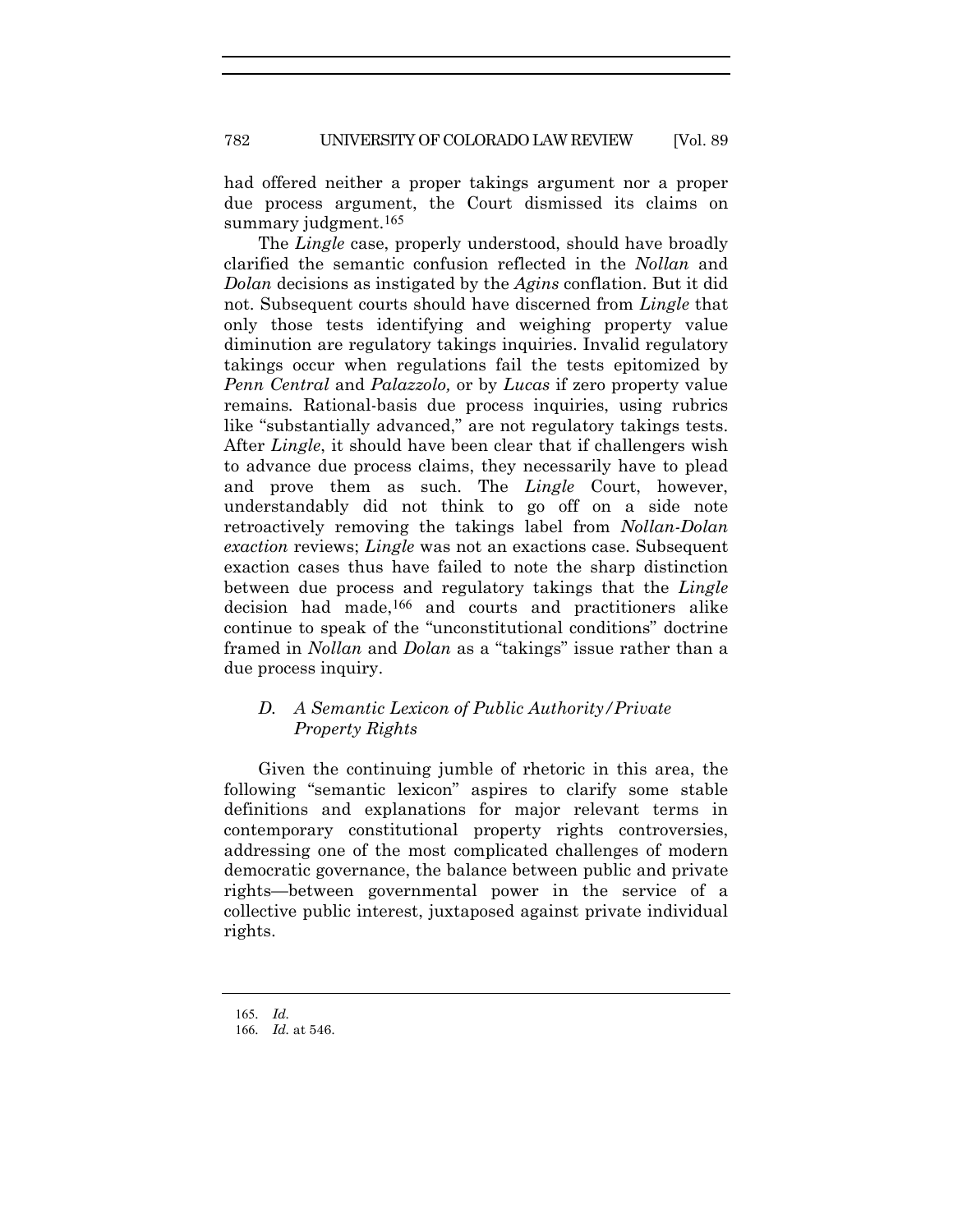had offered neither a proper takings argument nor a proper due process argument, the Court dismissed its claims on summary judgment.<sup>165</sup>

The *Lingle* case, properly understood, should have broadly clarified the semantic confusion reflected in the *Nollan* and *Dolan* decisions as instigated by the *Agins* conflation. But it did not. Subsequent courts should have discerned from *Lingle* that only those tests identifying and weighing property value diminution are regulatory takings inquiries. Invalid regulatory takings occur when regulations fail the tests epitomized by *Penn Central* and *Palazzolo,* or by *Lucas* if zero property value remains*.* Rational-basis due process inquiries, using rubrics like "substantially advanced," are not regulatory takings tests. After *Lingle*, it should have been clear that if challengers wish to advance due process claims, they necessarily have to plead and prove them as such. The *Lingle* Court, however, understandably did not think to go off on a side note retroactively removing the takings label from *Nollan-Dolan exaction* reviews; *Lingle* was not an exactions case. Subsequent exaction cases thus have failed to note the sharp distinction between due process and regulatory takings that the *Lingle* decision had made,166 and courts and practitioners alike continue to speak of the "unconstitutional conditions" doctrine framed in *Nollan* and *Dolan* as a "takings" issue rather than a due process inquiry.

# *D. A Semantic Lexicon of Public Authority/Private Property Rights*

Given the continuing jumble of rhetoric in this area, the following "semantic lexicon" aspires to clarify some stable definitions and explanations for major relevant terms in contemporary constitutional property rights controversies, addressing one of the most complicated challenges of modern democratic governance, the balance between public and private rights—between governmental power in the service of a collective public interest, juxtaposed against private individual rights.

<sup>165</sup>*. Id.*

<sup>166</sup>*. Id.* at 546.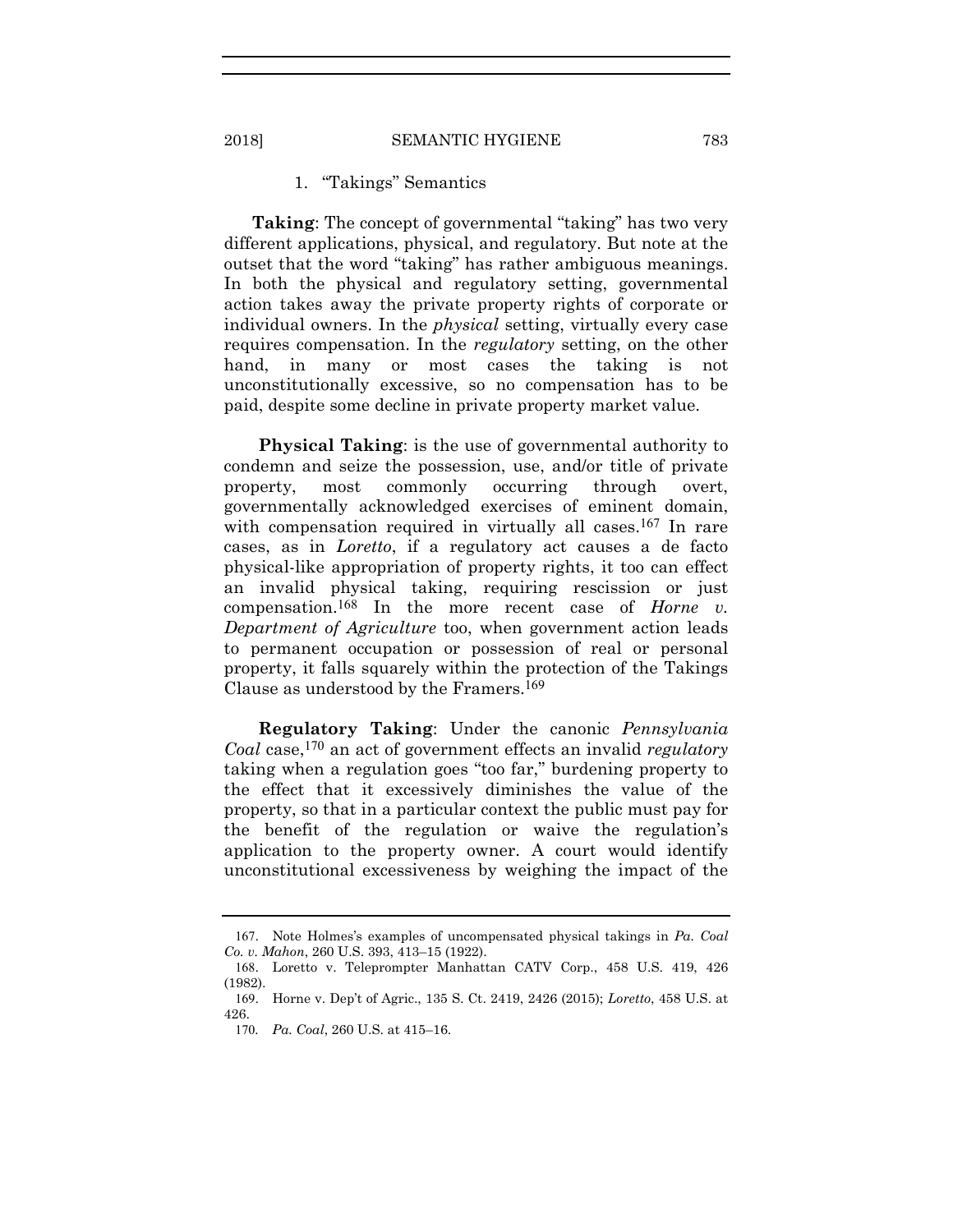# 1. "Takings" Semantics

**Taking**: The concept of governmental "taking" has two very different applications, physical, and regulatory. But note at the outset that the word "taking" has rather ambiguous meanings. In both the physical and regulatory setting, governmental action takes away the private property rights of corporate or individual owners. In the *physical* setting, virtually every case requires compensation. In the *regulatory* setting, on the other hand, in many or most cases the taking is not unconstitutionally excessive, so no compensation has to be paid, despite some decline in private property market value.

**Physical Taking**: is the use of governmental authority to condemn and seize the possession, use, and/or title of private property, most commonly occurring through overt, governmentally acknowledged exercises of eminent domain, with compensation required in virtually all cases.<sup>167</sup> In rare cases, as in *Loretto*, if a regulatory act causes a de facto physical-like appropriation of property rights, it too can effect an invalid physical taking, requiring rescission or just compensation.168 In the more recent case of *Horne v. Department of Agriculture* too, when government action leads to permanent occupation or possession of real or personal property, it falls squarely within the protection of the Takings Clause as understood by the Framers.169

**Regulatory Taking**: Under the canonic *Pennsylvania Coal* case,170 an act of government effects an invalid *regulatory* taking when a regulation goes "too far," burdening property to the effect that it excessively diminishes the value of the property, so that in a particular context the public must pay for the benefit of the regulation or waive the regulation's application to the property owner. A court would identify unconstitutional excessiveness by weighing the impact of the

<sup>167</sup>. Note Holmes's examples of uncompensated physical takings in *Pa. Coal Co. v. Mahon*, 260 U.S. 393, 413–15 (1922).

<sup>168</sup>. Loretto v. Teleprompter Manhattan CATV Corp., 458 U.S. 419, 426 (1982).

<sup>169</sup>. Horne v. Dep't of Agric., 135 S. Ct. 2419, 2426 (2015); *Loretto*, 458 U.S. at 426.

<sup>170</sup>*. Pa. Coal*, 260 U.S. at 415–16.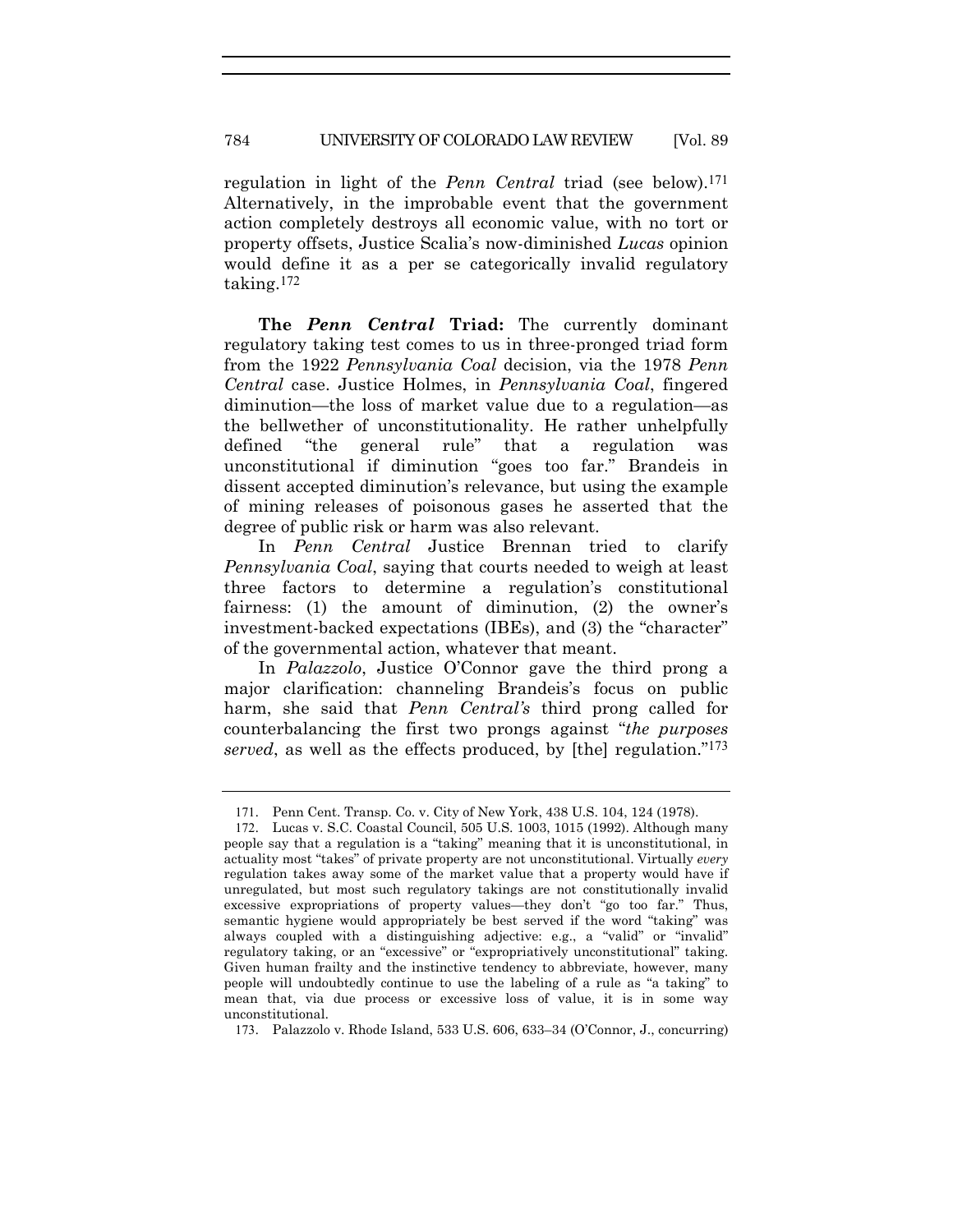#### 784 UNIVERSITY OF COLORADO LAW REVIEW [Vol. 89

regulation in light of the *Penn Central* triad (see below).171 Alternatively, in the improbable event that the government action completely destroys all economic value, with no tort or property offsets, Justice Scalia's now-diminished *Lucas* opinion would define it as a per se categorically invalid regulatory taking.172

**The** *Penn Central* **Triad:** The currently dominant regulatory taking test comes to us in three-pronged triad form from the 1922 *Pennsylvania Coal* decision, via the 1978 *Penn Central* case. Justice Holmes, in *Pennsylvania Coal*, fingered diminution—the loss of market value due to a regulation—as the bellwether of unconstitutionality. He rather unhelpfully defined "the general rule" that a regulation was unconstitutional if diminution "goes too far." Brandeis in dissent accepted diminution's relevance, but using the example of mining releases of poisonous gases he asserted that the degree of public risk or harm was also relevant.

In *Penn Central* Justice Brennan tried to clarify *Pennsylvania Coal*, saying that courts needed to weigh at least three factors to determine a regulation's constitutional fairness: (1) the amount of diminution, (2) the owner's investment-backed expectations (IBEs), and (3) the "character" of the governmental action, whatever that meant.

In *Palazzolo*, Justice O'Connor gave the third prong a major clarification: channeling Brandeis's focus on public harm, she said that *Penn Central's* third prong called for counterbalancing the first two prongs against "*the purposes served*, as well as the effects produced, by [the] regulation."173

<sup>171</sup>. Penn Cent. Transp. Co. v. City of New York, 438 U.S. 104, 124 (1978).

<sup>172</sup>. Lucas v. S.C. Coastal Council, 505 U.S. 1003, 1015 (1992). Although many people say that a regulation is a "taking" meaning that it is unconstitutional, in actuality most "takes" of private property are not unconstitutional. Virtually *every* regulation takes away some of the market value that a property would have if unregulated, but most such regulatory takings are not constitutionally invalid excessive expropriations of property values—they don't "go too far." Thus, semantic hygiene would appropriately be best served if the word "taking" was always coupled with a distinguishing adjective: e.g., a "valid" or "invalid" regulatory taking, or an "excessive" or "expropriatively unconstitutional" taking. Given human frailty and the instinctive tendency to abbreviate, however, many people will undoubtedly continue to use the labeling of a rule as "a taking" to mean that, via due process or excessive loss of value, it is in some way unconstitutional.

<sup>173</sup>. Palazzolo v. Rhode Island, 533 U.S. 606, 633–34 (O'Connor, J., concurring)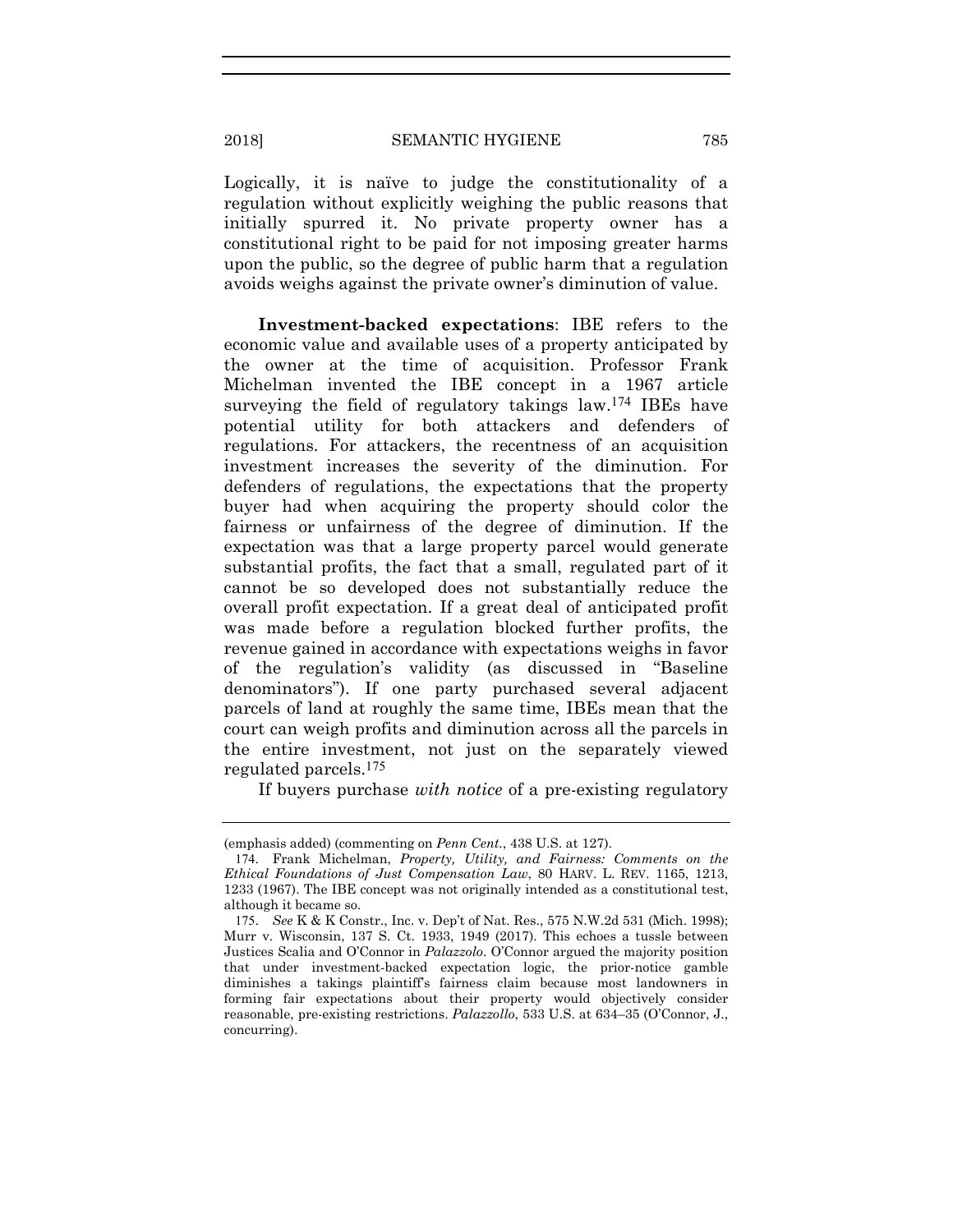Logically, it is naïve to judge the constitutionality of a regulation without explicitly weighing the public reasons that initially spurred it. No private property owner has a constitutional right to be paid for not imposing greater harms upon the public, so the degree of public harm that a regulation avoids weighs against the private owner's diminution of value.

**Investment-backed expectations**: IBE refers to the economic value and available uses of a property anticipated by the owner at the time of acquisition. Professor Frank Michelman invented the IBE concept in a 1967 article surveying the field of regulatory takings law.174 IBEs have potential utility for both attackers and defenders of regulations. For attackers, the recentness of an acquisition investment increases the severity of the diminution. For defenders of regulations, the expectations that the property buyer had when acquiring the property should color the fairness or unfairness of the degree of diminution. If the expectation was that a large property parcel would generate substantial profits, the fact that a small, regulated part of it cannot be so developed does not substantially reduce the overall profit expectation. If a great deal of anticipated profit was made before a regulation blocked further profits, the revenue gained in accordance with expectations weighs in favor of the regulation's validity (as discussed in "Baseline denominators"). If one party purchased several adjacent parcels of land at roughly the same time, IBEs mean that the court can weigh profits and diminution across all the parcels in the entire investment, not just on the separately viewed regulated parcels.175

If buyers purchase *with notice* of a pre-existing regulatory

<sup>(</sup>emphasis added) (commenting on *Penn Cent.*, 438 U.S. at 127).

<sup>174</sup>. Frank Michelman, *Property, Utility, and Fairness: Comments on the Ethical Foundations of Just Compensation Law*, 80 HARV. L. REV. 1165, 1213, 1233 (1967). The IBE concept was not originally intended as a constitutional test, although it became so.

<sup>175</sup>. *See* K & K Constr., Inc. v. Dep't of Nat. Res., 575 N.W.2d 531 (Mich. 1998); Murr v. Wisconsin, 137 S. Ct. 1933, 1949 (2017). This echoes a tussle between Justices Scalia and O'Connor in *Palazzolo*. O'Connor argued the majority position that under investment-backed expectation logic, the prior-notice gamble diminishes a takings plaintiff's fairness claim because most landowners in forming fair expectations about their property would objectively consider reasonable, pre-existing restrictions. *Palazzollo*, 533 U.S. at 634–35 (O'Connor, J., concurring).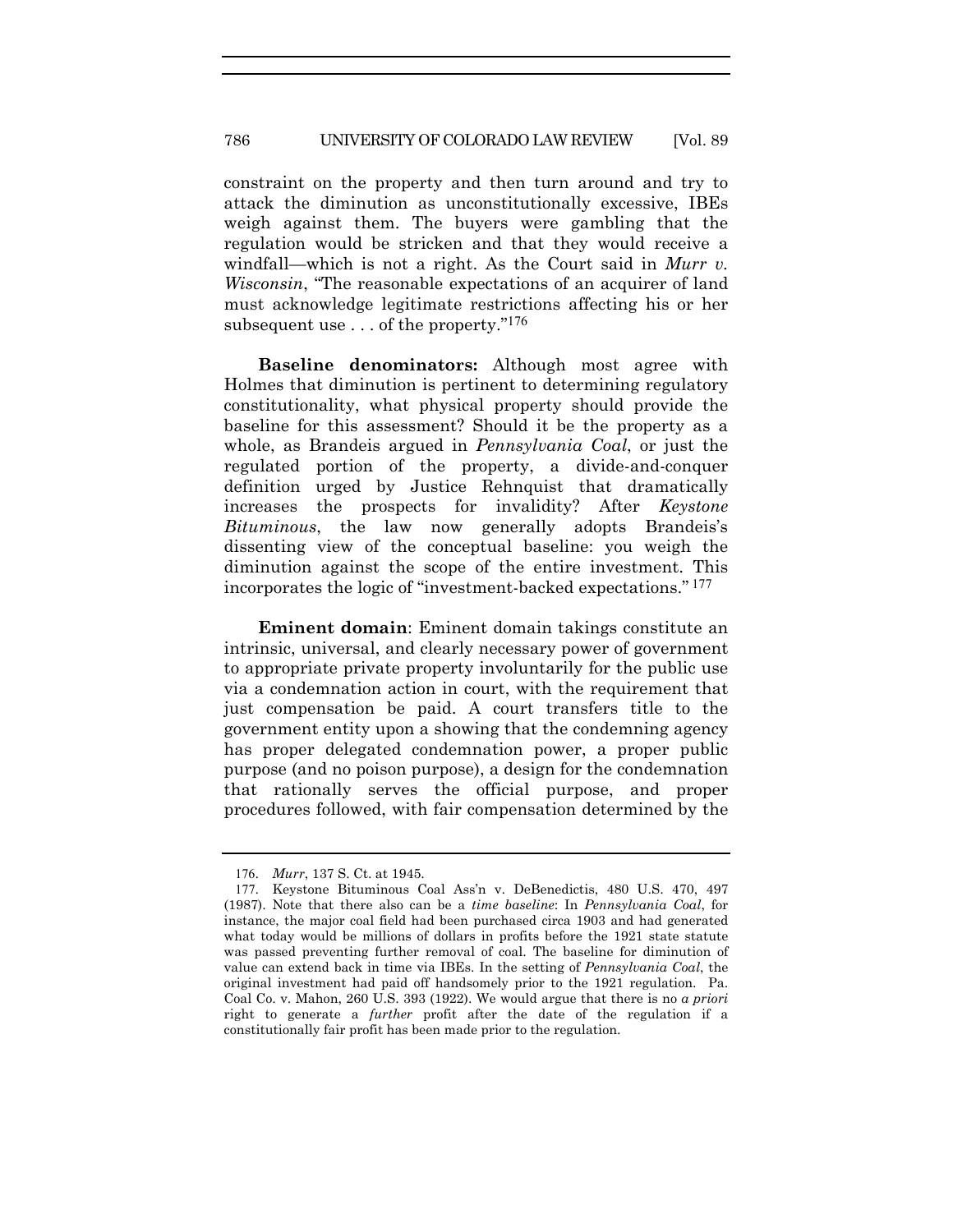#### 786 UNIVERSITY OF COLORADO LAW REVIEW [Vol. 89

constraint on the property and then turn around and try to attack the diminution as unconstitutionally excessive, IBEs weigh against them. The buyers were gambling that the regulation would be stricken and that they would receive a windfall—which is not a right. As the Court said in *Murr v. Wisconsin*, "The reasonable expectations of an acquirer of land must acknowledge legitimate restrictions affecting his or her subsequent use  $\dots$  of the property."<sup>176</sup>

**Baseline denominators:** Although most agree with Holmes that diminution is pertinent to determining regulatory constitutionality, what physical property should provide the baseline for this assessment? Should it be the property as a whole, as Brandeis argued in *Pennsylvania Coal*, or just the regulated portion of the property, a divide-and-conquer definition urged by Justice Rehnquist that dramatically increases the prospects for invalidity? After *Keystone Bituminous*, the law now generally adopts Brandeis's dissenting view of the conceptual baseline: you weigh the diminution against the scope of the entire investment. This incorporates the logic of "investment-backed expectations." 177

**Eminent domain**: Eminent domain takings constitute an intrinsic, universal, and clearly necessary power of government to appropriate private property involuntarily for the public use via a condemnation action in court, with the requirement that just compensation be paid. A court transfers title to the government entity upon a showing that the condemning agency has proper delegated condemnation power, a proper public purpose (and no poison purpose), a design for the condemnation that rationally serves the official purpose, and proper procedures followed, with fair compensation determined by the

<sup>176</sup>. *Murr*, 137 S. Ct. at 1945.

<sup>177</sup>. Keystone Bituminous Coal Ass'n v. DeBenedictis, 480 U.S. 470, 497 (1987). Note that there also can be a *time baseline*: In *Pennsylvania Coal*, for instance, the major coal field had been purchased circa 1903 and had generated what today would be millions of dollars in profits before the 1921 state statute was passed preventing further removal of coal. The baseline for diminution of value can extend back in time via IBEs. In the setting of *Pennsylvania Coal*, the original investment had paid off handsomely prior to the 1921 regulation. Pa. Coal Co. v. Mahon, 260 U.S. 393 (1922). We would argue that there is no *a priori* right to generate a *further* profit after the date of the regulation if a constitutionally fair profit has been made prior to the regulation.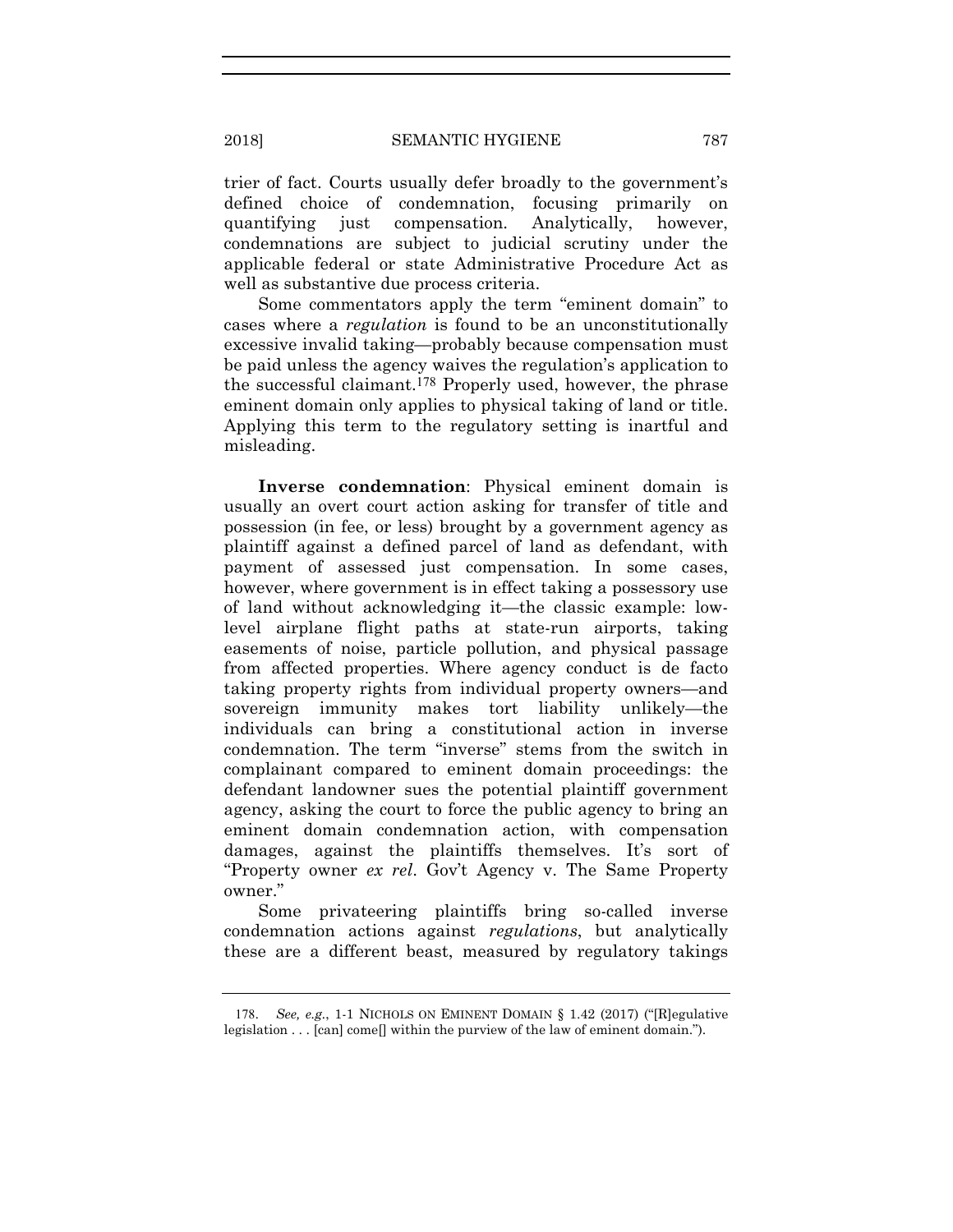trier of fact. Courts usually defer broadly to the government's defined choice of condemnation, focusing primarily on quantifying just compensation. Analytically, however, condemnations are subject to judicial scrutiny under the applicable federal or state Administrative Procedure Act as well as substantive due process criteria.

Some commentators apply the term "eminent domain" to cases where a *regulation* is found to be an unconstitutionally excessive invalid taking—probably because compensation must be paid unless the agency waives the regulation's application to the successful claimant.178 Properly used, however, the phrase eminent domain only applies to physical taking of land or title. Applying this term to the regulatory setting is inartful and misleading.

**Inverse condemnation**: Physical eminent domain is usually an overt court action asking for transfer of title and possession (in fee, or less) brought by a government agency as plaintiff against a defined parcel of land as defendant, with payment of assessed just compensation. In some cases, however, where government is in effect taking a possessory use of land without acknowledging it—the classic example: lowlevel airplane flight paths at state-run airports, taking easements of noise, particle pollution, and physical passage from affected properties. Where agency conduct is de facto taking property rights from individual property owners—and sovereign immunity makes tort liability unlikely—the individuals can bring a constitutional action in inverse condemnation. The term "inverse" stems from the switch in complainant compared to eminent domain proceedings: the defendant landowner sues the potential plaintiff government agency, asking the court to force the public agency to bring an eminent domain condemnation action, with compensation damages, against the plaintiffs themselves. It's sort of "Property owner *ex rel*. Gov't Agency v. The Same Property owner."

Some privateering plaintiffs bring so-called inverse condemnation actions against *regulations*, but analytically these are a different beast, measured by regulatory takings

<sup>178</sup>. *See, e.g.*, 1-1 NICHOLS ON EMINENT DOMAIN § 1.42 (2017) ("[R]egulative legislation . . . [can] come[] within the purview of the law of eminent domain.").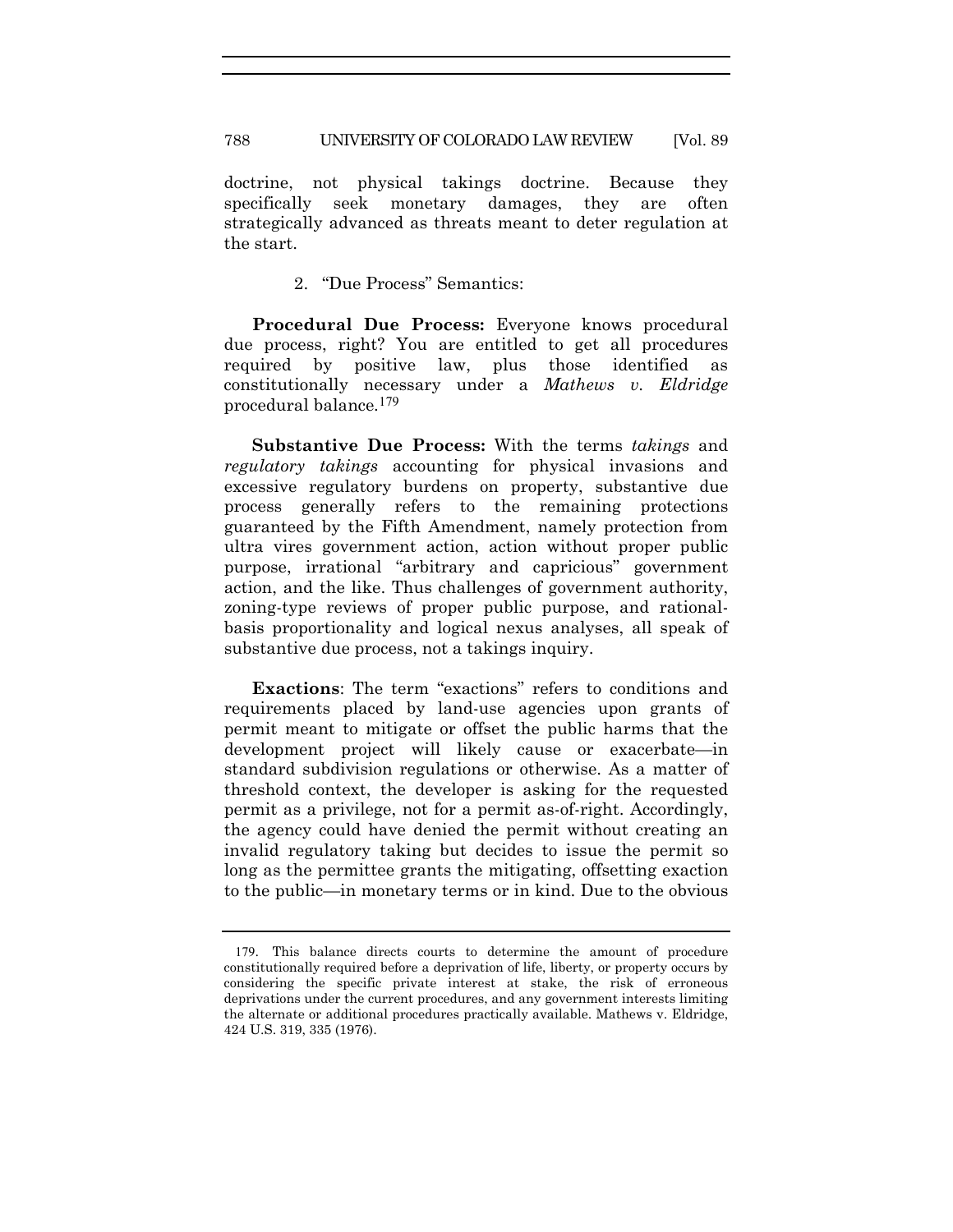788 UNIVERSITY OF COLORADO LAW REVIEW [Vol. 89

doctrine, not physical takings doctrine. Because they specifically seek monetary damages, they are often strategically advanced as threats meant to deter regulation at the start.

2. "Due Process" Semantics:

 **Procedural Due Process:** Everyone knows procedural due process, right? You are entitled to get all procedures required by positive law, plus those identified as constitutionally necessary under a *Mathews v. Eldridge*  procedural balance*.*179

 **Substantive Due Process:** With the terms *takings* and *regulatory takings* accounting for physical invasions and excessive regulatory burdens on property, substantive due process generally refers to the remaining protections guaranteed by the Fifth Amendment, namely protection from ultra vires government action, action without proper public purpose, irrational "arbitrary and capricious" government action, and the like. Thus challenges of government authority, zoning-type reviews of proper public purpose, and rationalbasis proportionality and logical nexus analyses, all speak of substantive due process, not a takings inquiry.

 **Exactions**: The term "exactions" refers to conditions and requirements placed by land-use agencies upon grants of permit meant to mitigate or offset the public harms that the development project will likely cause or exacerbate—in standard subdivision regulations or otherwise. As a matter of threshold context, the developer is asking for the requested permit as a privilege, not for a permit as-of-right. Accordingly, the agency could have denied the permit without creating an invalid regulatory taking but decides to issue the permit so long as the permittee grants the mitigating, offsetting exaction to the public—in monetary terms or in kind. Due to the obvious

<sup>179</sup>. This balance directs courts to determine the amount of procedure constitutionally required before a deprivation of life, liberty, or property occurs by considering the specific private interest at stake, the risk of erroneous deprivations under the current procedures, and any government interests limiting the alternate or additional procedures practically available. Mathews v. Eldridge, 424 U.S. 319, 335 (1976).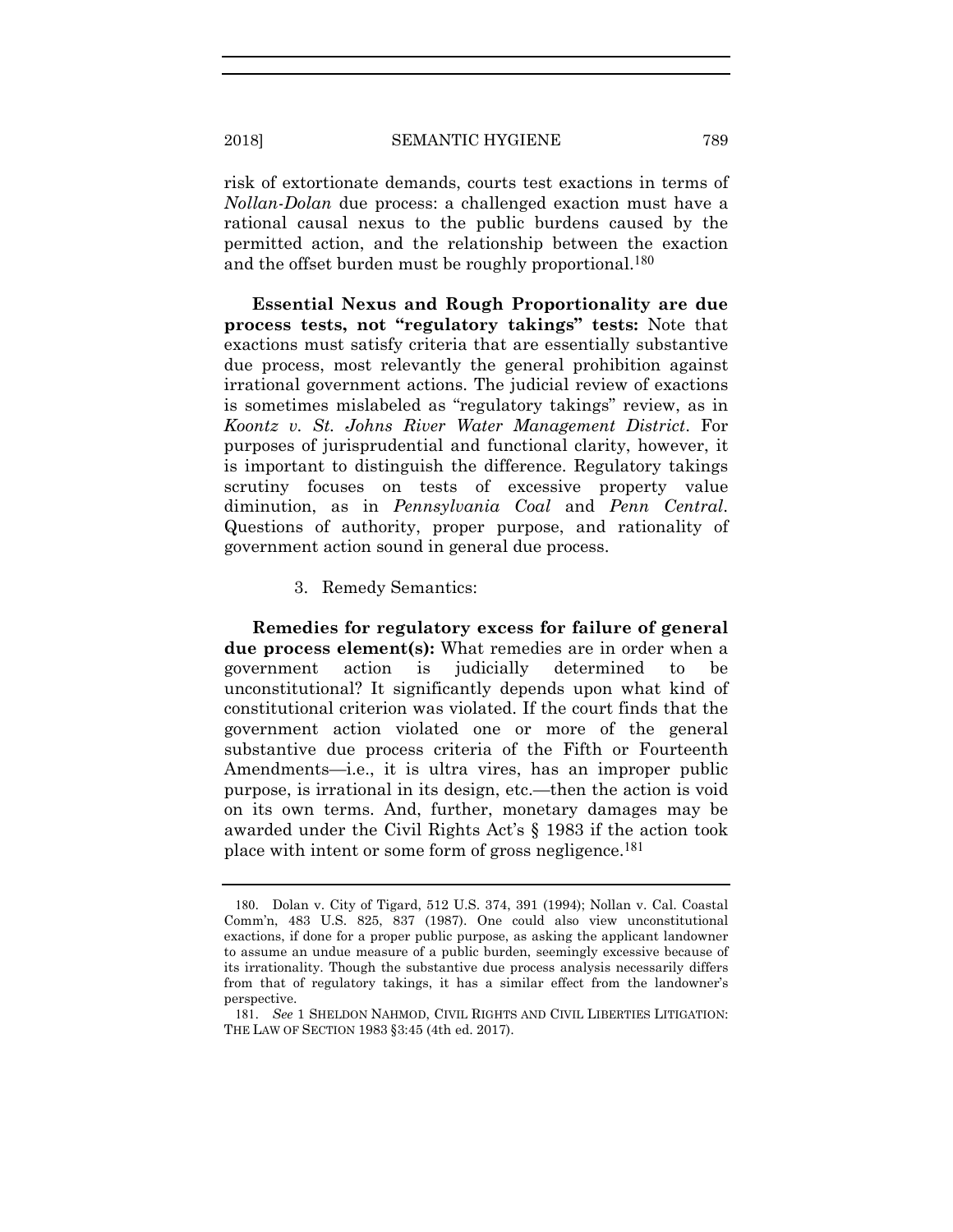risk of extortionate demands, courts test exactions in terms of *Nollan-Dolan* due process: a challenged exaction must have a rational causal nexus to the public burdens caused by the permitted action, and the relationship between the exaction and the offset burden must be roughly proportional.<sup>180</sup>

 **Essential Nexus and Rough Proportionality are due process tests, not "regulatory takings" tests:** Note that exactions must satisfy criteria that are essentially substantive due process, most relevantly the general prohibition against irrational government actions. The judicial review of exactions is sometimes mislabeled as "regulatory takings" review, as in *Koontz v. St. Johns River Water Management District*. For purposes of jurisprudential and functional clarity, however, it is important to distinguish the difference. Regulatory takings scrutiny focuses on tests of excessive property value diminution, as in *Pennsylvania Coal* and *Penn Central*. Questions of authority, proper purpose, and rationality of government action sound in general due process.

3. Remedy Semantics:

 **Remedies for regulatory excess for failure of general due process element(s):** What remedies are in order when a government action is judicially determined to be unconstitutional? It significantly depends upon what kind of constitutional criterion was violated. If the court finds that the government action violated one or more of the general substantive due process criteria of the Fifth or Fourteenth Amendments—i.e., it is ultra vires, has an improper public purpose, is irrational in its design, etc.—then the action is void on its own terms. And, further, monetary damages may be awarded under the Civil Rights Act's § 1983 if the action took place with intent or some form of gross negligence.181

<sup>180</sup>. Dolan v. City of Tigard, 512 U.S. 374, 391 (1994); Nollan v. Cal. Coastal Comm'n, 483 U.S. 825, 837 (1987). One could also view unconstitutional exactions, if done for a proper public purpose, as asking the applicant landowner to assume an undue measure of a public burden, seemingly excessive because of its irrationality. Though the substantive due process analysis necessarily differs from that of regulatory takings, it has a similar effect from the landowner's perspective.

<sup>181</sup>. *See* 1 SHELDON NAHMOD, CIVIL RIGHTS AND CIVIL LIBERTIES LITIGATION: THE LAW OF SECTION 1983 §3:45 (4th ed. 2017).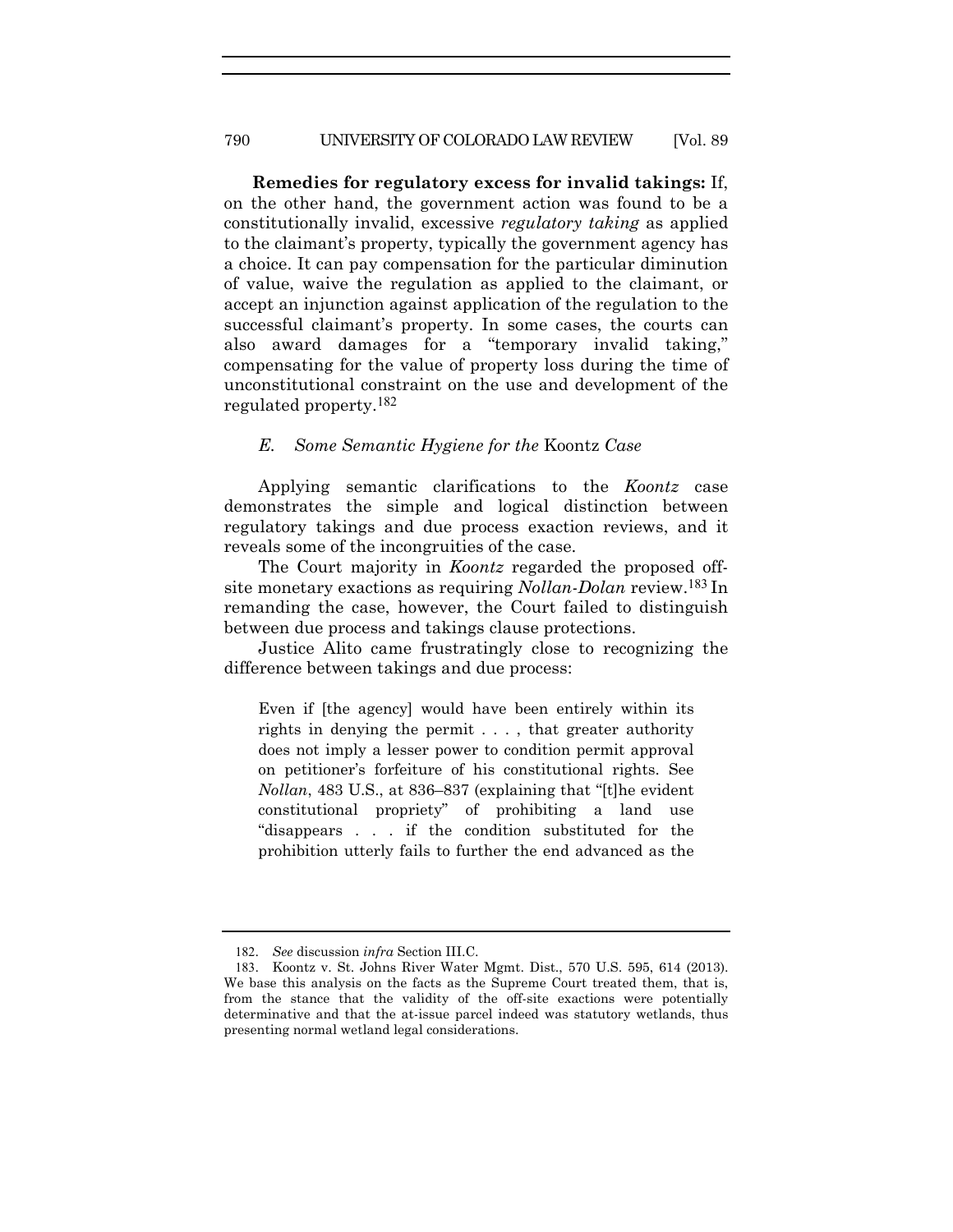**Remedies for regulatory excess for invalid takings:** If, on the other hand, the government action was found to be a constitutionally invalid, excessive *regulatory taking* as applied to the claimant's property, typically the government agency has a choice. It can pay compensation for the particular diminution of value, waive the regulation as applied to the claimant, or accept an injunction against application of the regulation to the successful claimant's property. In some cases, the courts can also award damages for a "temporary invalid taking," compensating for the value of property loss during the time of unconstitutional constraint on the use and development of the regulated property.182

#### *E. Some Semantic Hygiene for the* Koontz *Case*

Applying semantic clarifications to the *Koontz* case demonstrates the simple and logical distinction between regulatory takings and due process exaction reviews, and it reveals some of the incongruities of the case.

The Court majority in *Koontz* regarded the proposed offsite monetary exactions as requiring *Nollan-Dolan* review.183 In remanding the case, however, the Court failed to distinguish between due process and takings clause protections.

Justice Alito came frustratingly close to recognizing the difference between takings and due process:

Even if [the agency] would have been entirely within its rights in denying the permit . . . , that greater authority does not imply a lesser power to condition permit approval on petitioner's forfeiture of his constitutional rights. See *Nollan*, 483 U.S., at 836–837 (explaining that "[t]he evident constitutional propriety" of prohibiting a land use "disappears . . . if the condition substituted for the prohibition utterly fails to further the end advanced as the

<sup>182</sup>. *See* discussion *infra* Section III.C.

<sup>183</sup>. Koontz v. St. Johns River Water Mgmt. Dist., 570 U.S. 595, 614 (2013). We base this analysis on the facts as the Supreme Court treated them, that is, from the stance that the validity of the off-site exactions were potentially determinative and that the at-issue parcel indeed was statutory wetlands, thus presenting normal wetland legal considerations.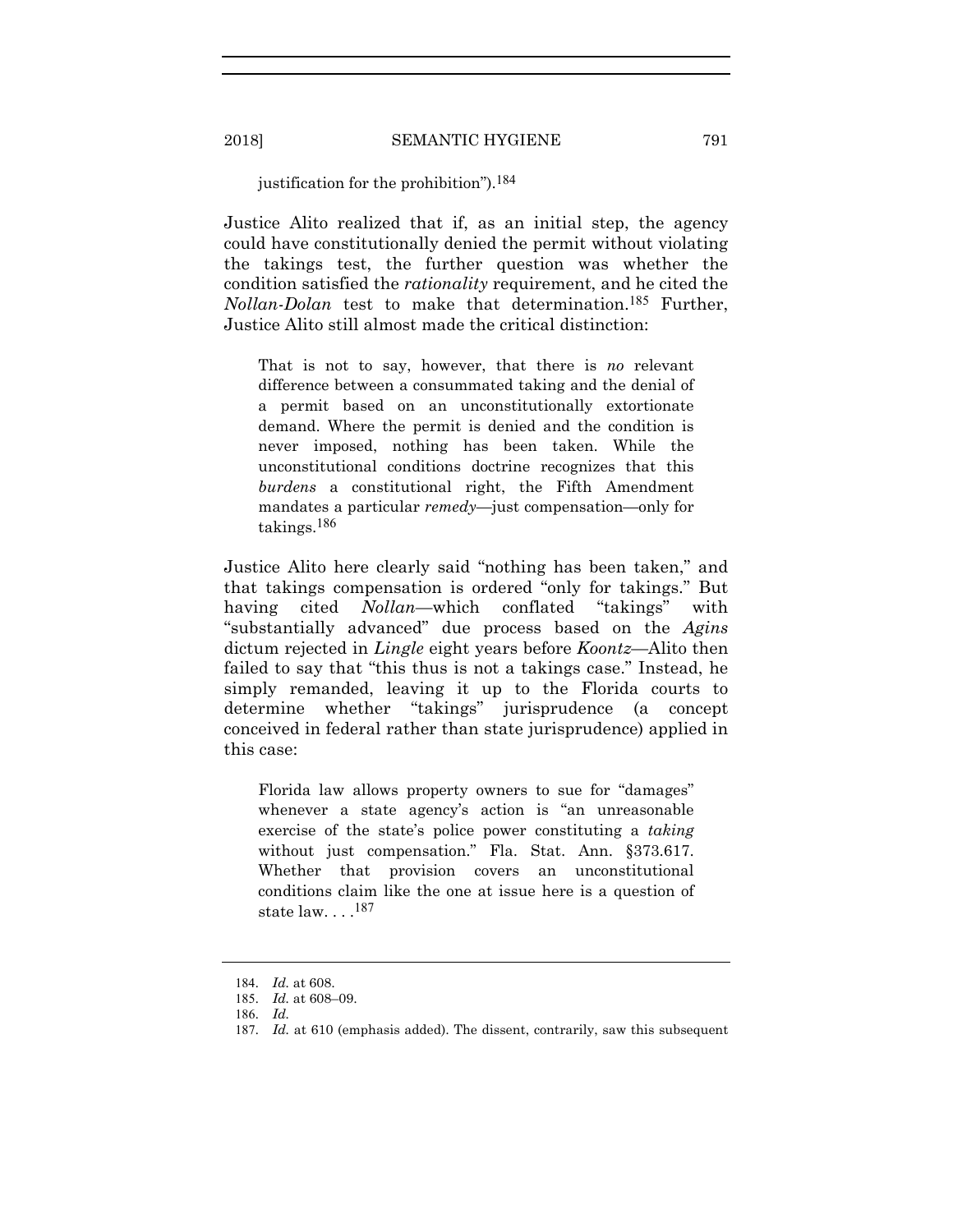#### justification for the prohibition").184

Justice Alito realized that if, as an initial step, the agency could have constitutionally denied the permit without violating the takings test, the further question was whether the condition satisfied the *rationality* requirement, and he cited the *Nollan-Dolan* test to make that determination.185 Further, Justice Alito still almost made the critical distinction:

That is not to say, however, that there is *no* relevant difference between a consummated taking and the denial of a permit based on an unconstitutionally extortionate demand. Where the permit is denied and the condition is never imposed, nothing has been taken. While the unconstitutional conditions doctrine recognizes that this *burdens* a constitutional right, the Fifth Amendment mandates a particular *remedy*—just compensation—only for takings.186

Justice Alito here clearly said "nothing has been taken," and that takings compensation is ordered "only for takings." But having cited *Nollan—*which conflated "takings" with "substantially advanced" due process based on the *Agins* dictum rejected in *Lingle* eight years before *Koontz—*Alito then failed to say that "this thus is not a takings case." Instead, he simply remanded, leaving it up to the Florida courts to determine whether "takings" jurisprudence (a concept conceived in federal rather than state jurisprudence) applied in this case:

Florida law allows property owners to sue for "damages" whenever a state agency's action is "an unreasonable exercise of the state's police power constituting a *taking* without just compensation." Fla. Stat. Ann. §373.617. Whether that provision covers an unconstitutional conditions claim like the one at issue here is a question of state  $law. \ldots$ .<sup>187</sup>

<sup>184</sup>. *Id.* at 608.

<sup>185</sup>. *Id.* at 608–09.

<sup>186</sup>. *Id.*

<sup>187</sup>. *Id.* at 610 (emphasis added). The dissent, contrarily, saw this subsequent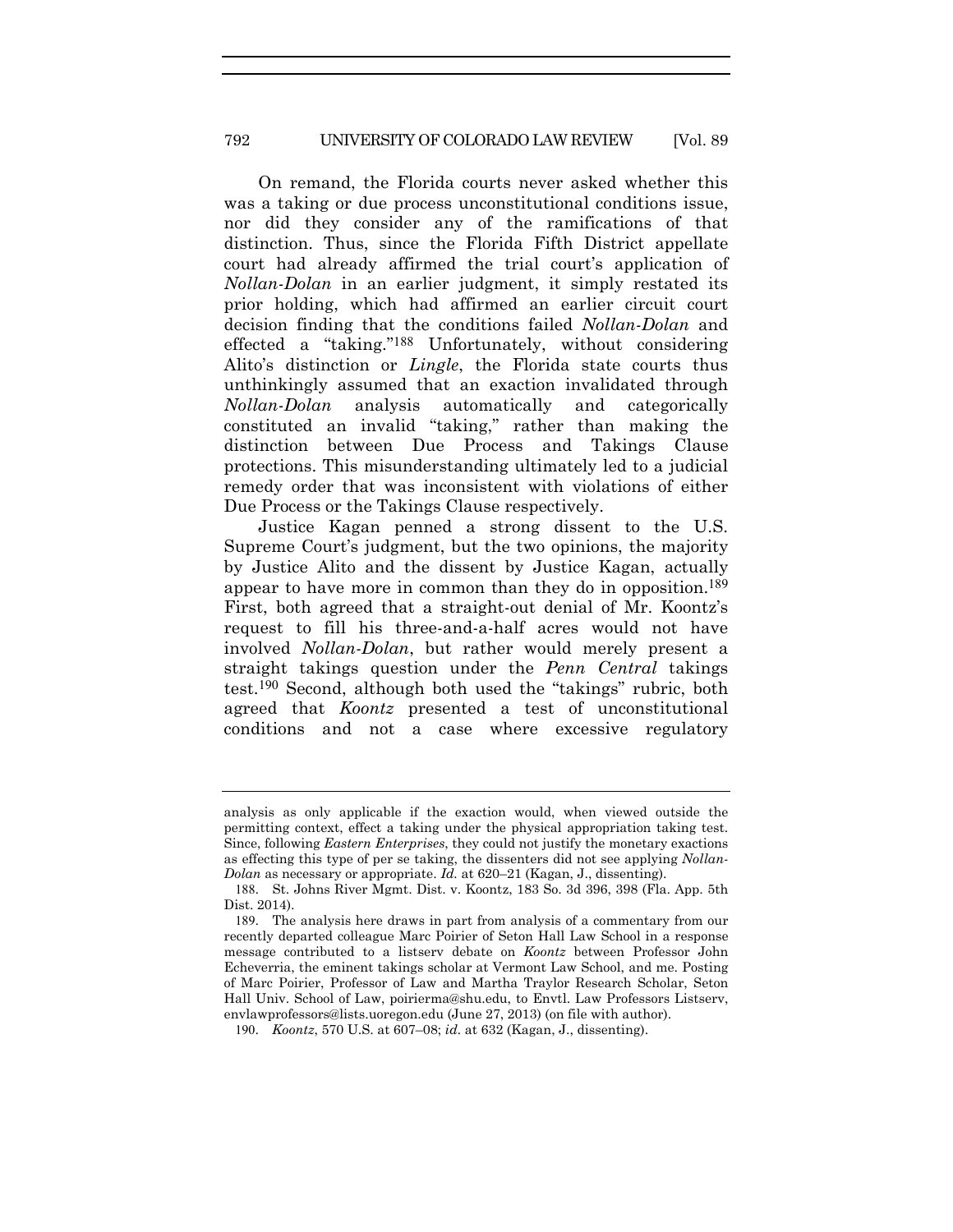On remand, the Florida courts never asked whether this was a taking or due process unconstitutional conditions issue, nor did they consider any of the ramifications of that distinction. Thus, since the Florida Fifth District appellate court had already affirmed the trial court's application of *Nollan-Dolan* in an earlier judgment, it simply restated its prior holding, which had affirmed an earlier circuit court decision finding that the conditions failed *Nollan-Dolan* and effected a "taking."188 Unfortunately, without considering Alito's distinction or *Lingle*, the Florida state courts thus unthinkingly assumed that an exaction invalidated through *Nollan-Dolan* analysis automatically and categorically constituted an invalid "taking," rather than making the distinction between Due Process and Takings Clause protections. This misunderstanding ultimately led to a judicial remedy order that was inconsistent with violations of either Due Process or the Takings Clause respectively.

Justice Kagan penned a strong dissent to the U.S. Supreme Court's judgment, but the two opinions, the majority by Justice Alito and the dissent by Justice Kagan, actually appear to have more in common than they do in opposition.<sup>189</sup> First, both agreed that a straight-out denial of Mr. Koontz's request to fill his three-and-a-half acres would not have involved *Nollan-Dolan*, but rather would merely present a straight takings question under the *Penn Central* takings test.190 Second, although both used the "takings" rubric, both agreed that *Koontz* presented a test of unconstitutional conditions and not a case where excessive regulatory

analysis as only applicable if the exaction would, when viewed outside the permitting context, effect a taking under the physical appropriation taking test. Since, following *Eastern Enterprises*, they could not justify the monetary exactions as effecting this type of per se taking, the dissenters did not see applying *Nollan-Dolan* as necessary or appropriate. *Id.* at 620–21 (Kagan, J., dissenting).

<sup>188</sup>. St. Johns River Mgmt. Dist. v. Koontz, 183 So. 3d 396, 398 (Fla. App. 5th Dist. 2014).

<sup>189</sup>. The analysis here draws in part from analysis of a commentary from our recently departed colleague Marc Poirier of Seton Hall Law School in a response message contributed to a listserv debate on *Koontz* between Professor John Echeverria, the eminent takings scholar at Vermont Law School, and me. Posting of Marc Poirier, Professor of Law and Martha Traylor Research Scholar, Seton Hall Univ. School of Law, poirierma@shu.edu, to Envtl. Law Professors Listserv, envlawprofessors@lists.uoregon.edu (June 27, 2013) (on file with author).

<sup>190</sup>. *Koontz*, 570 U.S. at 607–08; *id.* at 632 (Kagan, J., dissenting).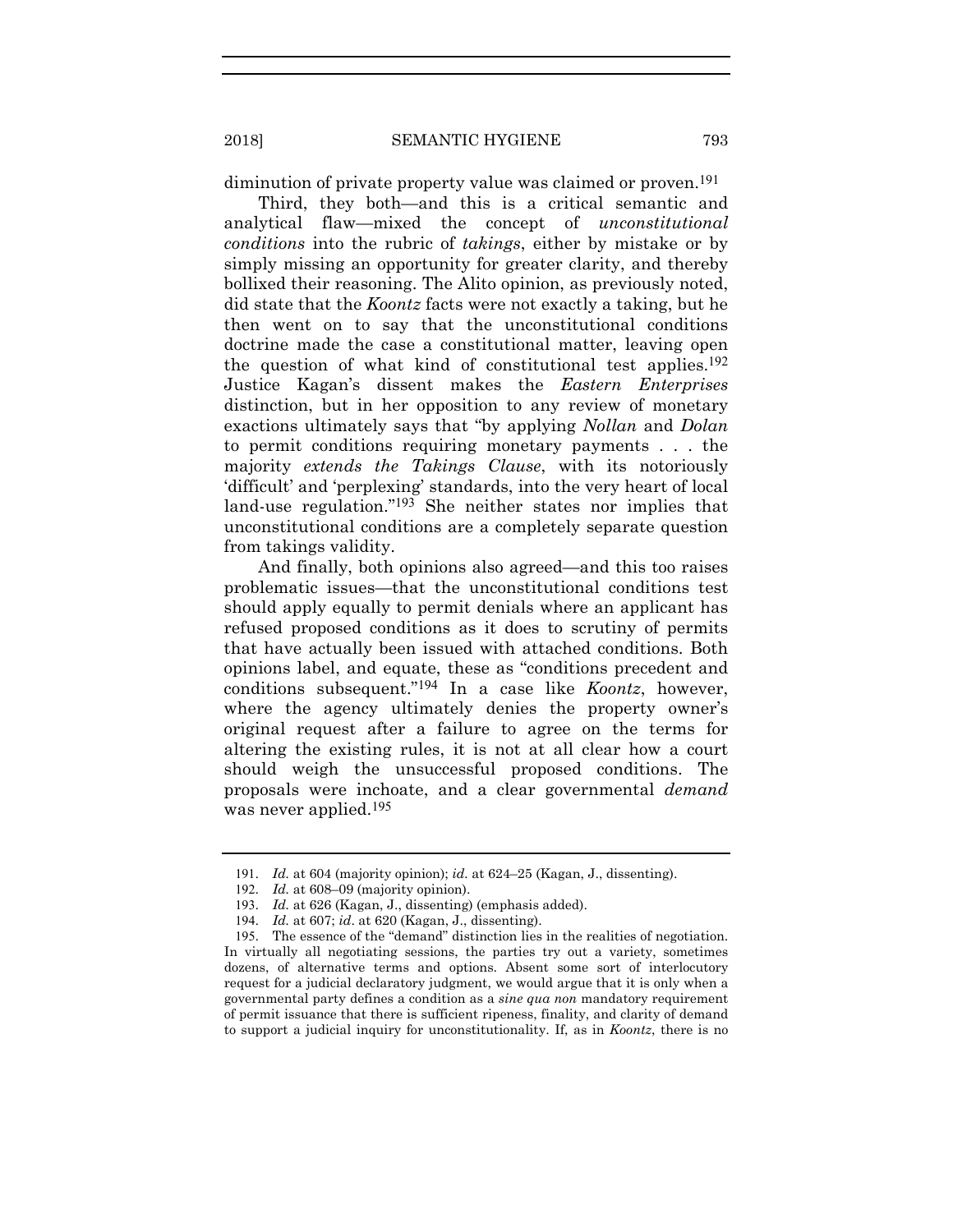diminution of private property value was claimed or proven.<sup>191</sup>

Third, they both—and this is a critical semantic and analytical flaw—mixed the concept of *unconstitutional conditions* into the rubric of *takings*, either by mistake or by simply missing an opportunity for greater clarity, and thereby bollixed their reasoning. The Alito opinion, as previously noted, did state that the *Koontz* facts were not exactly a taking, but he then went on to say that the unconstitutional conditions doctrine made the case a constitutional matter, leaving open the question of what kind of constitutional test applies.192 Justice Kagan's dissent makes the *Eastern Enterprises* distinction, but in her opposition to any review of monetary exactions ultimately says that "by applying *Nollan* and *Dolan*  to permit conditions requiring monetary payments . . . the majority *extends the Takings Clause*, with its notoriously 'difficult' and 'perplexing' standards, into the very heart of local land-use regulation."193 She neither states nor implies that unconstitutional conditions are a completely separate question from takings validity.

And finally, both opinions also agreed—and this too raises problematic issues—that the unconstitutional conditions test should apply equally to permit denials where an applicant has refused proposed conditions as it does to scrutiny of permits that have actually been issued with attached conditions. Both opinions label, and equate, these as "conditions precedent and conditions subsequent."194 In a case like *Koontz*, however, where the agency ultimately denies the property owner's original request after a failure to agree on the terms for altering the existing rules, it is not at all clear how a court should weigh the unsuccessful proposed conditions. The proposals were inchoate, and a clear governmental *demand* was never applied.<sup>195</sup>

<sup>191</sup>. *Id.* at 604 (majority opinion); *id.* at 624–25 (Kagan, J., dissenting).

<sup>192</sup>. *Id.* at 608–09 (majority opinion).

<sup>193</sup>. *Id.* at 626 (Kagan, J., dissenting) (emphasis added).

<sup>194</sup>. *Id.* at 607; *id*. at 620 (Kagan, J., dissenting).

<sup>195</sup>. The essence of the "demand" distinction lies in the realities of negotiation. In virtually all negotiating sessions, the parties try out a variety, sometimes dozens, of alternative terms and options. Absent some sort of interlocutory request for a judicial declaratory judgment, we would argue that it is only when a governmental party defines a condition as a *sine qua non* mandatory requirement of permit issuance that there is sufficient ripeness, finality, and clarity of demand to support a judicial inquiry for unconstitutionality. If, as in *Koontz*, there is no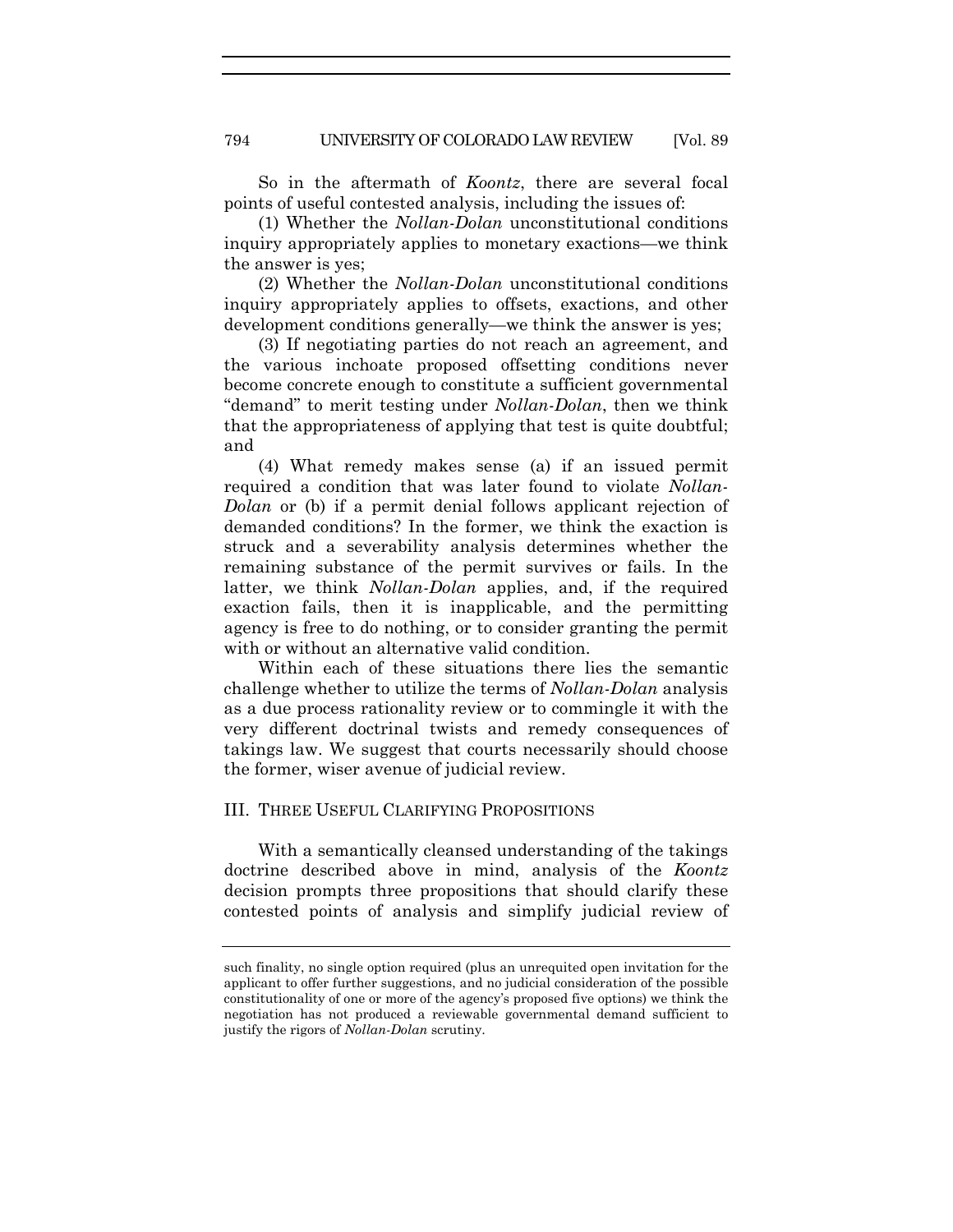So in the aftermath of *Koontz*, there are several focal points of useful contested analysis, including the issues of:

(1) Whether the *Nollan-Dolan* unconstitutional conditions inquiry appropriately applies to monetary exactions—we think the answer is yes;

(2) Whether the *Nollan-Dolan* unconstitutional conditions inquiry appropriately applies to offsets, exactions, and other development conditions generally—we think the answer is yes;

(3) If negotiating parties do not reach an agreement, and the various inchoate proposed offsetting conditions never become concrete enough to constitute a sufficient governmental "demand" to merit testing under *Nollan-Dolan*, then we think that the appropriateness of applying that test is quite doubtful; and

(4) What remedy makes sense (a) if an issued permit required a condition that was later found to violate *Nollan-Dolan* or (b) if a permit denial follows applicant rejection of demanded conditions? In the former, we think the exaction is struck and a severability analysis determines whether the remaining substance of the permit survives or fails. In the latter, we think *Nollan-Dolan* applies, and, if the required exaction fails, then it is inapplicable, and the permitting agency is free to do nothing, or to consider granting the permit with or without an alternative valid condition.

Within each of these situations there lies the semantic challenge whether to utilize the terms of *Nollan-Dolan* analysis as a due process rationality review or to commingle it with the very different doctrinal twists and remedy consequences of takings law. We suggest that courts necessarily should choose the former, wiser avenue of judicial review.

#### III. THREE USEFUL CLARIFYING PROPOSITIONS

With a semantically cleansed understanding of the takings doctrine described above in mind, analysis of the *Koontz* decision prompts three propositions that should clarify these contested points of analysis and simplify judicial review of

such finality, no single option required (plus an unrequited open invitation for the applicant to offer further suggestions, and no judicial consideration of the possible constitutionality of one or more of the agency's proposed five options) we think the negotiation has not produced a reviewable governmental demand sufficient to justify the rigors of *Nollan-Dolan* scrutiny.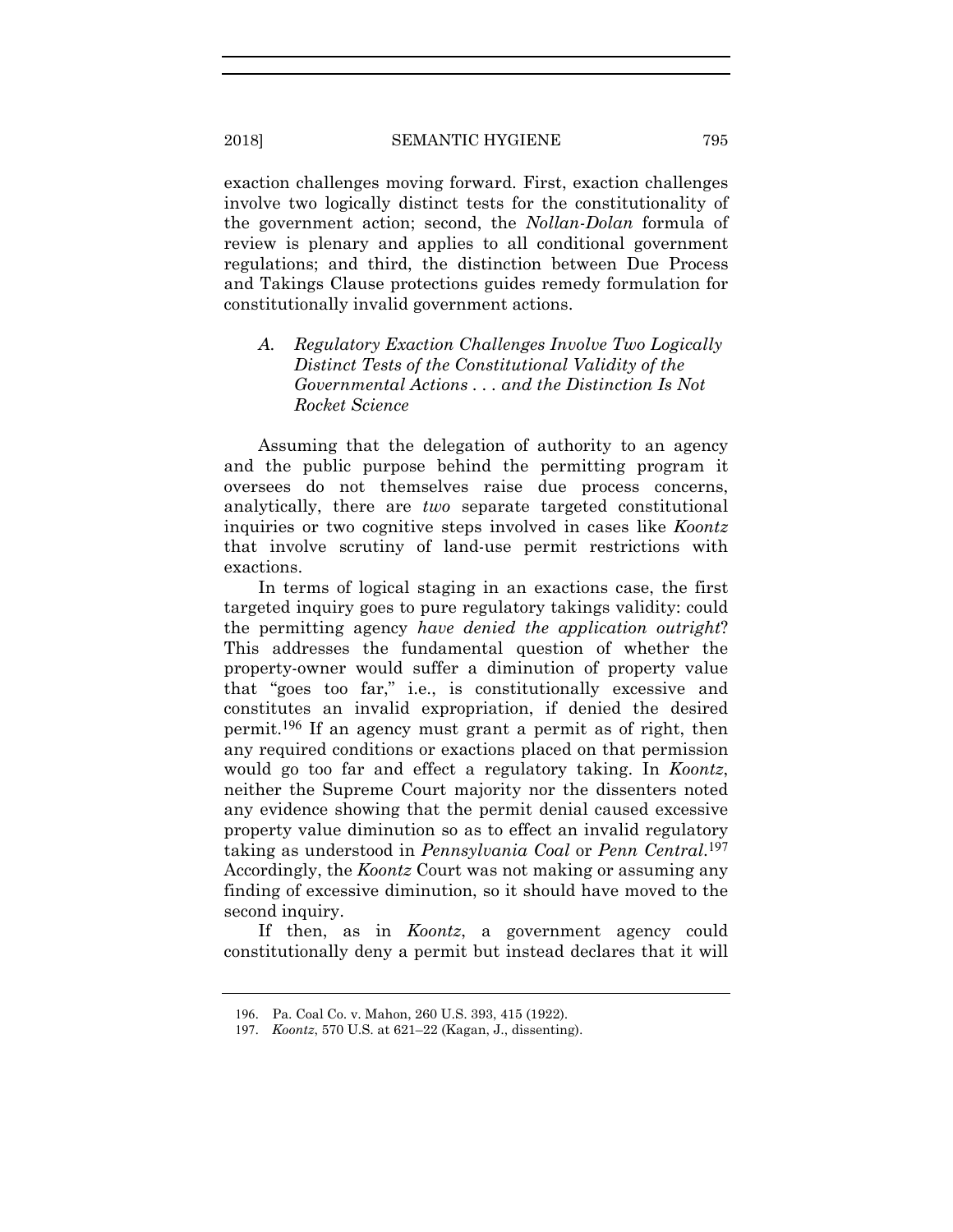exaction challenges moving forward. First, exaction challenges involve two logically distinct tests for the constitutionality of the government action; second, the *Nollan-Dolan* formula of review is plenary and applies to all conditional government regulations; and third, the distinction between Due Process and Takings Clause protections guides remedy formulation for constitutionally invalid government actions.

# *A. Regulatory Exaction Challenges Involve Two Logically Distinct Tests of the Constitutional Validity of the Governmental Actions . . . and the Distinction Is Not Rocket Science*

Assuming that the delegation of authority to an agency and the public purpose behind the permitting program it oversees do not themselves raise due process concerns, analytically, there are *two* separate targeted constitutional inquiries or two cognitive steps involved in cases like *Koontz* that involve scrutiny of land-use permit restrictions with exactions.

In terms of logical staging in an exactions case, the first targeted inquiry goes to pure regulatory takings validity: could the permitting agency *have denied the application outright*? This addresses the fundamental question of whether the property-owner would suffer a diminution of property value that "goes too far," i.e., is constitutionally excessive and constitutes an invalid expropriation, if denied the desired permit.196 If an agency must grant a permit as of right, then any required conditions or exactions placed on that permission would go too far and effect a regulatory taking. In *Koontz*, neither the Supreme Court majority nor the dissenters noted any evidence showing that the permit denial caused excessive property value diminution so as to effect an invalid regulatory taking as understood in *Pennsylvania Coal* or *Penn Central*.197 Accordingly, the *Koontz* Court was not making or assuming any finding of excessive diminution, so it should have moved to the second inquiry.

If then, as in *Koontz*, a government agency could constitutionally deny a permit but instead declares that it will

<sup>196</sup>. Pa. Coal Co. v. Mahon, 260 U.S. 393, 415 (1922).

<sup>197</sup>. *Koontz*, 570 U.S. at 621–22 (Kagan, J., dissenting).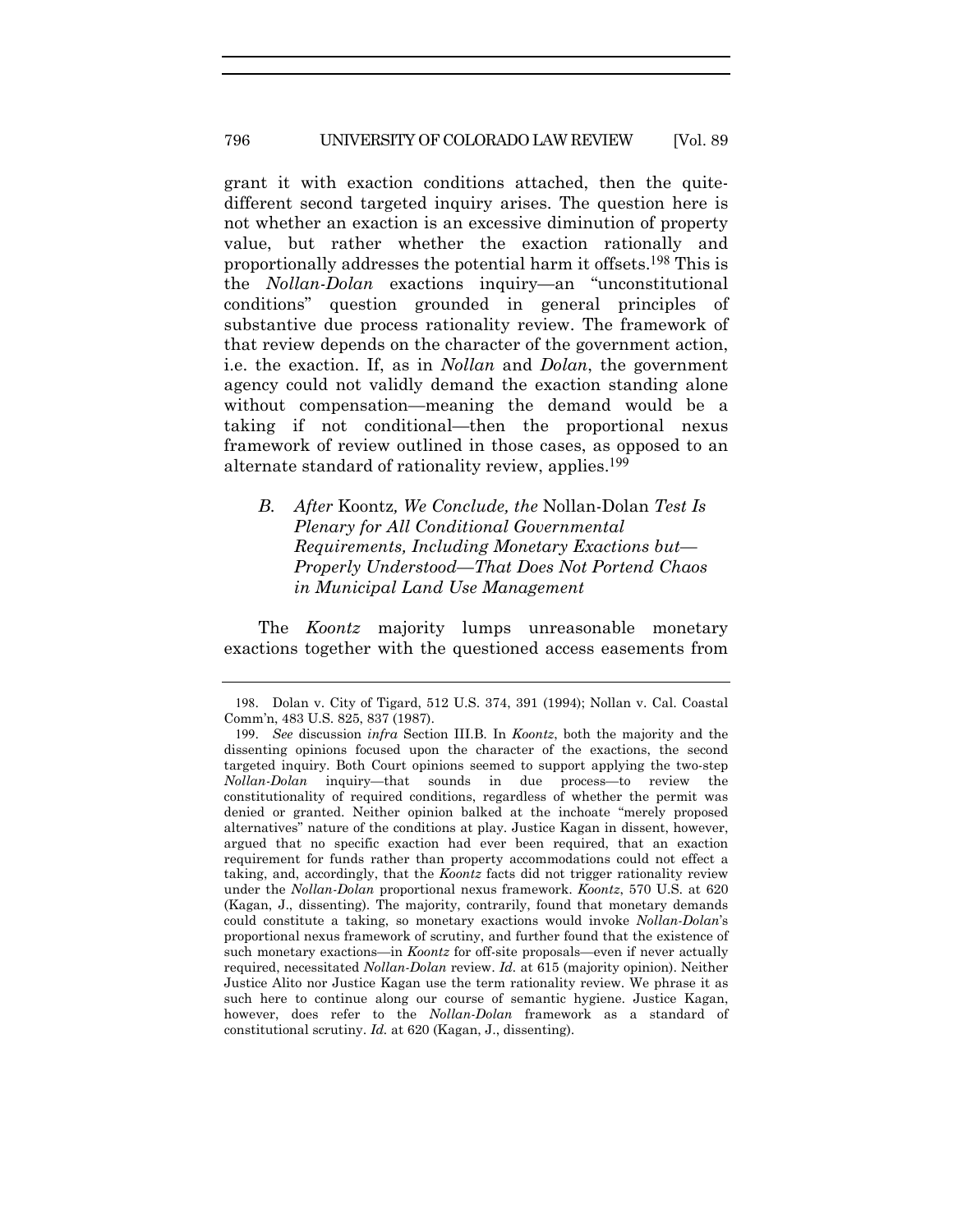#### 796 UNIVERSITY OF COLORADO LAW REVIEW [Vol. 89

grant it with exaction conditions attached, then the quitedifferent second targeted inquiry arises. The question here is not whether an exaction is an excessive diminution of property value, but rather whether the exaction rationally and proportionally addresses the potential harm it offsets.198 This is the *Nollan-Dolan* exactions inquiry—an "unconstitutional conditions" question grounded in general principles of substantive due process rationality review. The framework of that review depends on the character of the government action, i.e. the exaction. If, as in *Nollan* and *Dolan*, the government agency could not validly demand the exaction standing alone without compensation—meaning the demand would be a taking if not conditional—then the proportional nexus framework of review outlined in those cases, as opposed to an alternate standard of rationality review, applies.<sup>199</sup>

*B. After* Koontz*, We Conclude, the* Nollan-Dolan *Test Is Plenary for All Conditional Governmental Requirements, Including Monetary Exactions but— Properly Understood—That Does Not Portend Chaos in Municipal Land Use Management* 

The *Koontz* majority lumps unreasonable monetary exactions together with the questioned access easements from

<sup>198</sup>. Dolan v. City of Tigard, 512 U.S. 374, 391 (1994); Nollan v. Cal. Coastal Comm'n, 483 U.S. 825, 837 (1987).

<sup>199</sup>. *See* discussion *infra* Section III.B. In *Koontz*, both the majority and the dissenting opinions focused upon the character of the exactions, the second targeted inquiry. Both Court opinions seemed to support applying the two-step *Nollan-Dolan* inquiry—that sounds in due process—to review the constitutionality of required conditions, regardless of whether the permit was denied or granted. Neither opinion balked at the inchoate "merely proposed alternatives" nature of the conditions at play. Justice Kagan in dissent, however, argued that no specific exaction had ever been required, that an exaction requirement for funds rather than property accommodations could not effect a taking, and, accordingly, that the *Koontz* facts did not trigger rationality review under the *Nollan-Dolan* proportional nexus framework. *Koontz*, 570 U.S. at 620 (Kagan, J., dissenting). The majority, contrarily, found that monetary demands could constitute a taking, so monetary exactions would invoke *Nollan-Dolan*'s proportional nexus framework of scrutiny, and further found that the existence of such monetary exactions—in *Koontz* for off-site proposals—even if never actually required, necessitated *Nollan-Dolan* review. *Id.* at 615 (majority opinion). Neither Justice Alito nor Justice Kagan use the term rationality review. We phrase it as such here to continue along our course of semantic hygiene. Justice Kagan, however, does refer to the *Nollan-Dolan* framework as a standard of constitutional scrutiny. *Id.* at 620 (Kagan, J., dissenting).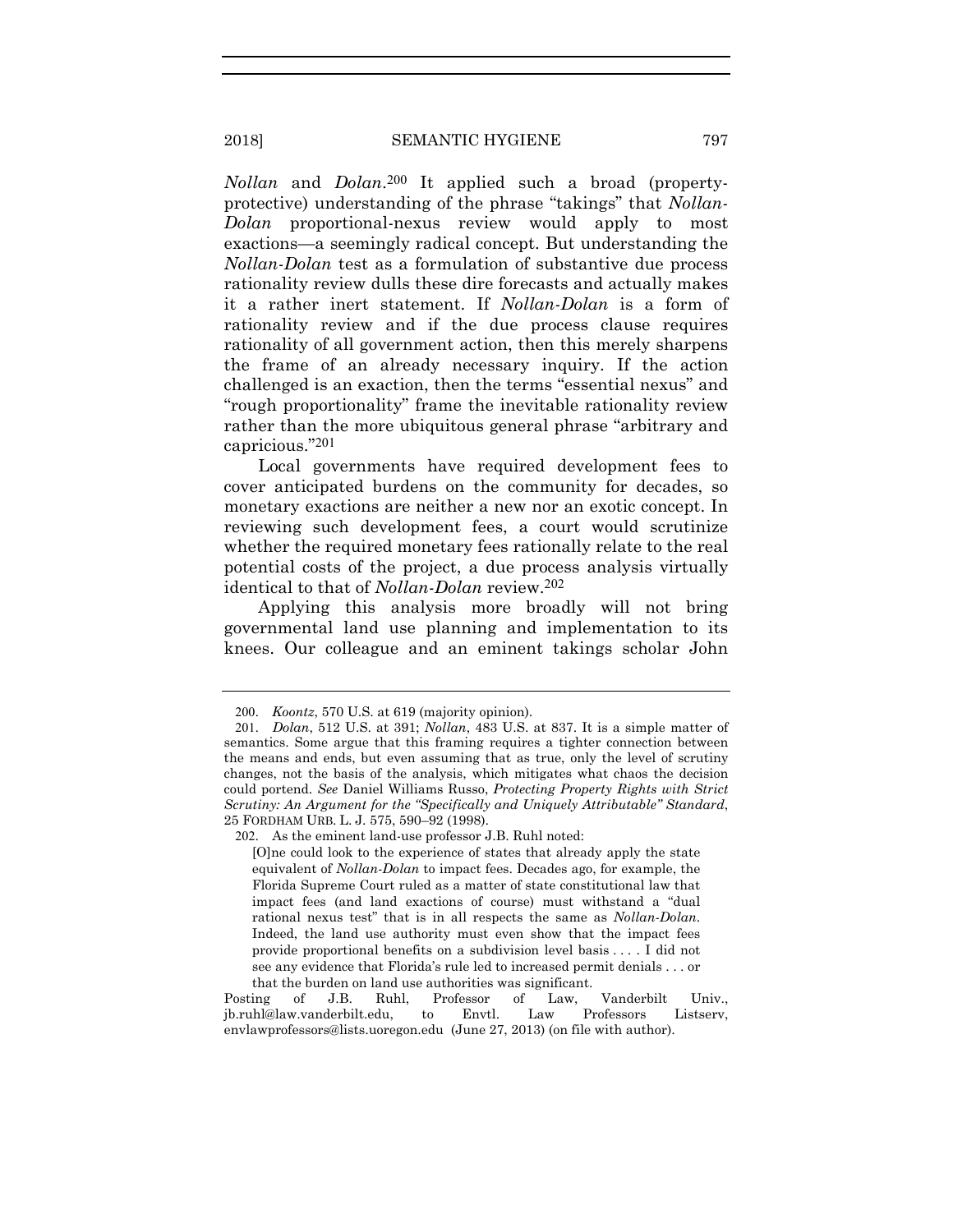*Nollan* and *Dolan*.200 It applied such a broad (propertyprotective) understanding of the phrase "takings" that *Nollan-Dolan* proportional-nexus review would apply to most exactions—a seemingly radical concept. But understanding the *Nollan-Dolan* test as a formulation of substantive due process rationality review dulls these dire forecasts and actually makes it a rather inert statement. If *Nollan-Dolan* is a form of rationality review and if the due process clause requires rationality of all government action, then this merely sharpens the frame of an already necessary inquiry. If the action challenged is an exaction, then the terms "essential nexus" and "rough proportionality" frame the inevitable rationality review rather than the more ubiquitous general phrase "arbitrary and capricious."201

Local governments have required development fees to cover anticipated burdens on the community for decades, so monetary exactions are neither a new nor an exotic concept. In reviewing such development fees, a court would scrutinize whether the required monetary fees rationally relate to the real potential costs of the project, a due process analysis virtually identical to that of *Nollan-Dolan* review.202

Applying this analysis more broadly will not bring governmental land use planning and implementation to its knees. Our colleague and an eminent takings scholar John

<sup>200</sup>. *Koontz*, 570 U.S. at 619 (majority opinion).

<sup>201</sup>. *Dolan*, 512 U.S. at 391; *Nollan*, 483 U.S. at 837. It is a simple matter of semantics. Some argue that this framing requires a tighter connection between the means and ends, but even assuming that as true, only the level of scrutiny changes, not the basis of the analysis, which mitigates what chaos the decision could portend. *See* Daniel Williams Russo, *Protecting Property Rights with Strict Scrutiny: An Argument for the "Specifically and Uniquely Attributable" Standard*, 25 FORDHAM URB. L. J. 575, 590–92 (1998).

<sup>202</sup>. As the eminent land-use professor J.B. Ruhl noted:

<sup>[</sup>O]ne could look to the experience of states that already apply the state equivalent of *Nollan-Dolan* to impact fees. Decades ago, for example, the Florida Supreme Court ruled as a matter of state constitutional law that impact fees (and land exactions of course) must withstand a "dual rational nexus test" that is in all respects the same as *Nollan-Dolan*. Indeed, the land use authority must even show that the impact fees provide proportional benefits on a subdivision level basis . . . . I did not see any evidence that Florida's rule led to increased permit denials . . . or that the burden on land use authorities was significant.

Posting of J.B. Ruhl, Professor of Law, Vanderbilt Univ., jb.ruhl@law.vanderbilt.edu, to Envtl. Law Professors Listserv, envlawprofessors@lists.uoregon.edu (June 27, 2013) (on file with author).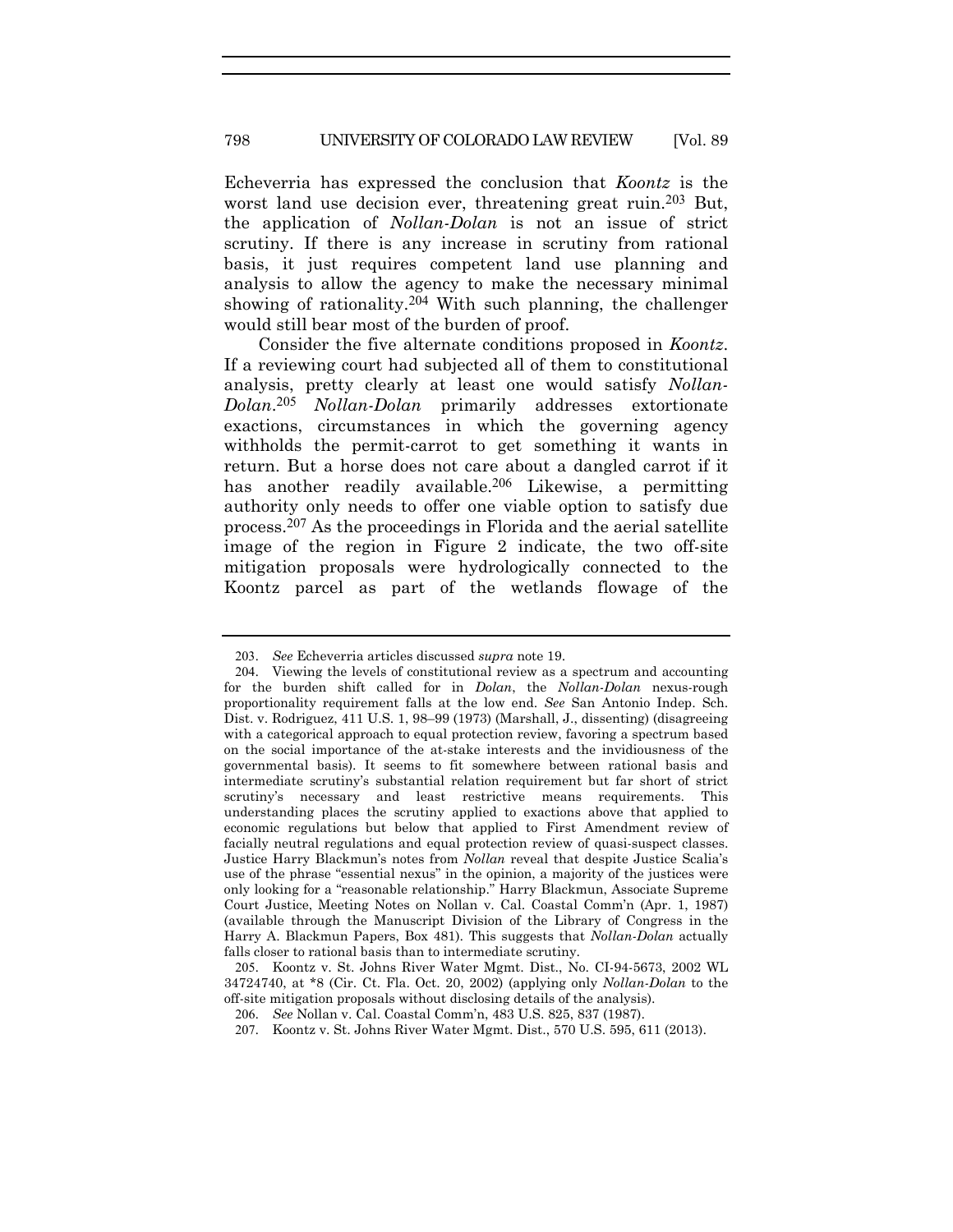Echeverria has expressed the conclusion that *Koontz* is the worst land use decision ever, threatening great ruin.<sup>203</sup> But, the application of *Nollan-Dolan* is not an issue of strict scrutiny. If there is any increase in scrutiny from rational basis, it just requires competent land use planning and analysis to allow the agency to make the necessary minimal showing of rationality.<sup>204</sup> With such planning, the challenger would still bear most of the burden of proof.

Consider the five alternate conditions proposed in *Koontz*. If a reviewing court had subjected all of them to constitutional analysis, pretty clearly at least one would satisfy *Nollan-Dolan*.205 *Nollan-Dolan* primarily addresses extortionate exactions, circumstances in which the governing agency withholds the permit-carrot to get something it wants in return. But a horse does not care about a dangled carrot if it has another readily available.<sup>206</sup> Likewise, a permitting authority only needs to offer one viable option to satisfy due process.207 As the proceedings in Florida and the aerial satellite image of the region in Figure 2 indicate, the two off-site mitigation proposals were hydrologically connected to the Koontz parcel as part of the wetlands flowage of the

<sup>203</sup>. *See* Echeverria articles discussed *supra* note 19.

<sup>204</sup>. Viewing the levels of constitutional review as a spectrum and accounting for the burden shift called for in *Dolan*, the *Nollan-Dolan* nexus-rough proportionality requirement falls at the low end. *See* San Antonio Indep. Sch. Dist. v. Rodriguez, 411 U.S. 1, 98–99 (1973) (Marshall, J., dissenting) (disagreeing with a categorical approach to equal protection review, favoring a spectrum based on the social importance of the at-stake interests and the invidiousness of the governmental basis). It seems to fit somewhere between rational basis and intermediate scrutiny's substantial relation requirement but far short of strict scrutiny's necessary and least restrictive means requirements. This understanding places the scrutiny applied to exactions above that applied to economic regulations but below that applied to First Amendment review of facially neutral regulations and equal protection review of quasi-suspect classes. Justice Harry Blackmun's notes from *Nollan* reveal that despite Justice Scalia's use of the phrase "essential nexus" in the opinion, a majority of the justices were only looking for a "reasonable relationship." Harry Blackmun, Associate Supreme Court Justice, Meeting Notes on Nollan v. Cal. Coastal Comm'n (Apr. 1, 1987) (available through the Manuscript Division of the Library of Congress in the Harry A. Blackmun Papers, Box 481). This suggests that *Nollan-Dolan* actually falls closer to rational basis than to intermediate scrutiny.

<sup>205</sup>. Koontz v. St. Johns River Water Mgmt. Dist., No. CI-94-5673, 2002 WL 34724740, at \*8 (Cir. Ct. Fla. Oct. 20, 2002) (applying only *Nollan-Dolan* to the off-site mitigation proposals without disclosing details of the analysis).

<sup>206</sup>. *See* Nollan v. Cal. Coastal Comm'n, 483 U.S. 825, 837 (1987).

<sup>207</sup>. Koontz v. St. Johns River Water Mgmt. Dist., 570 U.S. 595, 611 (2013).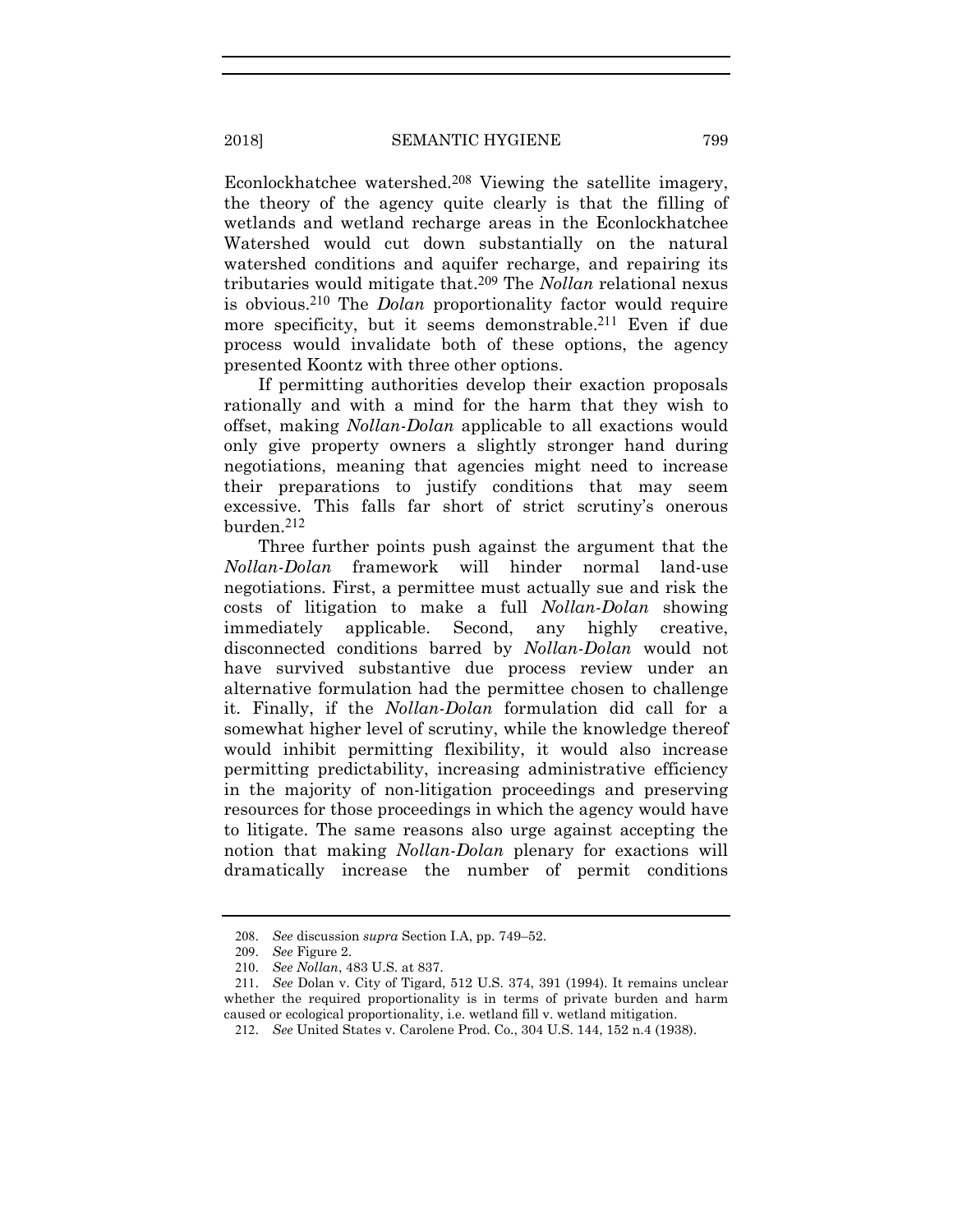Econlockhatchee watershed.208 Viewing the satellite imagery, the theory of the agency quite clearly is that the filling of wetlands and wetland recharge areas in the Econlockhatchee Watershed would cut down substantially on the natural watershed conditions and aquifer recharge, and repairing its tributaries would mitigate that.209 The *Nollan* relational nexus is obvious.210 The *Dolan* proportionality factor would require more specificity, but it seems demonstrable.<sup>211</sup> Even if due process would invalidate both of these options, the agency presented Koontz with three other options.

If permitting authorities develop their exaction proposals rationally and with a mind for the harm that they wish to offset, making *Nollan-Dolan* applicable to all exactions would only give property owners a slightly stronger hand during negotiations, meaning that agencies might need to increase their preparations to justify conditions that may seem excessive. This falls far short of strict scrutiny's onerous burden.212

Three further points push against the argument that the *Nollan-Dolan* framework will hinder normal land-use negotiations. First, a permittee must actually sue and risk the costs of litigation to make a full *Nollan-Dolan* showing immediately applicable. Second, any highly creative, disconnected conditions barred by *Nollan-Dolan* would not have survived substantive due process review under an alternative formulation had the permittee chosen to challenge it. Finally, if the *Nollan-Dolan* formulation did call for a somewhat higher level of scrutiny, while the knowledge thereof would inhibit permitting flexibility, it would also increase permitting predictability, increasing administrative efficiency in the majority of non-litigation proceedings and preserving resources for those proceedings in which the agency would have to litigate. The same reasons also urge against accepting the notion that making *Nollan-Dolan* plenary for exactions will dramatically increase the number of permit conditions

<sup>208</sup>. *See* discussion *supra* Section I.A, pp. 749–52.

<sup>209</sup>. *See* Figure 2.

<sup>210</sup>. *See Nollan*, 483 U.S. at 837.

<sup>211</sup>. *See* Dolan v. City of Tigard, 512 U.S. 374, 391 (1994). It remains unclear whether the required proportionality is in terms of private burden and harm caused or ecological proportionality, i.e. wetland fill v. wetland mitigation.

<sup>212</sup>. *See* United States v. Carolene Prod. Co., 304 U.S. 144, 152 n.4 (1938).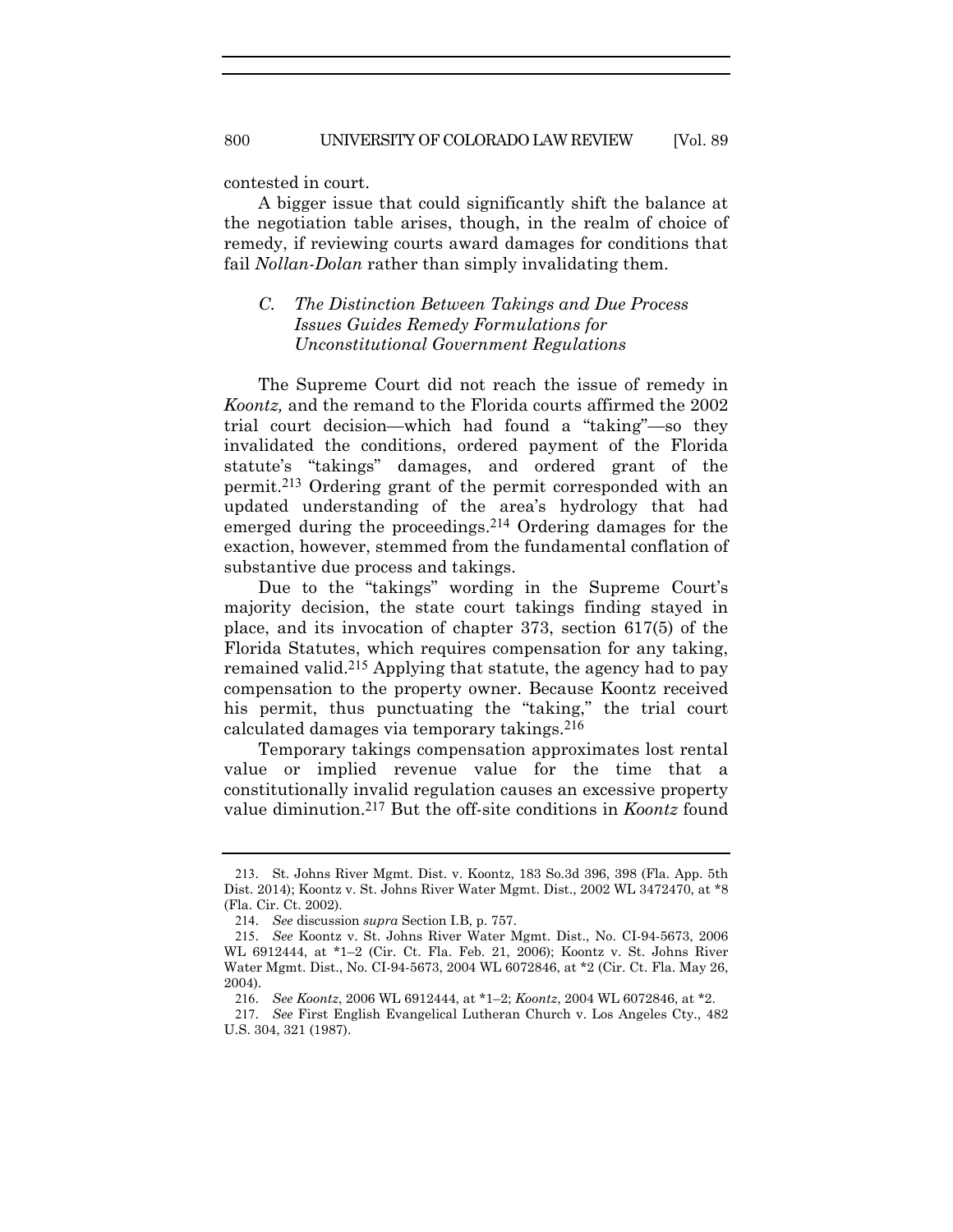contested in court.

A bigger issue that could significantly shift the balance at the negotiation table arises, though, in the realm of choice of remedy, if reviewing courts award damages for conditions that fail *Nollan-Dolan* rather than simply invalidating them.

# *C. The Distinction Between Takings and Due Process Issues Guides Remedy Formulations for Unconstitutional Government Regulations*

The Supreme Court did not reach the issue of remedy in *Koontz,* and the remand to the Florida courts affirmed the 2002 trial court decision—which had found a "taking"—so they invalidated the conditions, ordered payment of the Florida statute's "takings" damages, and ordered grant of the permit.213 Ordering grant of the permit corresponded with an updated understanding of the area's hydrology that had emerged during the proceedings.214 Ordering damages for the exaction, however, stemmed from the fundamental conflation of substantive due process and takings.

Due to the "takings" wording in the Supreme Court's majority decision, the state court takings finding stayed in place, and its invocation of chapter 373, section 617(5) of the Florida Statutes, which requires compensation for any taking, remained valid.215 Applying that statute, the agency had to pay compensation to the property owner. Because Koontz received his permit, thus punctuating the "taking," the trial court calculated damages via temporary takings.216

Temporary takings compensation approximates lost rental value or implied revenue value for the time that a constitutionally invalid regulation causes an excessive property value diminution.217 But the off-site conditions in *Koontz* found

<sup>213</sup>. St. Johns River Mgmt. Dist. v. Koontz, 183 So.3d 396, 398 (Fla. App. 5th Dist. 2014); Koontz v. St. Johns River Water Mgmt. Dist., 2002 WL 3472470, at \*8 (Fla. Cir. Ct. 2002).

<sup>214</sup>. *See* discussion *supra* Section I.B, p. 757.

<sup>215</sup>. *See* Koontz v. St. Johns River Water Mgmt. Dist., No. CI-94-5673, 2006 WL 6912444, at \*1–2 (Cir. Ct. Fla. Feb. 21, 2006); Koontz v. St. Johns River Water Mgmt. Dist., No. CI-94-5673, 2004 WL 6072846, at \*2 (Cir. Ct. Fla. May 26, 2004).

<sup>216</sup>. *See Koontz*, 2006 WL 6912444, at \*1–2; *Koontz*, 2004 WL 6072846, at \*2.

<sup>217</sup>. *See* First English Evangelical Lutheran Church v. Los Angeles Cty., 482 U.S. 304, 321 (1987).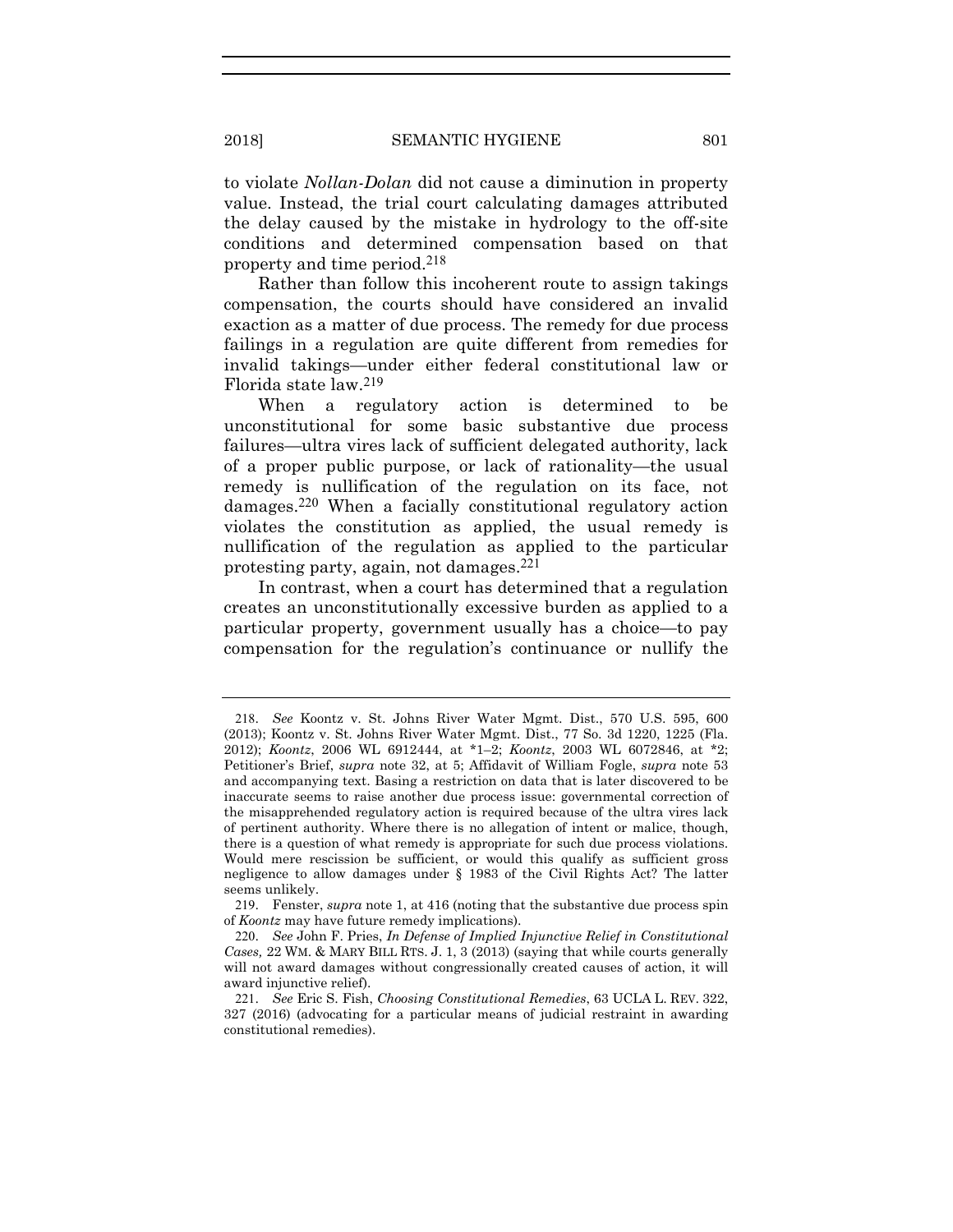to violate *Nollan-Dolan* did not cause a diminution in property value. Instead, the trial court calculating damages attributed the delay caused by the mistake in hydrology to the off-site conditions and determined compensation based on that property and time period.218

Rather than follow this incoherent route to assign takings compensation, the courts should have considered an invalid exaction as a matter of due process. The remedy for due process failings in a regulation are quite different from remedies for invalid takings—under either federal constitutional law or Florida state law.219

When a regulatory action is determined to be unconstitutional for some basic substantive due process failures—ultra vires lack of sufficient delegated authority, lack of a proper public purpose, or lack of rationality—the usual remedy is nullification of the regulation on its face, not damages.220 When a facially constitutional regulatory action violates the constitution as applied, the usual remedy is nullification of the regulation as applied to the particular protesting party, again, not damages.221

In contrast, when a court has determined that a regulation creates an unconstitutionally excessive burden as applied to a particular property, government usually has a choice—to pay compensation for the regulation's continuance or nullify the

<sup>218</sup>. *See* Koontz v. St. Johns River Water Mgmt. Dist., 570 U.S. 595, 600 (2013); Koontz v. St. Johns River Water Mgmt. Dist., 77 So. 3d 1220, 1225 (Fla. 2012); *Koontz*, 2006 WL 6912444, at \*1–2; *Koontz*, 2003 WL 6072846, at \*2; Petitioner's Brief, *supra* note 32, at 5; Affidavit of William Fogle, *supra* note 53 and accompanying text. Basing a restriction on data that is later discovered to be inaccurate seems to raise another due process issue: governmental correction of the misapprehended regulatory action is required because of the ultra vires lack of pertinent authority. Where there is no allegation of intent or malice, though, there is a question of what remedy is appropriate for such due process violations. Would mere rescission be sufficient, or would this qualify as sufficient gross negligence to allow damages under § 1983 of the Civil Rights Act? The latter seems unlikely.

<sup>219</sup>. Fenster, *supra* note 1, at 416 (noting that the substantive due process spin of *Koontz* may have future remedy implications).

<sup>220</sup>. *See* John F. Pries, *In Defense of Implied Injunctive Relief in Constitutional Cases,* 22 WM. & MARY BILL RTS. J. 1, 3 (2013) (saying that while courts generally will not award damages without congressionally created causes of action, it will award injunctive relief).

<sup>221</sup>. *See* Eric S. Fish, *Choosing Constitutional Remedies*, 63 UCLA L. REV. 322, 327 (2016) (advocating for a particular means of judicial restraint in awarding constitutional remedies).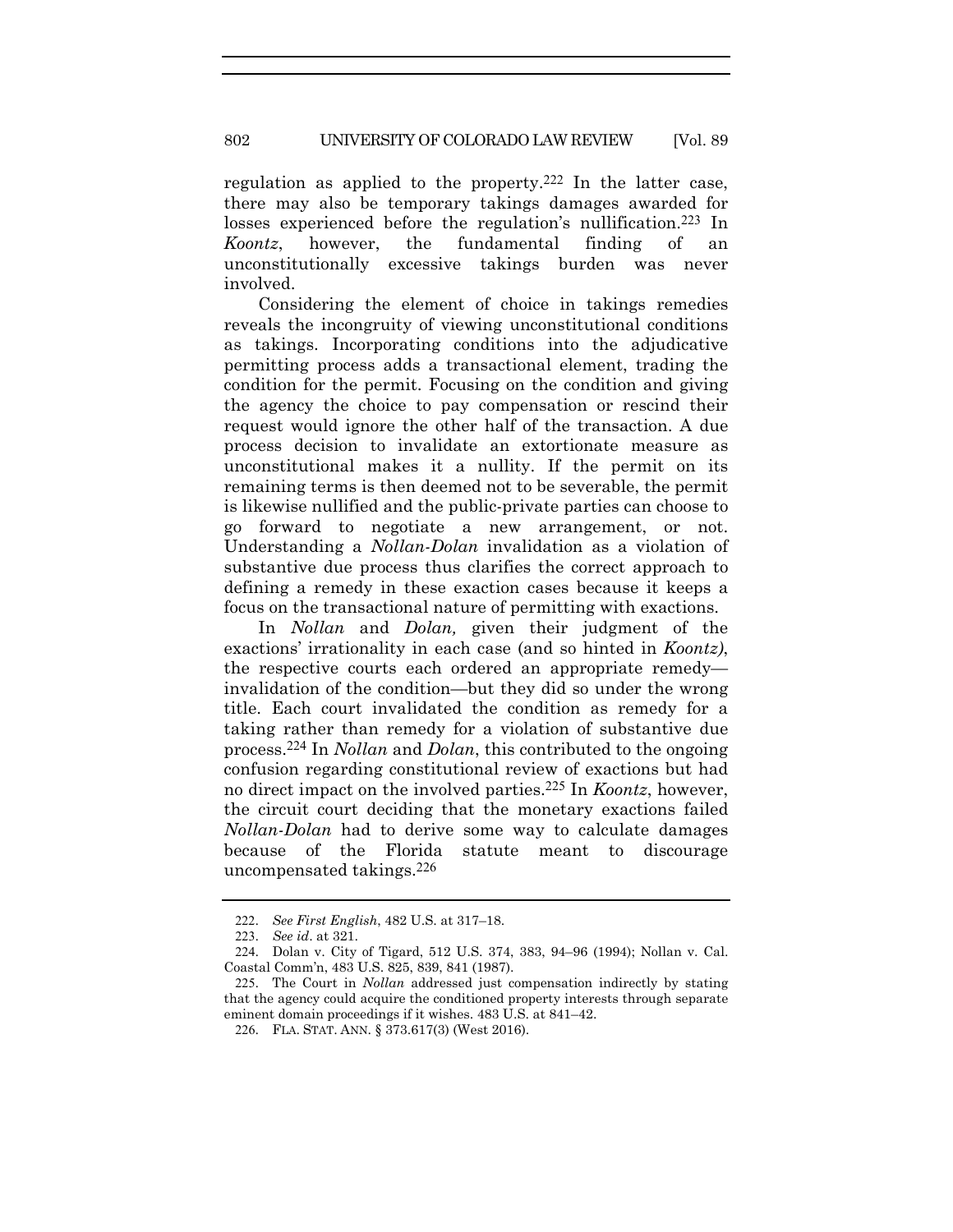regulation as applied to the property.222 In the latter case, there may also be temporary takings damages awarded for losses experienced before the regulation's nullification.<sup>223</sup> In *Koontz*, however, the fundamental finding of an unconstitutionally excessive takings burden was never involved.

Considering the element of choice in takings remedies reveals the incongruity of viewing unconstitutional conditions as takings. Incorporating conditions into the adjudicative permitting process adds a transactional element, trading the condition for the permit. Focusing on the condition and giving the agency the choice to pay compensation or rescind their request would ignore the other half of the transaction. A due process decision to invalidate an extortionate measure as unconstitutional makes it a nullity. If the permit on its remaining terms is then deemed not to be severable, the permit is likewise nullified and the public-private parties can choose to go forward to negotiate a new arrangement, or not. Understanding a *Nollan-Dolan* invalidation as a violation of substantive due process thus clarifies the correct approach to defining a remedy in these exaction cases because it keeps a focus on the transactional nature of permitting with exactions.

In *Nollan* and *Dolan,* given their judgment of the exactions' irrationality in each case (and so hinted in *Koontz)*, the respective courts each ordered an appropriate remedy invalidation of the condition—but they did so under the wrong title. Each court invalidated the condition as remedy for a taking rather than remedy for a violation of substantive due process.224 In *Nollan* and *Dolan*, this contributed to the ongoing confusion regarding constitutional review of exactions but had no direct impact on the involved parties.225 In *Koontz*, however, the circuit court deciding that the monetary exactions failed *Nollan-Dolan* had to derive some way to calculate damages because of the Florida statute meant to discourage uncompensated takings.226

<sup>222</sup>. *See First English*, 482 U.S. at 317–18.

<sup>223</sup>. *See id*. at 321.

<sup>224</sup>. Dolan v. City of Tigard, 512 U.S. 374, 383, 94–96 (1994); Nollan v. Cal. Coastal Comm'n, 483 U.S. 825, 839, 841 (1987).

<sup>225</sup>. The Court in *Nollan* addressed just compensation indirectly by stating that the agency could acquire the conditioned property interests through separate eminent domain proceedings if it wishes. 483 U.S. at 841–42.

<sup>226</sup>. FLA. STAT. ANN. § 373.617(3) (West 2016).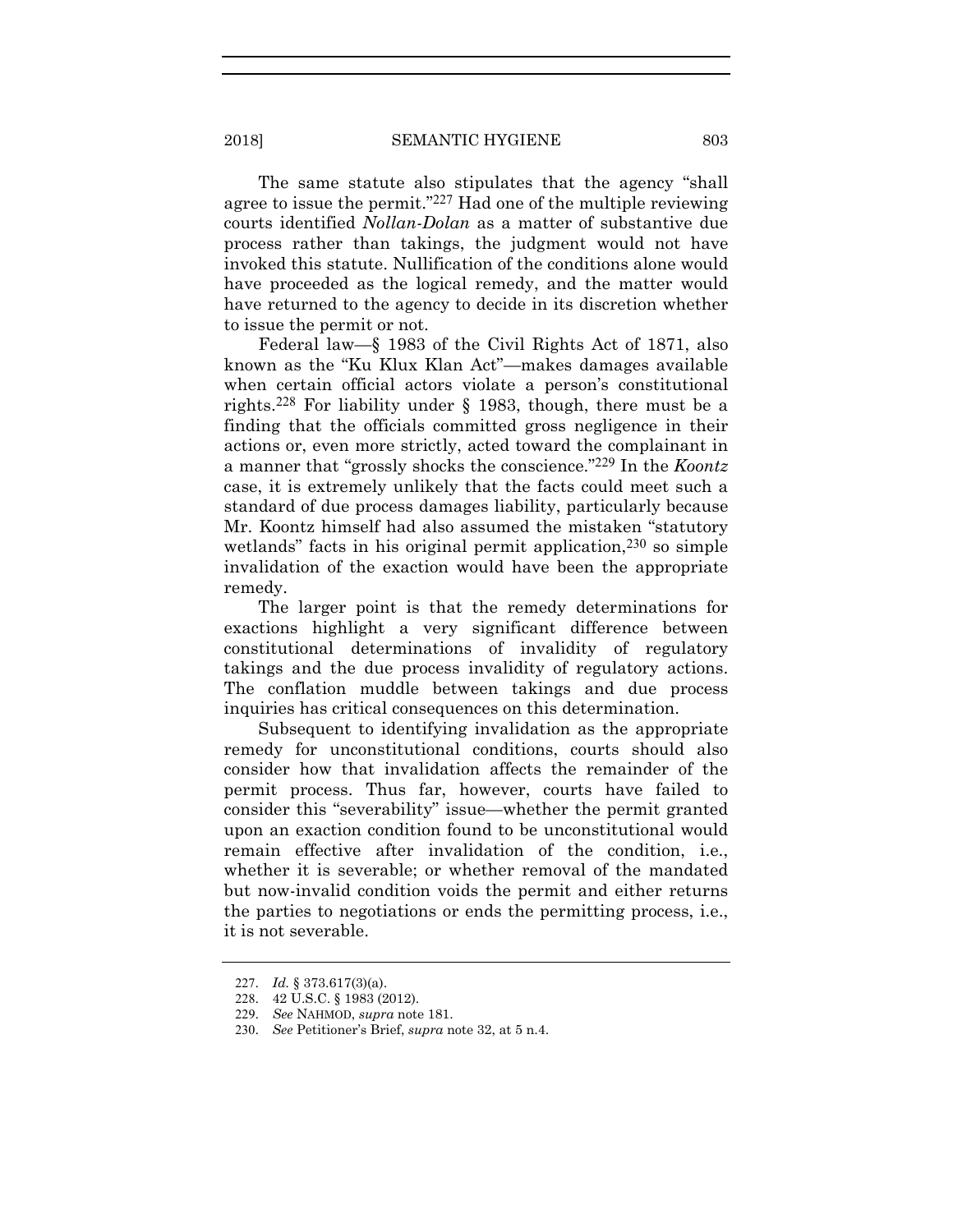The same statute also stipulates that the agency "shall agree to issue the permit."227 Had one of the multiple reviewing courts identified *Nollan-Dolan* as a matter of substantive due process rather than takings, the judgment would not have invoked this statute. Nullification of the conditions alone would have proceeded as the logical remedy, and the matter would have returned to the agency to decide in its discretion whether to issue the permit or not.

Federal law—§ 1983 of the Civil Rights Act of 1871, also known as the "Ku Klux Klan Act"—makes damages available when certain official actors violate a person's constitutional rights.228 For liability under § 1983, though, there must be a finding that the officials committed gross negligence in their actions or, even more strictly, acted toward the complainant in a manner that "grossly shocks the conscience."229 In the *Koontz* case, it is extremely unlikely that the facts could meet such a standard of due process damages liability, particularly because Mr. Koontz himself had also assumed the mistaken "statutory wetlands" facts in his original permit application,  $230$  so simple invalidation of the exaction would have been the appropriate remedy.

The larger point is that the remedy determinations for exactions highlight a very significant difference between constitutional determinations of invalidity of regulatory takings and the due process invalidity of regulatory actions. The conflation muddle between takings and due process inquiries has critical consequences on this determination.

Subsequent to identifying invalidation as the appropriate remedy for unconstitutional conditions, courts should also consider how that invalidation affects the remainder of the permit process. Thus far, however, courts have failed to consider this "severability" issue—whether the permit granted upon an exaction condition found to be unconstitutional would remain effective after invalidation of the condition, i.e., whether it is severable; or whether removal of the mandated but now-invalid condition voids the permit and either returns the parties to negotiations or ends the permitting process, i.e., it is not severable.

<sup>227</sup>. *Id.* § 373.617(3)(a).

<sup>228</sup>. 42 U.S.C. § 1983 (2012).

<sup>229</sup>. *See* NAHMOD, *supra* note 181.

<sup>230</sup>. *See* Petitioner's Brief, *supra* note 32, at 5 n.4.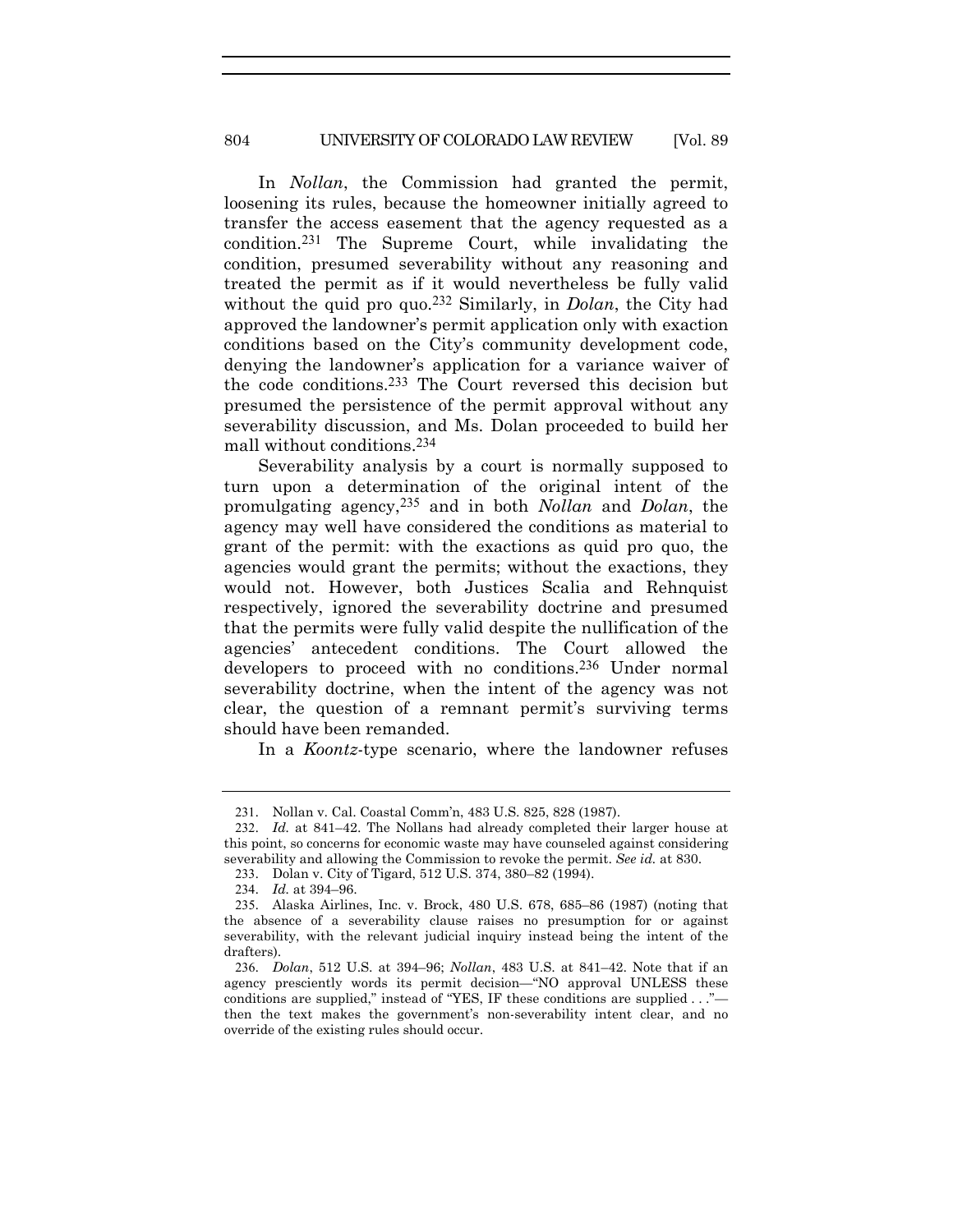In *Nollan*, the Commission had granted the permit, loosening its rules, because the homeowner initially agreed to transfer the access easement that the agency requested as a condition.231 The Supreme Court, while invalidating the condition, presumed severability without any reasoning and treated the permit as if it would nevertheless be fully valid without the quid pro quo.232 Similarly, in *Dolan*, the City had approved the landowner's permit application only with exaction conditions based on the City's community development code, denying the landowner's application for a variance waiver of the code conditions.233 The Court reversed this decision but presumed the persistence of the permit approval without any severability discussion, and Ms. Dolan proceeded to build her mall without conditions.234

Severability analysis by a court is normally supposed to turn upon a determination of the original intent of the promulgating agency,235 and in both *Nollan* and *Dolan*, the agency may well have considered the conditions as material to grant of the permit: with the exactions as quid pro quo, the agencies would grant the permits; without the exactions, they would not. However, both Justices Scalia and Rehnquist respectively, ignored the severability doctrine and presumed that the permits were fully valid despite the nullification of the agencies' antecedent conditions. The Court allowed the developers to proceed with no conditions.236 Under normal severability doctrine, when the intent of the agency was not clear, the question of a remnant permit's surviving terms should have been remanded.

In a *Koontz*-type scenario, where the landowner refuses

<sup>231</sup>. Nollan v. Cal. Coastal Comm'n, 483 U.S. 825, 828 (1987).

<sup>232</sup>. *Id.* at 841–42. The Nollans had already completed their larger house at this point, so concerns for economic waste may have counseled against considering severability and allowing the Commission to revoke the permit. *See id.* at 830.

<sup>233</sup>. Dolan v. City of Tigard, 512 U.S. 374, 380–82 (1994).

<sup>234</sup>. *Id.* at 394–96.

<sup>235</sup>. Alaska Airlines, Inc. v. Brock, 480 U.S. 678, 685–86 (1987) (noting that the absence of a severability clause raises no presumption for or against severability, with the relevant judicial inquiry instead being the intent of the drafters).

<sup>236</sup>. *Dolan*, 512 U.S. at 394–96; *Nollan*, 483 U.S. at 841–42. Note that if an agency presciently words its permit decision—"NO approval UNLESS these conditions are supplied," instead of "YES, IF these conditions are supplied . . ." then the text makes the government's non-severability intent clear, and no override of the existing rules should occur.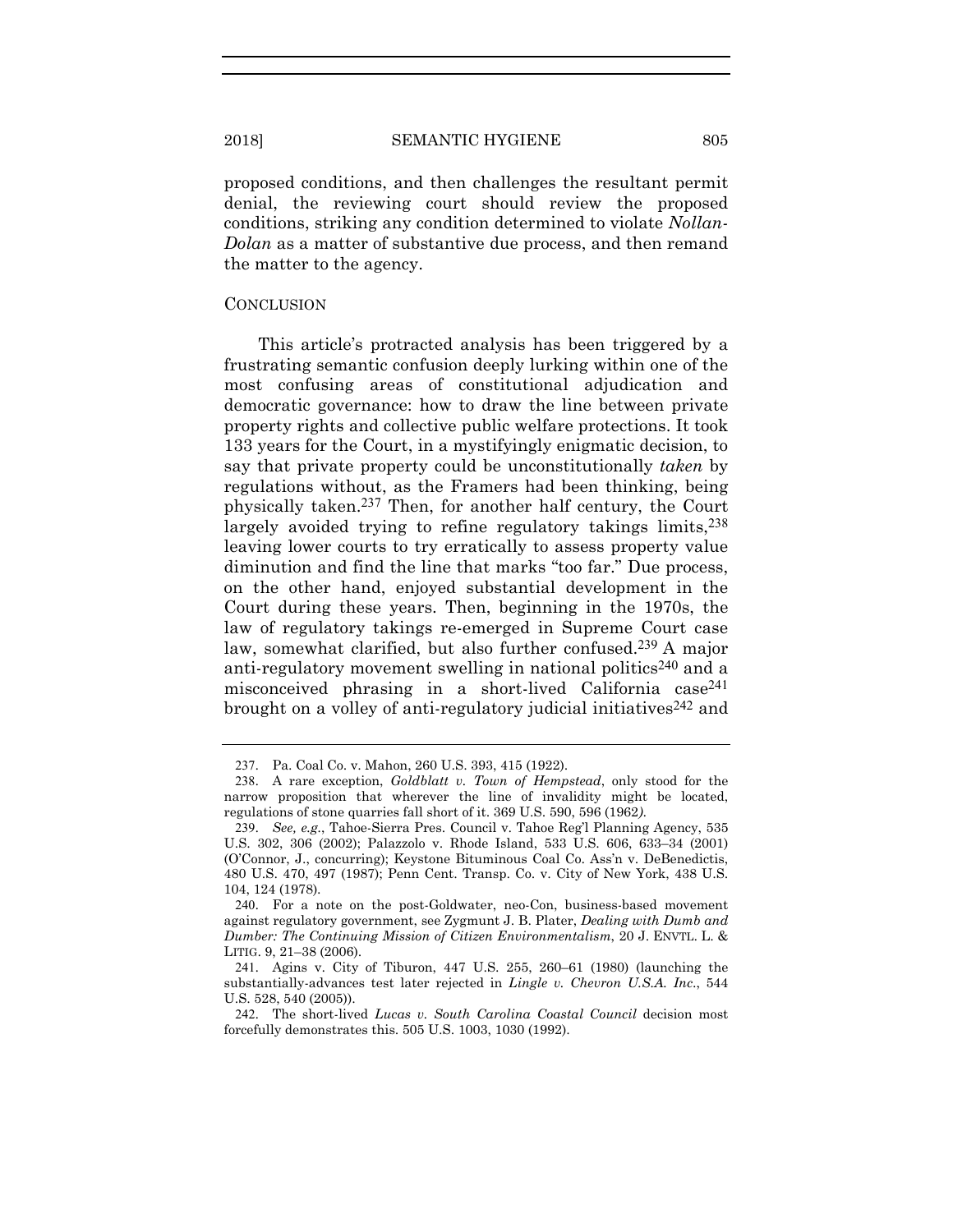proposed conditions, and then challenges the resultant permit denial, the reviewing court should review the proposed conditions, striking any condition determined to violate *Nollan-Dolan* as a matter of substantive due process, and then remand the matter to the agency.

#### **CONCLUSION**

This article's protracted analysis has been triggered by a frustrating semantic confusion deeply lurking within one of the most confusing areas of constitutional adjudication and democratic governance: how to draw the line between private property rights and collective public welfare protections. It took 133 years for the Court, in a mystifyingly enigmatic decision, to say that private property could be unconstitutionally *taken* by regulations without, as the Framers had been thinking, being physically taken.237 Then, for another half century, the Court largely avoided trying to refine regulatory takings limits,  $238$ leaving lower courts to try erratically to assess property value diminution and find the line that marks "too far." Due process, on the other hand, enjoyed substantial development in the Court during these years. Then, beginning in the 1970s, the law of regulatory takings re-emerged in Supreme Court case law, somewhat clarified, but also further confused.<sup>239</sup> A major anti-regulatory movement swelling in national politics<sup>240</sup> and a misconceived phrasing in a short-lived California case241 brought on a volley of anti-regulatory judicial initiatives  $242$  and

<sup>237</sup>. Pa. Coal Co. v. Mahon, 260 U.S. 393, 415 (1922).

<sup>238</sup>. A rare exception, *Goldblatt v. Town of Hempstead*, only stood for the narrow proposition that wherever the line of invalidity might be located, regulations of stone quarries fall short of it. 369 U.S. 590, 596 (1962*)*.

<sup>239</sup>. *See, e.g.*, Tahoe-Sierra Pres. Council v. Tahoe Reg'l Planning Agency, 535 U.S. 302, 306 (2002); Palazzolo v. Rhode Island, 533 U.S. 606, 633–34 (2001) (O'Connor, J., concurring); Keystone Bituminous Coal Co. Ass'n v. DeBenedictis, 480 U.S. 470, 497 (1987); Penn Cent. Transp. Co. v. City of New York, 438 U.S. 104, 124 (1978).

<sup>240</sup>. For a note on the post-Goldwater, neo-Con, business-based movement against regulatory government, see Zygmunt J. B. Plater, *Dealing with Dumb and Dumber: The Continuing Mission of Citizen Environmentalism*, 20 J. ENVTL. L. & LITIG. 9, 21–38 (2006).

<sup>241</sup>. Agins v. City of Tiburon, 447 U.S. 255, 260–61 (1980) (launching the substantially-advances test later rejected in *Lingle v. Chevron U.S.A. Inc*., 544 U.S. 528, 540 (2005)).

<sup>242</sup>. The short-lived *Lucas v. South Carolina Coastal Council* decision most forcefully demonstrates this. 505 U.S. 1003, 1030 (1992).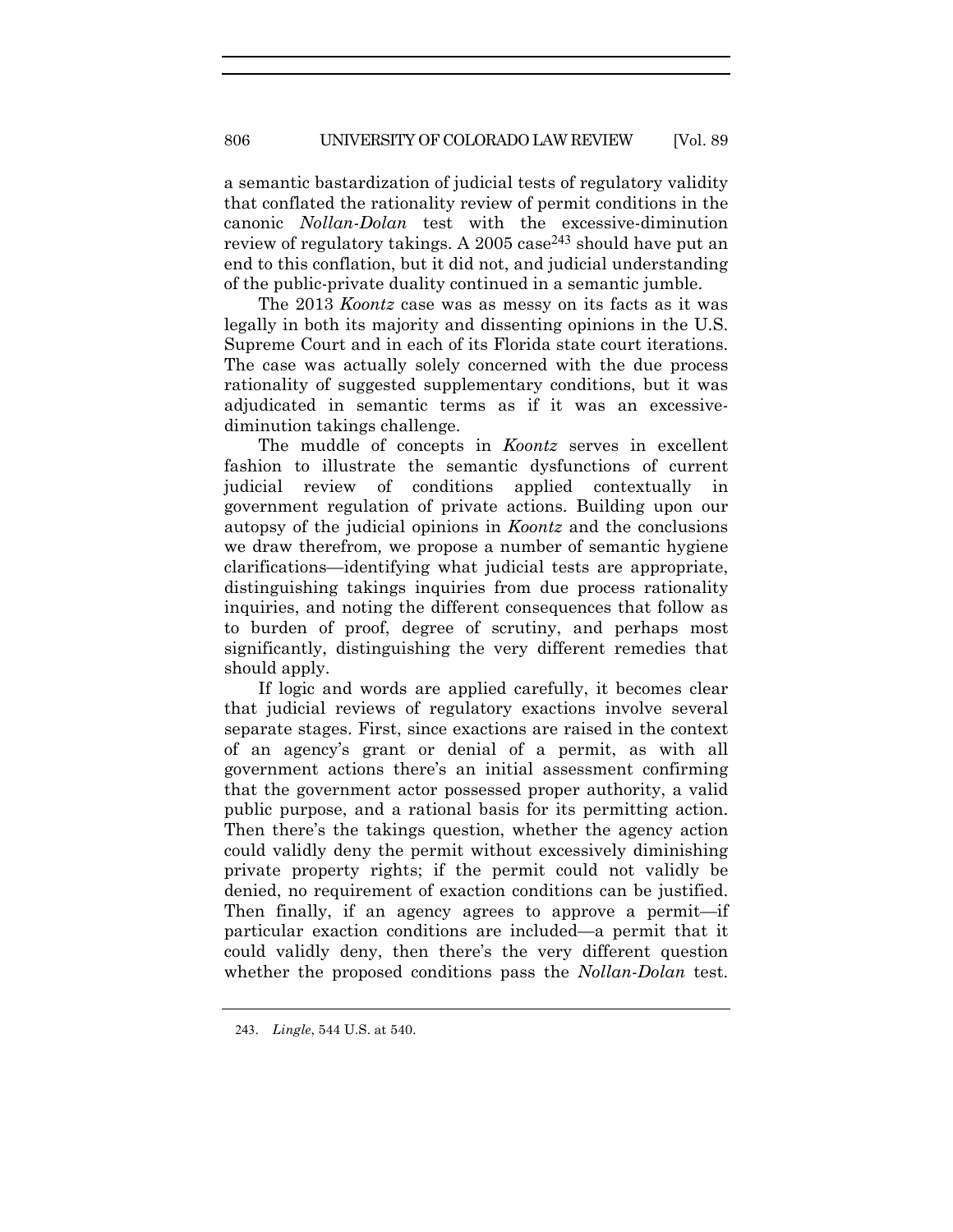a semantic bastardization of judicial tests of regulatory validity that conflated the rationality review of permit conditions in the canonic *Nollan-Dolan* test with the excessive-diminution review of regulatory takings. A 2005 case<sup>243</sup> should have put an end to this conflation, but it did not, and judicial understanding of the public-private duality continued in a semantic jumble.

The 2013 *Koontz* case was as messy on its facts as it was legally in both its majority and dissenting opinions in the U.S. Supreme Court and in each of its Florida state court iterations. The case was actually solely concerned with the due process rationality of suggested supplementary conditions, but it was adjudicated in semantic terms as if it was an excessivediminution takings challenge.

The muddle of concepts in *Koontz* serves in excellent fashion to illustrate the semantic dysfunctions of current judicial review of conditions applied contextually in government regulation of private actions. Building upon our autopsy of the judicial opinions in *Koontz* and the conclusions we draw therefrom*,* we propose a number of semantic hygiene clarifications—identifying what judicial tests are appropriate, distinguishing takings inquiries from due process rationality inquiries, and noting the different consequences that follow as to burden of proof, degree of scrutiny, and perhaps most significantly, distinguishing the very different remedies that should apply.

If logic and words are applied carefully, it becomes clear that judicial reviews of regulatory exactions involve several separate stages. First, since exactions are raised in the context of an agency's grant or denial of a permit, as with all government actions there's an initial assessment confirming that the government actor possessed proper authority, a valid public purpose, and a rational basis for its permitting action. Then there's the takings question, whether the agency action could validly deny the permit without excessively diminishing private property rights; if the permit could not validly be denied, no requirement of exaction conditions can be justified. Then finally, if an agency agrees to approve a permit—if particular exaction conditions are included—a permit that it could validly deny, then there's the very different question whether the proposed conditions pass the *Nollan-Dolan* test.

<sup>243</sup>. *Lingle*, 544 U.S. at 540.